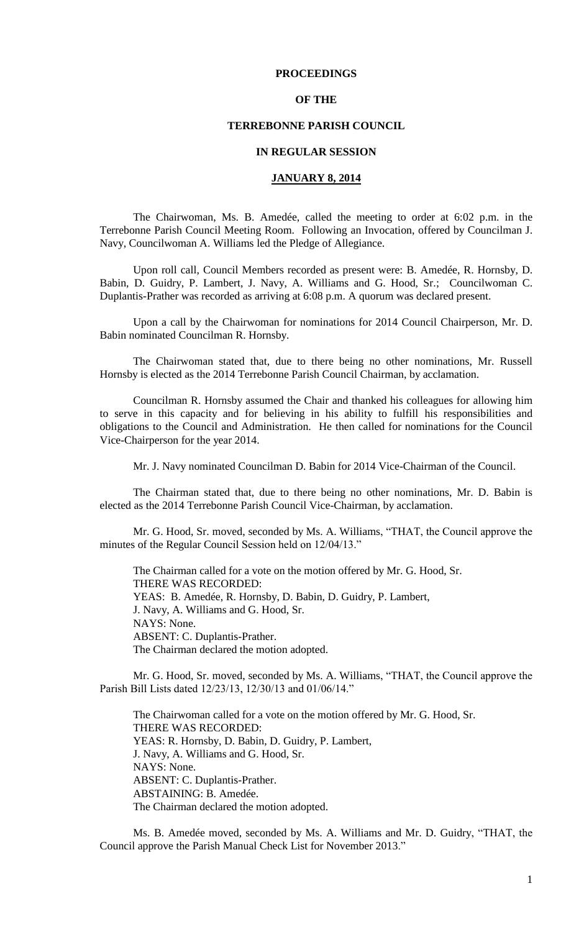### **PROCEEDINGS**

### **OF THE**

### **TERREBONNE PARISH COUNCIL**

#### **IN REGULAR SESSION**

### **JANUARY 8, 2014**

The Chairwoman, Ms. B. Amedée, called the meeting to order at 6:02 p.m. in the Terrebonne Parish Council Meeting Room. Following an Invocation, offered by Councilman J. Navy, Councilwoman A. Williams led the Pledge of Allegiance.

Upon roll call, Council Members recorded as present were: B. Amedée, R. Hornsby, D. Babin, D. Guidry, P. Lambert, J. Navy, A. Williams and G. Hood, Sr.; Councilwoman C. Duplantis-Prather was recorded as arriving at 6:08 p.m. A quorum was declared present.

Upon a call by the Chairwoman for nominations for 2014 Council Chairperson, Mr. D. Babin nominated Councilman R. Hornsby.

The Chairwoman stated that, due to there being no other nominations, Mr. Russell Hornsby is elected as the 2014 Terrebonne Parish Council Chairman, by acclamation.

Councilman R. Hornsby assumed the Chair and thanked his colleagues for allowing him to serve in this capacity and for believing in his ability to fulfill his responsibilities and obligations to the Council and Administration. He then called for nominations for the Council Vice-Chairperson for the year 2014.

Mr. J. Navy nominated Councilman D. Babin for 2014 Vice-Chairman of the Council.

The Chairman stated that, due to there being no other nominations, Mr. D. Babin is elected as the 2014 Terrebonne Parish Council Vice-Chairman, by acclamation.

Mr. G. Hood, Sr. moved, seconded by Ms. A. Williams, "THAT, the Council approve the minutes of the Regular Council Session held on 12/04/13."

The Chairman called for a vote on the motion offered by Mr. G. Hood, Sr. THERE WAS RECORDED: YEAS: B. Amedée, R. Hornsby, D. Babin, D. Guidry, P. Lambert, J. Navy, A. Williams and G. Hood, Sr. NAYS: None. ABSENT: C. Duplantis-Prather. The Chairman declared the motion adopted.

Mr. G. Hood, Sr. moved, seconded by Ms. A. Williams, "THAT, the Council approve the Parish Bill Lists dated 12/23/13, 12/30/13 and 01/06/14."

The Chairwoman called for a vote on the motion offered by Mr. G. Hood, Sr. THERE WAS RECORDED: YEAS: R. Hornsby, D. Babin, D. Guidry, P. Lambert, J. Navy, A. Williams and G. Hood, Sr. NAYS: None. ABSENT: C. Duplantis-Prather. ABSTAINING: B. Amedée. The Chairman declared the motion adopted.

Ms. B. Amedée moved, seconded by Ms. A. Williams and Mr. D. Guidry, "THAT, the Council approve the Parish Manual Check List for November 2013."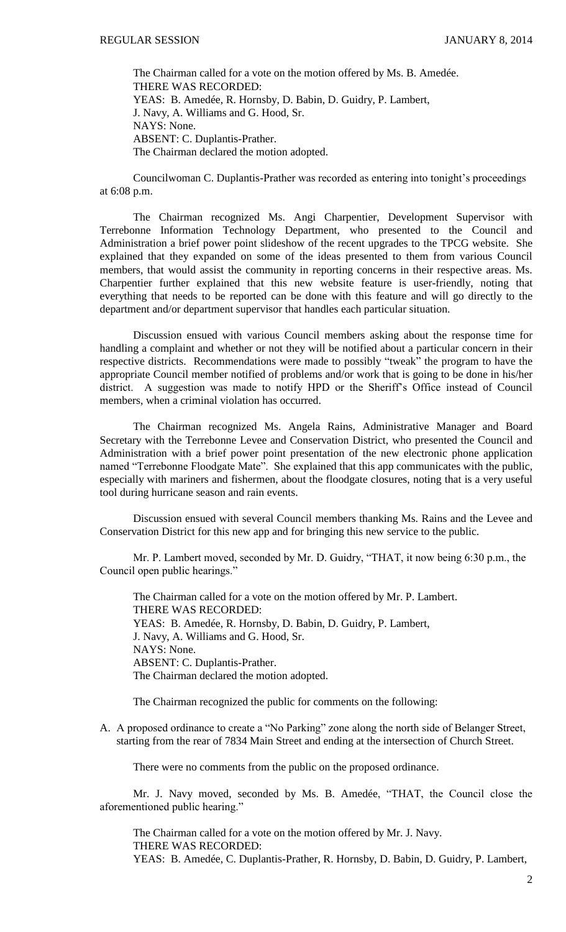The Chairman called for a vote on the motion offered by Ms. B. Amedée. THERE WAS RECORDED: YEAS: B. Amedée, R. Hornsby, D. Babin, D. Guidry, P. Lambert, J. Navy, A. Williams and G. Hood, Sr. NAYS: None. ABSENT: C. Duplantis-Prather. The Chairman declared the motion adopted.

Councilwoman C. Duplantis-Prather was recorded as entering into tonight's proceedings at 6:08 p.m.

The Chairman recognized Ms. Angi Charpentier, Development Supervisor with Terrebonne Information Technology Department, who presented to the Council and Administration a brief power point slideshow of the recent upgrades to the TPCG website. She explained that they expanded on some of the ideas presented to them from various Council members, that would assist the community in reporting concerns in their respective areas. Ms. Charpentier further explained that this new website feature is user-friendly, noting that everything that needs to be reported can be done with this feature and will go directly to the department and/or department supervisor that handles each particular situation.

Discussion ensued with various Council members asking about the response time for handling a complaint and whether or not they will be notified about a particular concern in their respective districts. Recommendations were made to possibly "tweak" the program to have the appropriate Council member notified of problems and/or work that is going to be done in his/her district. A suggestion was made to notify HPD or the Sheriff's Office instead of Council members, when a criminal violation has occurred.

The Chairman recognized Ms. Angela Rains, Administrative Manager and Board Secretary with the Terrebonne Levee and Conservation District, who presented the Council and Administration with a brief power point presentation of the new electronic phone application named "Terrebonne Floodgate Mate". She explained that this app communicates with the public, especially with mariners and fishermen, about the floodgate closures, noting that is a very useful tool during hurricane season and rain events.

Discussion ensued with several Council members thanking Ms. Rains and the Levee and Conservation District for this new app and for bringing this new service to the public.

Mr. P. Lambert moved, seconded by Mr. D. Guidry, "THAT, it now being 6:30 p.m., the Council open public hearings."

The Chairman called for a vote on the motion offered by Mr. P. Lambert. THERE WAS RECORDED: YEAS: B. Amedée, R. Hornsby, D. Babin, D. Guidry, P. Lambert, J. Navy, A. Williams and G. Hood, Sr. NAYS: None. ABSENT: C. Duplantis-Prather. The Chairman declared the motion adopted.

The Chairman recognized the public for comments on the following:

A. A proposed ordinance to create a "No Parking" zone along the north side of Belanger Street, starting from the rear of 7834 Main Street and ending at the intersection of Church Street.

There were no comments from the public on the proposed ordinance.

Mr. J. Navy moved, seconded by Ms. B. Amedée, "THAT, the Council close the aforementioned public hearing."

The Chairman called for a vote on the motion offered by Mr. J. Navy. THERE WAS RECORDED: YEAS: B. Amedée, C. Duplantis-Prather, R. Hornsby, D. Babin, D. Guidry, P. Lambert,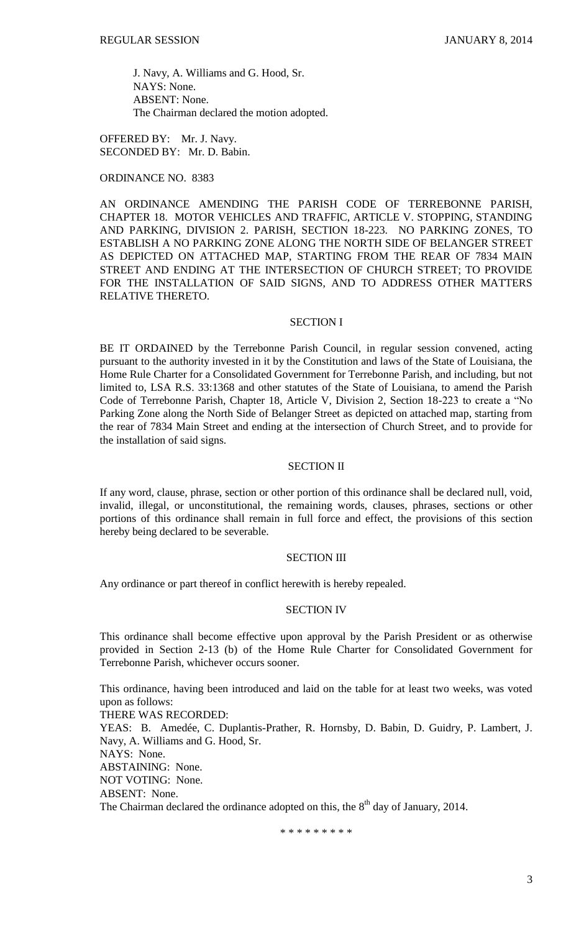J. Navy, A. Williams and G. Hood, Sr. NAYS: None. ABSENT: None. The Chairman declared the motion adopted.

OFFERED BY: Mr. J. Navy. SECONDED BY: Mr. D. Babin.

### ORDINANCE NO. 8383

AN ORDINANCE AMENDING THE PARISH CODE OF TERREBONNE PARISH, CHAPTER 18. MOTOR VEHICLES AND TRAFFIC, ARTICLE V. STOPPING, STANDING AND PARKING, DIVISION 2. PARISH, SECTION 18-223. NO PARKING ZONES, TO ESTABLISH A NO PARKING ZONE ALONG THE NORTH SIDE OF BELANGER STREET AS DEPICTED ON ATTACHED MAP, STARTING FROM THE REAR OF 7834 MAIN STREET AND ENDING AT THE INTERSECTION OF CHURCH STREET; TO PROVIDE FOR THE INSTALLATION OF SAID SIGNS, AND TO ADDRESS OTHER MATTERS RELATIVE THERETO.

### SECTION I

BE IT ORDAINED by the Terrebonne Parish Council, in regular session convened, acting pursuant to the authority invested in it by the Constitution and laws of the State of Louisiana, the Home Rule Charter for a Consolidated Government for Terrebonne Parish, and including, but not limited to, LSA R.S. 33:1368 and other statutes of the State of Louisiana, to amend the Parish Code of Terrebonne Parish, Chapter 18, Article V, Division 2, Section 18-223 to create a "No Parking Zone along the North Side of Belanger Street as depicted on attached map, starting from the rear of 7834 Main Street and ending at the intersection of Church Street, and to provide for the installation of said signs.

### SECTION II

If any word, clause, phrase, section or other portion of this ordinance shall be declared null, void, invalid, illegal, or unconstitutional, the remaining words, clauses, phrases, sections or other portions of this ordinance shall remain in full force and effect, the provisions of this section hereby being declared to be severable.

### SECTION III

Any ordinance or part thereof in conflict herewith is hereby repealed.

#### SECTION IV

This ordinance shall become effective upon approval by the Parish President or as otherwise provided in Section 2-13 (b) of the Home Rule Charter for Consolidated Government for Terrebonne Parish, whichever occurs sooner.

This ordinance, having been introduced and laid on the table for at least two weeks, was voted upon as follows: THERE WAS RECORDED: YEAS: B. Amedée, C. Duplantis-Prather, R. Hornsby, D. Babin, D. Guidry, P. Lambert, J. Navy, A. Williams and G. Hood, Sr. NAYS: None. ABSTAINING: None. NOT VOTING: None. ABSENT: None. The Chairman declared the ordinance adopted on this, the  $8<sup>th</sup>$  day of January, 2014.

\* \* \* \* \* \* \* \* \*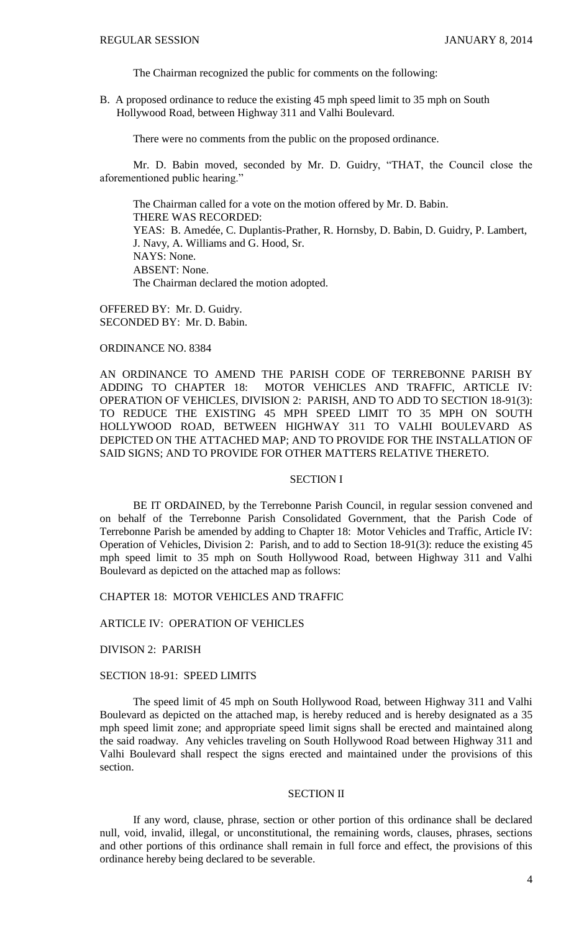The Chairman recognized the public for comments on the following:

B. A proposed ordinance to reduce the existing 45 mph speed limit to 35 mph on South Hollywood Road, between Highway 311 and Valhi Boulevard.

There were no comments from the public on the proposed ordinance.

Mr. D. Babin moved, seconded by Mr. D. Guidry, "THAT, the Council close the aforementioned public hearing."

The Chairman called for a vote on the motion offered by Mr. D. Babin. THERE WAS RECORDED: YEAS: B. Amedée, C. Duplantis-Prather, R. Hornsby, D. Babin, D. Guidry, P. Lambert, J. Navy, A. Williams and G. Hood, Sr. NAYS: None. ABSENT: None. The Chairman declared the motion adopted.

OFFERED BY: Mr. D. Guidry. SECONDED BY: Mr. D. Babin.

### ORDINANCE NO. 8384

AN ORDINANCE TO AMEND THE PARISH CODE OF TERREBONNE PARISH BY ADDING TO CHAPTER 18: MOTOR VEHICLES AND TRAFFIC, ARTICLE IV: OPERATION OF VEHICLES, DIVISION 2: PARISH, AND TO ADD TO SECTION 18-91(3): TO REDUCE THE EXISTING 45 MPH SPEED LIMIT TO 35 MPH ON SOUTH HOLLYWOOD ROAD, BETWEEN HIGHWAY 311 TO VALHI BOULEVARD AS DEPICTED ON THE ATTACHED MAP; AND TO PROVIDE FOR THE INSTALLATION OF SAID SIGNS; AND TO PROVIDE FOR OTHER MATTERS RELATIVE THERETO.

### SECTION I

BE IT ORDAINED, by the Terrebonne Parish Council, in regular session convened and on behalf of the Terrebonne Parish Consolidated Government, that the Parish Code of Terrebonne Parish be amended by adding to Chapter 18: Motor Vehicles and Traffic, Article IV: Operation of Vehicles, Division 2: Parish, and to add to Section 18-91(3): reduce the existing 45 mph speed limit to 35 mph on South Hollywood Road, between Highway 311 and Valhi Boulevard as depicted on the attached map as follows:

CHAPTER 18: MOTOR VEHICLES AND TRAFFIC

ARTICLE IV: OPERATION OF VEHICLES

DIVISON 2: PARISH

### SECTION 18-91: SPEED LIMITS

The speed limit of 45 mph on South Hollywood Road, between Highway 311 and Valhi Boulevard as depicted on the attached map, is hereby reduced and is hereby designated as a 35 mph speed limit zone; and appropriate speed limit signs shall be erected and maintained along the said roadway. Any vehicles traveling on South Hollywood Road between Highway 311 and Valhi Boulevard shall respect the signs erected and maintained under the provisions of this section.

#### SECTION II

If any word, clause, phrase, section or other portion of this ordinance shall be declared null, void, invalid, illegal, or unconstitutional, the remaining words, clauses, phrases, sections and other portions of this ordinance shall remain in full force and effect, the provisions of this ordinance hereby being declared to be severable.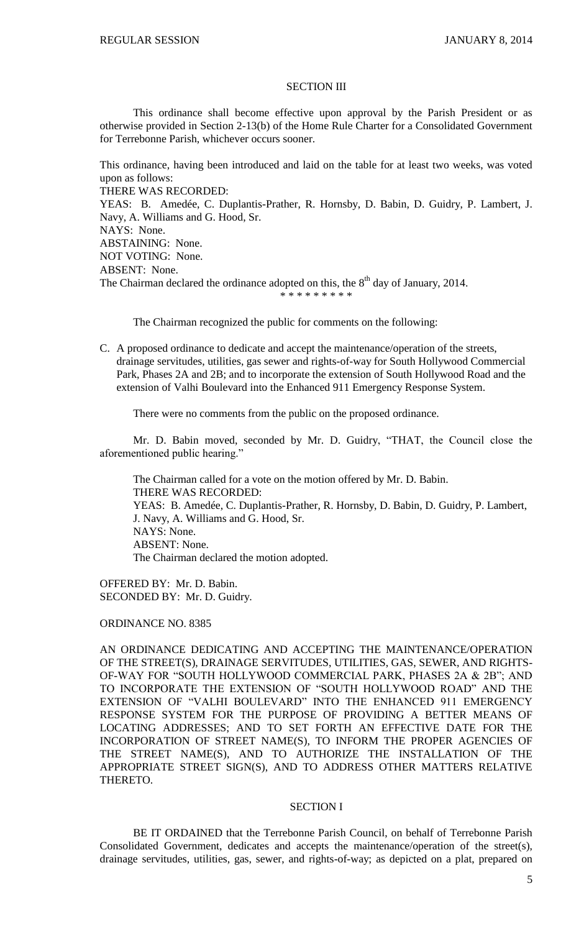#### SECTION III

This ordinance shall become effective upon approval by the Parish President or as otherwise provided in Section 2-13(b) of the Home Rule Charter for a Consolidated Government for Terrebonne Parish, whichever occurs sooner.

This ordinance, having been introduced and laid on the table for at least two weeks, was voted upon as follows:

THERE WAS RECORDED:

YEAS: B. Amedée, C. Duplantis-Prather, R. Hornsby, D. Babin, D. Guidry, P. Lambert, J. Navy, A. Williams and G. Hood, Sr.

```
NAYS: None.
```
ABSTAINING: None.

NOT VOTING: None.

ABSENT: None.

The Chairman declared the ordinance adopted on this, the  $8<sup>th</sup>$  day of January, 2014.

\* \* \* \* \* \* \* \* \*

The Chairman recognized the public for comments on the following:

C. A proposed ordinance to dedicate and accept the maintenance/operation of the streets, drainage servitudes, utilities, gas sewer and rights-of-way for South Hollywood Commercial Park, Phases 2A and 2B; and to incorporate the extension of South Hollywood Road and the extension of Valhi Boulevard into the Enhanced 911 Emergency Response System.

There were no comments from the public on the proposed ordinance.

Mr. D. Babin moved, seconded by Mr. D. Guidry, "THAT, the Council close the aforementioned public hearing."

The Chairman called for a vote on the motion offered by Mr. D. Babin. THERE WAS RECORDED: YEAS: B. Amedée, C. Duplantis-Prather, R. Hornsby, D. Babin, D. Guidry, P. Lambert, J. Navy, A. Williams and G. Hood, Sr. NAYS: None. ABSENT: None. The Chairman declared the motion adopted.

OFFERED BY: Mr. D. Babin. SECONDED BY: Mr. D. Guidry.

### ORDINANCE NO. 8385

AN ORDINANCE DEDICATING AND ACCEPTING THE MAINTENANCE/OPERATION OF THE STREET(S), DRAINAGE SERVITUDES, UTILITIES, GAS, SEWER, AND RIGHTS-OF-WAY FOR "SOUTH HOLLYWOOD COMMERCIAL PARK, PHASES 2A & 2B"; AND TO INCORPORATE THE EXTENSION OF "SOUTH HOLLYWOOD ROAD" AND THE EXTENSION OF "VALHI BOULEVARD" INTO THE ENHANCED 911 EMERGENCY RESPONSE SYSTEM FOR THE PURPOSE OF PROVIDING A BETTER MEANS OF LOCATING ADDRESSES; AND TO SET FORTH AN EFFECTIVE DATE FOR THE INCORPORATION OF STREET NAME(S), TO INFORM THE PROPER AGENCIES OF THE STREET NAME(S), AND TO AUTHORIZE THE INSTALLATION OF THE APPROPRIATE STREET SIGN(S), AND TO ADDRESS OTHER MATTERS RELATIVE THERETO.

### SECTION I

BE IT ORDAINED that the Terrebonne Parish Council, on behalf of Terrebonne Parish Consolidated Government, dedicates and accepts the maintenance/operation of the street(s), drainage servitudes, utilities, gas, sewer, and rights-of-way; as depicted on a plat, prepared on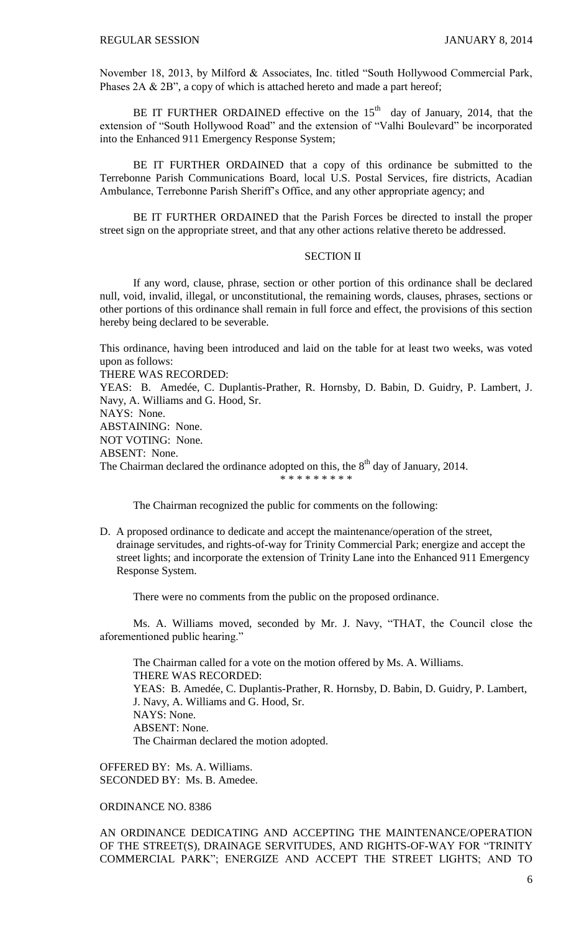November 18, 2013, by Milford & Associates, Inc. titled "South Hollywood Commercial Park, Phases 2A & 2B", a copy of which is attached hereto and made a part hereof;

BE IT FURTHER ORDAINED effective on the  $15<sup>th</sup>$  day of January, 2014, that the extension of "South Hollywood Road" and the extension of "Valhi Boulevard" be incorporated into the Enhanced 911 Emergency Response System;

BE IT FURTHER ORDAINED that a copy of this ordinance be submitted to the Terrebonne Parish Communications Board, local U.S. Postal Services, fire districts, Acadian Ambulance, Terrebonne Parish Sheriff's Office, and any other appropriate agency; and

BE IT FURTHER ORDAINED that the Parish Forces be directed to install the proper street sign on the appropriate street, and that any other actions relative thereto be addressed.

### SECTION II

If any word, clause, phrase, section or other portion of this ordinance shall be declared null, void, invalid, illegal, or unconstitutional, the remaining words, clauses, phrases, sections or other portions of this ordinance shall remain in full force and effect, the provisions of this section hereby being declared to be severable.

This ordinance, having been introduced and laid on the table for at least two weeks, was voted upon as follows:

THERE WAS RECORDED:

YEAS: B. Amedée, C. Duplantis-Prather, R. Hornsby, D. Babin, D. Guidry, P. Lambert, J. Navy, A. Williams and G. Hood, Sr.

NAYS: None.

ABSTAINING: None. NOT VOTING: None. ABSENT: None. The Chairman declared the ordinance adopted on this, the  $8<sup>th</sup>$  day of January, 2014. \* \* \* \* \* \* \* \*

The Chairman recognized the public for comments on the following:

D. A proposed ordinance to dedicate and accept the maintenance/operation of the street, drainage servitudes, and rights-of-way for Trinity Commercial Park; energize and accept the street lights; and incorporate the extension of Trinity Lane into the Enhanced 911 Emergency Response System.

There were no comments from the public on the proposed ordinance.

Ms. A. Williams moved, seconded by Mr. J. Navy, "THAT, the Council close the aforementioned public hearing."

The Chairman called for a vote on the motion offered by Ms. A. Williams. THERE WAS RECORDED: YEAS: B. Amedée, C. Duplantis-Prather, R. Hornsby, D. Babin, D. Guidry, P. Lambert, J. Navy, A. Williams and G. Hood, Sr. NAYS: None. ABSENT: None. The Chairman declared the motion adopted.

OFFERED BY: Ms. A. Williams. SECONDED BY: Ms. B. Amedee.

## ORDINANCE NO. 8386

AN ORDINANCE DEDICATING AND ACCEPTING THE MAINTENANCE/OPERATION OF THE STREET(S), DRAINAGE SERVITUDES, AND RIGHTS-OF-WAY FOR "TRINITY COMMERCIAL PARK"; ENERGIZE AND ACCEPT THE STREET LIGHTS; AND TO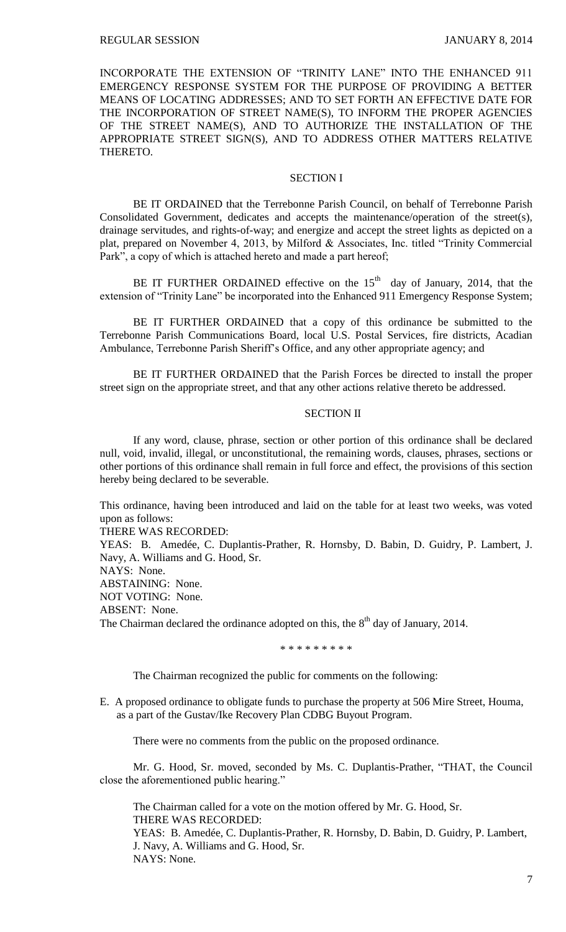INCORPORATE THE EXTENSION OF "TRINITY LANE" INTO THE ENHANCED 911 EMERGENCY RESPONSE SYSTEM FOR THE PURPOSE OF PROVIDING A BETTER MEANS OF LOCATING ADDRESSES; AND TO SET FORTH AN EFFECTIVE DATE FOR THE INCORPORATION OF STREET NAME(S), TO INFORM THE PROPER AGENCIES OF THE STREET NAME(S), AND TO AUTHORIZE THE INSTALLATION OF THE APPROPRIATE STREET SIGN(S), AND TO ADDRESS OTHER MATTERS RELATIVE THERETO.

### SECTION I

BE IT ORDAINED that the Terrebonne Parish Council, on behalf of Terrebonne Parish Consolidated Government, dedicates and accepts the maintenance/operation of the street(s), drainage servitudes, and rights-of-way; and energize and accept the street lights as depicted on a plat, prepared on November 4, 2013, by Milford & Associates, Inc. titled "Trinity Commercial Park", a copy of which is attached hereto and made a part hereof;

BE IT FURTHER ORDAINED effective on the  $15<sup>th</sup>$  day of January, 2014, that the extension of "Trinity Lane" be incorporated into the Enhanced 911 Emergency Response System;

BE IT FURTHER ORDAINED that a copy of this ordinance be submitted to the Terrebonne Parish Communications Board, local U.S. Postal Services, fire districts, Acadian Ambulance, Terrebonne Parish Sheriff's Office, and any other appropriate agency; and

BE IT FURTHER ORDAINED that the Parish Forces be directed to install the proper street sign on the appropriate street, and that any other actions relative thereto be addressed.

### SECTION II

If any word, clause, phrase, section or other portion of this ordinance shall be declared null, void, invalid, illegal, or unconstitutional, the remaining words, clauses, phrases, sections or other portions of this ordinance shall remain in full force and effect, the provisions of this section hereby being declared to be severable.

This ordinance, having been introduced and laid on the table for at least two weeks, was voted upon as follows:

THERE WAS RECORDED:

YEAS: B. Amedée, C. Duplantis-Prather, R. Hornsby, D. Babin, D. Guidry, P. Lambert, J. Navy, A. Williams and G. Hood, Sr.

NAYS: None.

ABSTAINING: None. NOT VOTING: None. ABSENT: None. The Chairman declared the ordinance adopted on this, the  $8<sup>th</sup>$  day of January, 2014.

\* \* \* \* \* \* \* \* \*

The Chairman recognized the public for comments on the following:

E. A proposed ordinance to obligate funds to purchase the property at 506 Mire Street, Houma, as a part of the Gustav/Ike Recovery Plan CDBG Buyout Program.

There were no comments from the public on the proposed ordinance.

Mr. G. Hood, Sr. moved, seconded by Ms. C. Duplantis-Prather, "THAT, the Council close the aforementioned public hearing."

The Chairman called for a vote on the motion offered by Mr. G. Hood, Sr. THERE WAS RECORDED:

YEAS: B. Amedée, C. Duplantis-Prather, R. Hornsby, D. Babin, D. Guidry, P. Lambert, J. Navy, A. Williams and G. Hood, Sr. NAYS: None.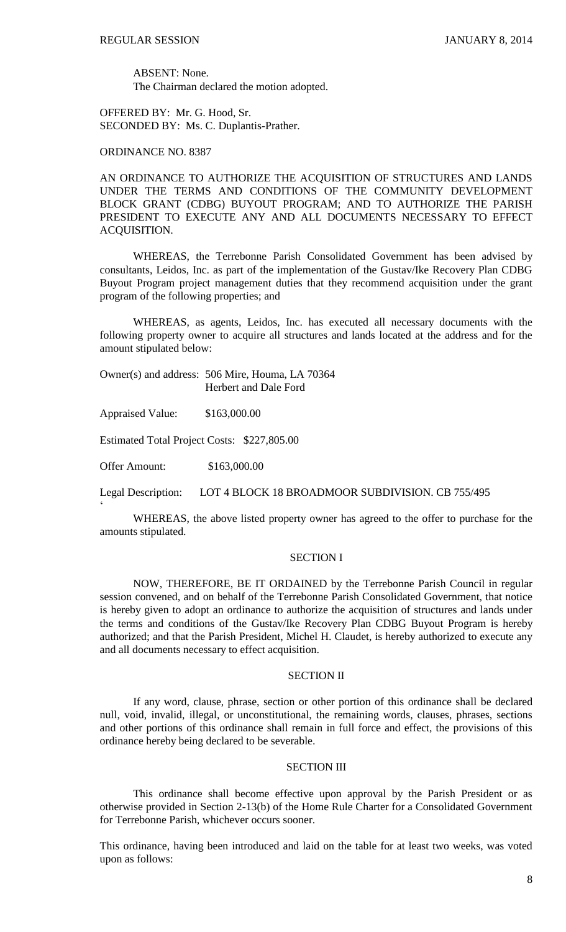ABSENT: None. The Chairman declared the motion adopted.

OFFERED BY: Mr. G. Hood, Sr. SECONDED BY: Ms. C. Duplantis-Prather.

ORDINANCE NO. 8387

AN ORDINANCE TO AUTHORIZE THE ACQUISITION OF STRUCTURES AND LANDS UNDER THE TERMS AND CONDITIONS OF THE COMMUNITY DEVELOPMENT BLOCK GRANT (CDBG) BUYOUT PROGRAM; AND TO AUTHORIZE THE PARISH PRESIDENT TO EXECUTE ANY AND ALL DOCUMENTS NECESSARY TO EFFECT ACQUISITION.

WHEREAS, the Terrebonne Parish Consolidated Government has been advised by consultants, Leidos, Inc. as part of the implementation of the Gustav/Ike Recovery Plan CDBG Buyout Program project management duties that they recommend acquisition under the grant program of the following properties; and

WHEREAS, as agents, Leidos, Inc. has executed all necessary documents with the following property owner to acquire all structures and lands located at the address and for the amount stipulated below:

Owner(s) and address: 506 Mire, Houma, LA 70364 Herbert and Dale Ford

Appraised Value: \$163,000.00

Estimated Total Project Costs: \$227,805.00

Offer Amount: \$163,000.00

 $\zeta$ 

Legal Description: LOT 4 BLOCK 18 BROADMOOR SUBDIVISION. CB 755/495

WHEREAS, the above listed property owner has agreed to the offer to purchase for the amounts stipulated.

## SECTION I

NOW, THEREFORE, BE IT ORDAINED by the Terrebonne Parish Council in regular session convened, and on behalf of the Terrebonne Parish Consolidated Government, that notice is hereby given to adopt an ordinance to authorize the acquisition of structures and lands under the terms and conditions of the Gustav/Ike Recovery Plan CDBG Buyout Program is hereby authorized; and that the Parish President, Michel H. Claudet, is hereby authorized to execute any and all documents necessary to effect acquisition.

## SECTION II

If any word, clause, phrase, section or other portion of this ordinance shall be declared null, void, invalid, illegal, or unconstitutional, the remaining words, clauses, phrases, sections and other portions of this ordinance shall remain in full force and effect, the provisions of this ordinance hereby being declared to be severable.

### SECTION III

This ordinance shall become effective upon approval by the Parish President or as otherwise provided in Section 2-13(b) of the Home Rule Charter for a Consolidated Government for Terrebonne Parish, whichever occurs sooner.

This ordinance, having been introduced and laid on the table for at least two weeks, was voted upon as follows: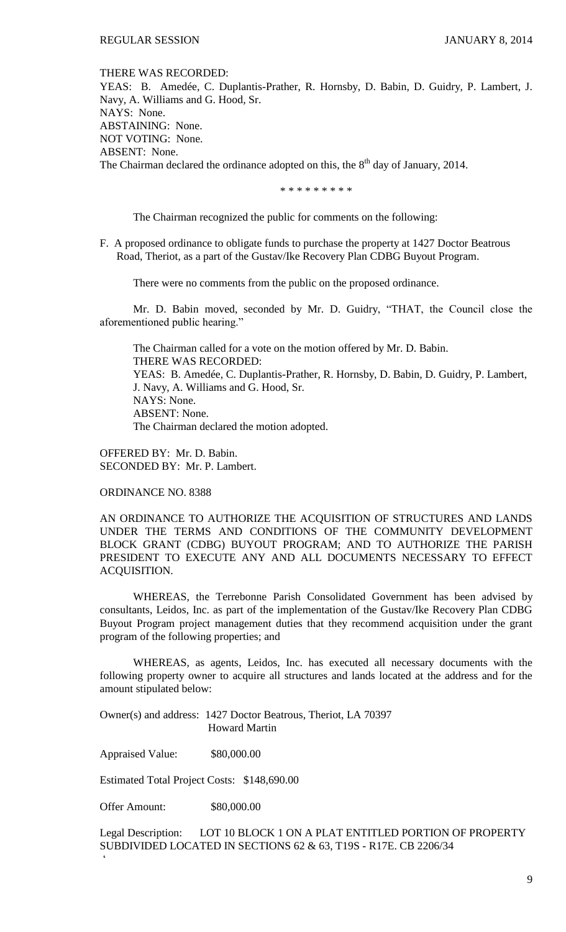THERE WAS RECORDED:

YEAS: B. Amedée, C. Duplantis-Prather, R. Hornsby, D. Babin, D. Guidry, P. Lambert, J. Navy, A. Williams and G. Hood, Sr. NAYS: None. ABSTAINING: None. NOT VOTING: None. ABSENT: None. The Chairman declared the ordinance adopted on this, the  $8<sup>th</sup>$  day of January, 2014.

\* \* \* \* \* \* \* \* \*

The Chairman recognized the public for comments on the following:

F. A proposed ordinance to obligate funds to purchase the property at 1427 Doctor Beatrous Road, Theriot, as a part of the Gustav/Ike Recovery Plan CDBG Buyout Program.

There were no comments from the public on the proposed ordinance.

Mr. D. Babin moved, seconded by Mr. D. Guidry, "THAT, the Council close the aforementioned public hearing."

The Chairman called for a vote on the motion offered by Mr. D. Babin. THERE WAS RECORDED: YEAS: B. Amedée, C. Duplantis-Prather, R. Hornsby, D. Babin, D. Guidry, P. Lambert, J. Navy, A. Williams and G. Hood, Sr. NAYS: None. ABSENT: None. The Chairman declared the motion adopted.

OFFERED BY: Mr. D. Babin. SECONDED BY: Mr. P. Lambert.

ORDINANCE NO. 8388

AN ORDINANCE TO AUTHORIZE THE ACQUISITION OF STRUCTURES AND LANDS UNDER THE TERMS AND CONDITIONS OF THE COMMUNITY DEVELOPMENT BLOCK GRANT (CDBG) BUYOUT PROGRAM; AND TO AUTHORIZE THE PARISH PRESIDENT TO EXECUTE ANY AND ALL DOCUMENTS NECESSARY TO EFFECT ACQUISITION.

WHEREAS, the Terrebonne Parish Consolidated Government has been advised by consultants, Leidos, Inc. as part of the implementation of the Gustav/Ike Recovery Plan CDBG Buyout Program project management duties that they recommend acquisition under the grant program of the following properties; and

WHEREAS, as agents, Leidos, Inc. has executed all necessary documents with the following property owner to acquire all structures and lands located at the address and for the amount stipulated below:

Owner(s) and address: 1427 Doctor Beatrous, Theriot, LA 70397 Howard Martin

Appraised Value: \$80,000.00

Estimated Total Project Costs: \$148,690.00

Offer Amount: \$80,000.00

 $\zeta$ 

Legal Description: LOT 10 BLOCK 1 ON A PLAT ENTITLED PORTION OF PROPERTY SUBDIVIDED LOCATED IN SECTIONS 62 & 63, T19S - R17E. CB 2206/34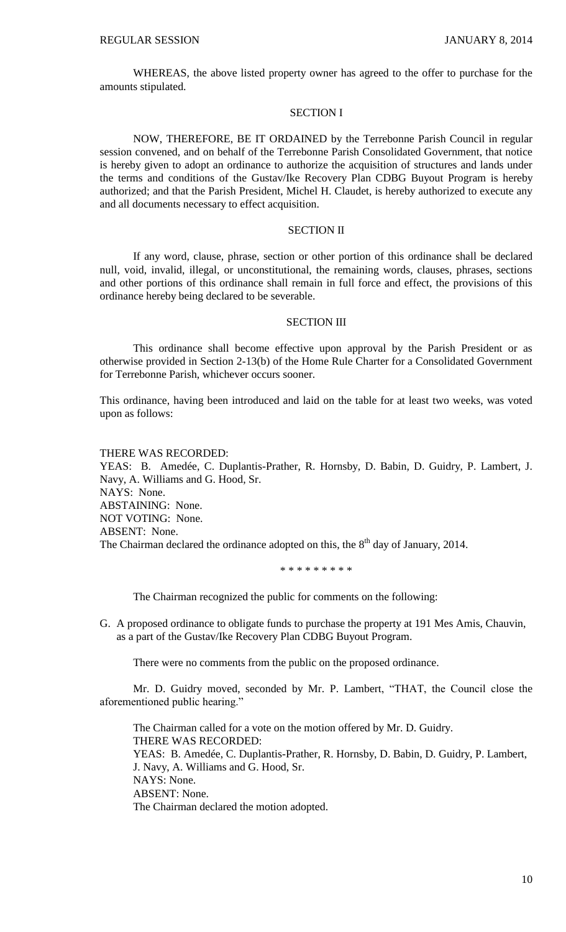WHEREAS, the above listed property owner has agreed to the offer to purchase for the amounts stipulated.

### SECTION I

NOW, THEREFORE, BE IT ORDAINED by the Terrebonne Parish Council in regular session convened, and on behalf of the Terrebonne Parish Consolidated Government, that notice is hereby given to adopt an ordinance to authorize the acquisition of structures and lands under the terms and conditions of the Gustav/Ike Recovery Plan CDBG Buyout Program is hereby authorized; and that the Parish President, Michel H. Claudet, is hereby authorized to execute any and all documents necessary to effect acquisition.

### SECTION II

If any word, clause, phrase, section or other portion of this ordinance shall be declared null, void, invalid, illegal, or unconstitutional, the remaining words, clauses, phrases, sections and other portions of this ordinance shall remain in full force and effect, the provisions of this ordinance hereby being declared to be severable.

## SECTION III

This ordinance shall become effective upon approval by the Parish President or as otherwise provided in Section 2-13(b) of the Home Rule Charter for a Consolidated Government for Terrebonne Parish, whichever occurs sooner.

This ordinance, having been introduced and laid on the table for at least two weeks, was voted upon as follows:

#### THERE WAS RECORDED:

YEAS: B. Amedée, C. Duplantis-Prather, R. Hornsby, D. Babin, D. Guidry, P. Lambert, J. Navy, A. Williams and G. Hood, Sr. NAYS: None. ABSTAINING: None. NOT VOTING: None. ABSENT: None. The Chairman declared the ordinance adopted on this, the  $8<sup>th</sup>$  day of January, 2014.

\* \* \* \* \* \* \* \* \*

The Chairman recognized the public for comments on the following:

G. A proposed ordinance to obligate funds to purchase the property at 191 Mes Amis, Chauvin, as a part of the Gustav/Ike Recovery Plan CDBG Buyout Program.

There were no comments from the public on the proposed ordinance.

Mr. D. Guidry moved, seconded by Mr. P. Lambert, "THAT, the Council close the aforementioned public hearing."

The Chairman called for a vote on the motion offered by Mr. D. Guidry. THERE WAS RECORDED: YEAS: B. Amedée, C. Duplantis-Prather, R. Hornsby, D. Babin, D. Guidry, P. Lambert, J. Navy, A. Williams and G. Hood, Sr. NAYS: None. ABSENT: None. The Chairman declared the motion adopted.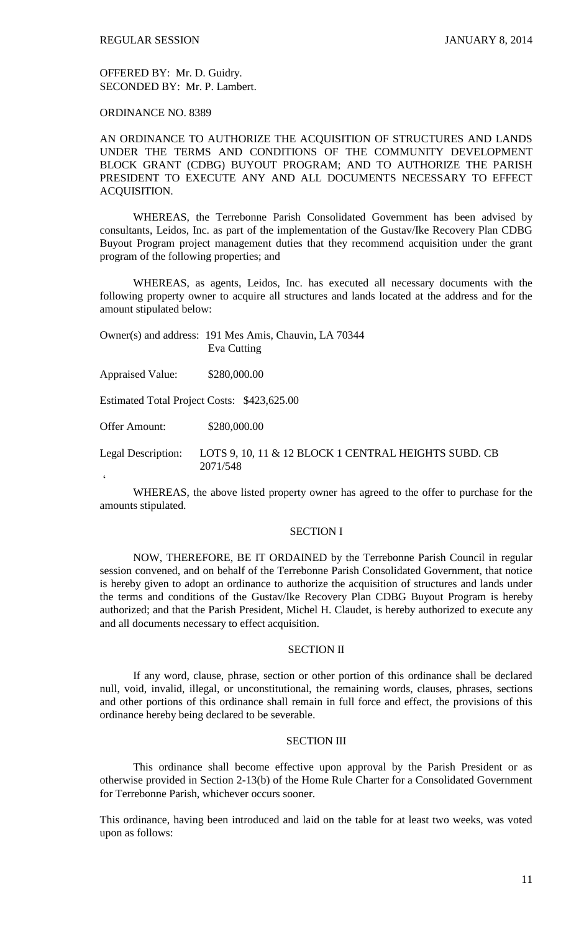OFFERED BY: Mr. D. Guidry. SECONDED BY: Mr. P. Lambert.

ORDINANCE NO. 8389

 $\zeta$ 

AN ORDINANCE TO AUTHORIZE THE ACQUISITION OF STRUCTURES AND LANDS UNDER THE TERMS AND CONDITIONS OF THE COMMUNITY DEVELOPMENT BLOCK GRANT (CDBG) BUYOUT PROGRAM; AND TO AUTHORIZE THE PARISH PRESIDENT TO EXECUTE ANY AND ALL DOCUMENTS NECESSARY TO EFFECT ACQUISITION.

WHEREAS, the Terrebonne Parish Consolidated Government has been advised by consultants, Leidos, Inc. as part of the implementation of the Gustav/Ike Recovery Plan CDBG Buyout Program project management duties that they recommend acquisition under the grant program of the following properties; and

WHEREAS, as agents, Leidos, Inc. has executed all necessary documents with the following property owner to acquire all structures and lands located at the address and for the amount stipulated below:

|                                             | Owner(s) and address: 191 Mes Amis, Chauvin, LA 70344<br>Eva Cutting |
|---------------------------------------------|----------------------------------------------------------------------|
| <b>Appraised Value:</b>                     | \$280,000.00                                                         |
| Estimated Total Project Costs: \$423,625.00 |                                                                      |
| Offer Amount:                               | \$280,000.00                                                         |
| <b>Legal Description:</b>                   | LOTS 9, 10, 11 & 12 BLOCK 1 CENTRAL HEIGHTS SUBD. CB<br>2071/548     |

WHEREAS, the above listed property owner has agreed to the offer to purchase for the amounts stipulated.

#### SECTION I

NOW, THEREFORE, BE IT ORDAINED by the Terrebonne Parish Council in regular session convened, and on behalf of the Terrebonne Parish Consolidated Government, that notice is hereby given to adopt an ordinance to authorize the acquisition of structures and lands under the terms and conditions of the Gustav/Ike Recovery Plan CDBG Buyout Program is hereby authorized; and that the Parish President, Michel H. Claudet, is hereby authorized to execute any and all documents necessary to effect acquisition.

#### SECTION II

If any word, clause, phrase, section or other portion of this ordinance shall be declared null, void, invalid, illegal, or unconstitutional, the remaining words, clauses, phrases, sections and other portions of this ordinance shall remain in full force and effect, the provisions of this ordinance hereby being declared to be severable.

## SECTION III

This ordinance shall become effective upon approval by the Parish President or as otherwise provided in Section 2-13(b) of the Home Rule Charter for a Consolidated Government for Terrebonne Parish, whichever occurs sooner.

This ordinance, having been introduced and laid on the table for at least two weeks, was voted upon as follows: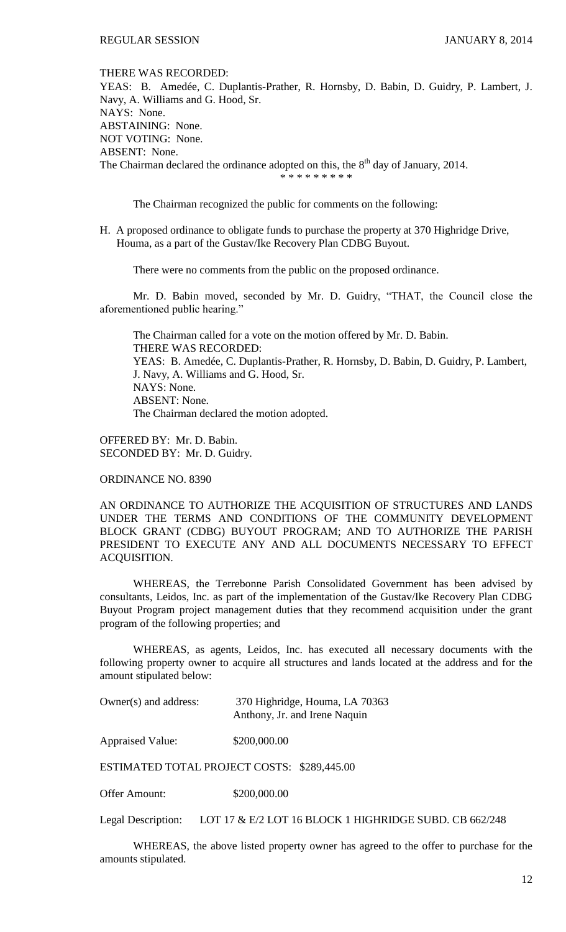THERE WAS RECORDED:

YEAS: B. Amedée, C. Duplantis-Prather, R. Hornsby, D. Babin, D. Guidry, P. Lambert, J. Navy, A. Williams and G. Hood, Sr. NAYS: None. ABSTAINING: None. NOT VOTING: None. ABSENT: None. The Chairman declared the ordinance adopted on this, the  $8<sup>th</sup>$  day of January, 2014.

\* \* \* \* \* \* \* \*

The Chairman recognized the public for comments on the following:

H. A proposed ordinance to obligate funds to purchase the property at 370 Highridge Drive, Houma, as a part of the Gustav/Ike Recovery Plan CDBG Buyout.

There were no comments from the public on the proposed ordinance.

Mr. D. Babin moved, seconded by Mr. D. Guidry, "THAT, the Council close the aforementioned public hearing."

The Chairman called for a vote on the motion offered by Mr. D. Babin. THERE WAS RECORDED: YEAS: B. Amedée, C. Duplantis-Prather, R. Hornsby, D. Babin, D. Guidry, P. Lambert, J. Navy, A. Williams and G. Hood, Sr. NAYS: None. ABSENT: None. The Chairman declared the motion adopted.

OFFERED BY: Mr. D. Babin. SECONDED BY: Mr. D. Guidry.

ORDINANCE NO. 8390

AN ORDINANCE TO AUTHORIZE THE ACQUISITION OF STRUCTURES AND LANDS UNDER THE TERMS AND CONDITIONS OF THE COMMUNITY DEVELOPMENT BLOCK GRANT (CDBG) BUYOUT PROGRAM; AND TO AUTHORIZE THE PARISH PRESIDENT TO EXECUTE ANY AND ALL DOCUMENTS NECESSARY TO EFFECT ACQUISITION.

WHEREAS, the Terrebonne Parish Consolidated Government has been advised by consultants, Leidos, Inc. as part of the implementation of the Gustav/Ike Recovery Plan CDBG Buyout Program project management duties that they recommend acquisition under the grant program of the following properties; and

WHEREAS, as agents, Leidos, Inc. has executed all necessary documents with the following property owner to acquire all structures and lands located at the address and for the amount stipulated below:

| Owner(s) and address: | 370 Highridge, Houma, LA 70363 |
|-----------------------|--------------------------------|
|                       | Anthony, Jr. and Irene Naquin  |

Appraised Value: \$200,000.00

ESTIMATED TOTAL PROJECT COSTS: \$289,445.00

Offer Amount: \$200,000.00

Legal Description: LOT 17 & E/2 LOT 16 BLOCK 1 HIGHRIDGE SUBD. CB 662/248

WHEREAS, the above listed property owner has agreed to the offer to purchase for the amounts stipulated.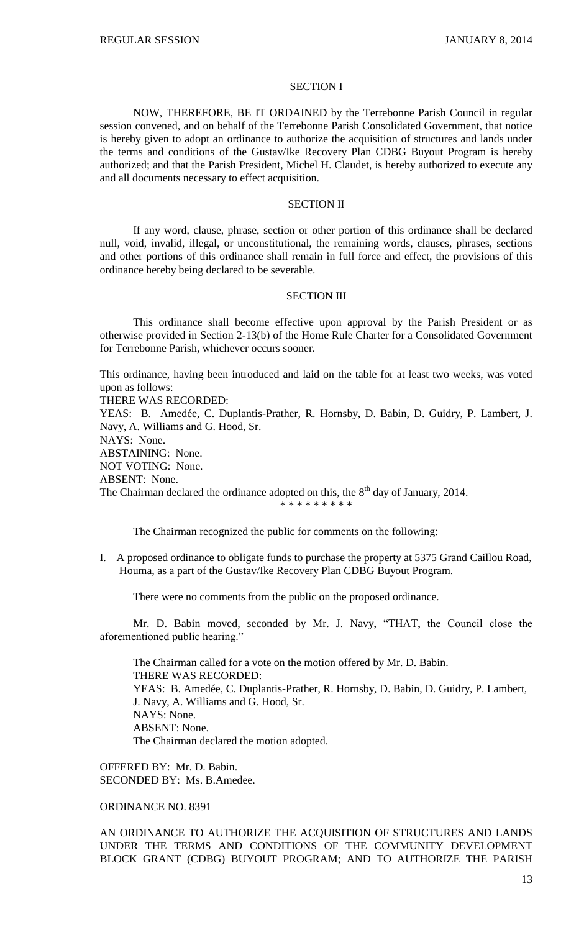#### SECTION I

NOW, THEREFORE, BE IT ORDAINED by the Terrebonne Parish Council in regular session convened, and on behalf of the Terrebonne Parish Consolidated Government, that notice is hereby given to adopt an ordinance to authorize the acquisition of structures and lands under the terms and conditions of the Gustav/Ike Recovery Plan CDBG Buyout Program is hereby authorized; and that the Parish President, Michel H. Claudet, is hereby authorized to execute any and all documents necessary to effect acquisition.

#### SECTION II

If any word, clause, phrase, section or other portion of this ordinance shall be declared null, void, invalid, illegal, or unconstitutional, the remaining words, clauses, phrases, sections and other portions of this ordinance shall remain in full force and effect, the provisions of this ordinance hereby being declared to be severable.

#### SECTION III

This ordinance shall become effective upon approval by the Parish President or as otherwise provided in Section 2-13(b) of the Home Rule Charter for a Consolidated Government for Terrebonne Parish, whichever occurs sooner.

This ordinance, having been introduced and laid on the table for at least two weeks, was voted upon as follows:

THERE WAS RECORDED:

YEAS: B. Amedée, C. Duplantis-Prather, R. Hornsby, D. Babin, D. Guidry, P. Lambert, J. Navy, A. Williams and G. Hood, Sr.

NAYS: None.

ABSTAINING: None.

NOT VOTING: None.

ABSENT: None.

The Chairman declared the ordinance adopted on this, the  $8<sup>th</sup>$  day of January, 2014. \* \* \* \* \* \* \* \* \*

The Chairman recognized the public for comments on the following:

I. A proposed ordinance to obligate funds to purchase the property at 5375 Grand Caillou Road, Houma, as a part of the Gustav/Ike Recovery Plan CDBG Buyout Program.

There were no comments from the public on the proposed ordinance.

Mr. D. Babin moved, seconded by Mr. J. Navy, "THAT, the Council close the aforementioned public hearing."

The Chairman called for a vote on the motion offered by Mr. D. Babin. THERE WAS RECORDED: YEAS: B. Amedée, C. Duplantis-Prather, R. Hornsby, D. Babin, D. Guidry, P. Lambert, J. Navy, A. Williams and G. Hood, Sr. NAYS: None. ABSENT: None. The Chairman declared the motion adopted.

OFFERED BY: Mr. D. Babin. SECONDED BY: Ms. B.Amedee.

### ORDINANCE NO. 8391

AN ORDINANCE TO AUTHORIZE THE ACQUISITION OF STRUCTURES AND LANDS UNDER THE TERMS AND CONDITIONS OF THE COMMUNITY DEVELOPMENT BLOCK GRANT (CDBG) BUYOUT PROGRAM; AND TO AUTHORIZE THE PARISH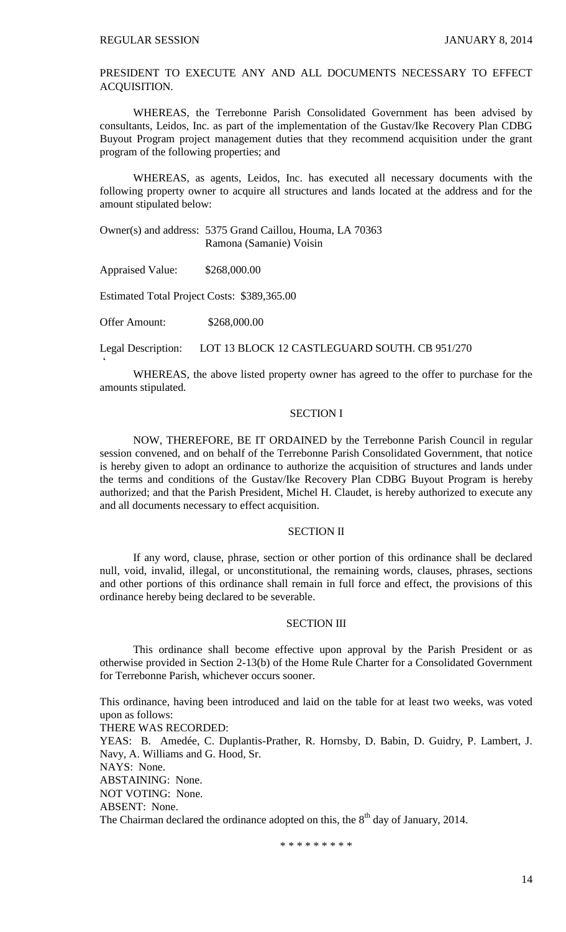PRESIDENT TO EXECUTE ANY AND ALL DOCUMENTS NECESSARY TO EFFECT ACQUISITION.

WHEREAS, the Terrebonne Parish Consolidated Government has been advised by consultants, Leidos, Inc. as part of the implementation of the Gustav/Ike Recovery Plan CDBG Buyout Program project management duties that they recommend acquisition under the grant program of the following properties; and

WHEREAS, as agents, Leidos, Inc. has executed all necessary documents with the following property owner to acquire all structures and lands located at the address and for the amount stipulated below:

Owner(s) and address: 5375 Grand Caillou, Houma, LA 70363 Ramona (Samanie) Voisin

Appraised Value: \$268,000.00

Estimated Total Project Costs: \$389,365.00

Offer Amount: \$268,000.00

 $\zeta$ 

Legal Description: LOT 13 BLOCK 12 CASTLEGUARD SOUTH. CB 951/270

WHEREAS, the above listed property owner has agreed to the offer to purchase for the amounts stipulated.

#### SECTION I

NOW, THEREFORE, BE IT ORDAINED by the Terrebonne Parish Council in regular session convened, and on behalf of the Terrebonne Parish Consolidated Government, that notice is hereby given to adopt an ordinance to authorize the acquisition of structures and lands under the terms and conditions of the Gustav/Ike Recovery Plan CDBG Buyout Program is hereby authorized; and that the Parish President, Michel H. Claudet, is hereby authorized to execute any and all documents necessary to effect acquisition.

#### SECTION II

If any word, clause, phrase, section or other portion of this ordinance shall be declared null, void, invalid, illegal, or unconstitutional, the remaining words, clauses, phrases, sections and other portions of this ordinance shall remain in full force and effect, the provisions of this ordinance hereby being declared to be severable.

### SECTION III

This ordinance shall become effective upon approval by the Parish President or as otherwise provided in Section 2-13(b) of the Home Rule Charter for a Consolidated Government for Terrebonne Parish, whichever occurs sooner.

This ordinance, having been introduced and laid on the table for at least two weeks, was voted upon as follows: THERE WAS RECORDED:

YEAS: B. Amedée, C. Duplantis-Prather, R. Hornsby, D. Babin, D. Guidry, P. Lambert, J. Navy, A. Williams and G. Hood, Sr.

NAYS: None.

ABSTAINING: None.

NOT VOTING: None.

ABSENT: None.

The Chairman declared the ordinance adopted on this, the  $8<sup>th</sup>$  day of January, 2014.

\* \* \* \* \* \* \* \* \*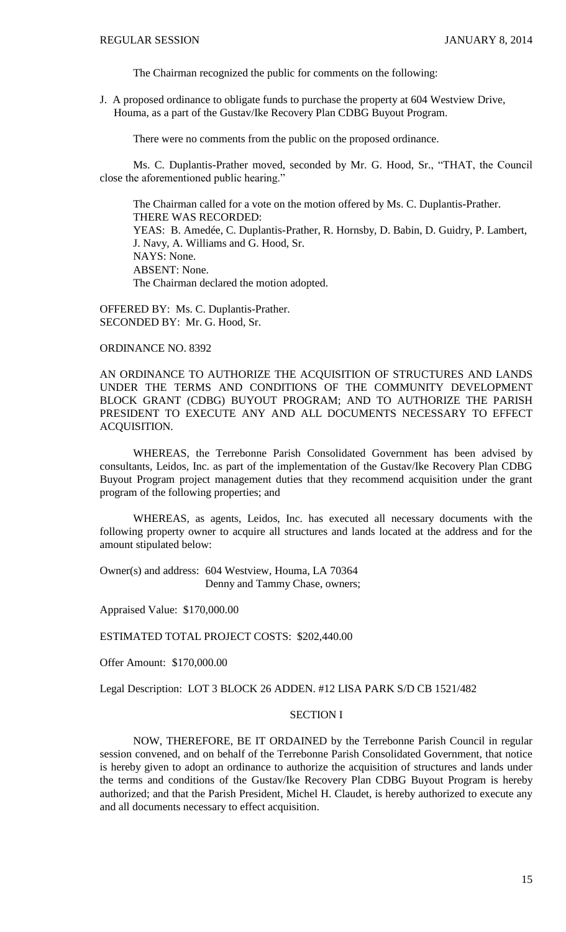The Chairman recognized the public for comments on the following:

J. A proposed ordinance to obligate funds to purchase the property at 604 Westview Drive, Houma, as a part of the Gustav/Ike Recovery Plan CDBG Buyout Program.

There were no comments from the public on the proposed ordinance.

Ms. C. Duplantis-Prather moved, seconded by Mr. G. Hood, Sr., "THAT, the Council close the aforementioned public hearing."

The Chairman called for a vote on the motion offered by Ms. C. Duplantis-Prather. THERE WAS RECORDED: YEAS: B. Amedée, C. Duplantis-Prather, R. Hornsby, D. Babin, D. Guidry, P. Lambert, J. Navy, A. Williams and G. Hood, Sr. NAYS: None. ABSENT: None. The Chairman declared the motion adopted.

OFFERED BY: Ms. C. Duplantis-Prather. SECONDED BY: Mr. G. Hood, Sr.

ORDINANCE NO. 8392

AN ORDINANCE TO AUTHORIZE THE ACQUISITION OF STRUCTURES AND LANDS UNDER THE TERMS AND CONDITIONS OF THE COMMUNITY DEVELOPMENT BLOCK GRANT (CDBG) BUYOUT PROGRAM; AND TO AUTHORIZE THE PARISH PRESIDENT TO EXECUTE ANY AND ALL DOCUMENTS NECESSARY TO EFFECT ACQUISITION.

WHEREAS, the Terrebonne Parish Consolidated Government has been advised by consultants, Leidos, Inc. as part of the implementation of the Gustav/Ike Recovery Plan CDBG Buyout Program project management duties that they recommend acquisition under the grant program of the following properties; and

WHEREAS, as agents, Leidos, Inc. has executed all necessary documents with the following property owner to acquire all structures and lands located at the address and for the amount stipulated below:

Owner(s) and address: 604 Westview, Houma, LA 70364 Denny and Tammy Chase, owners;

Appraised Value: \$170,000.00

ESTIMATED TOTAL PROJECT COSTS: \$202,440.00

Offer Amount: \$170,000.00

Legal Description: LOT 3 BLOCK 26 ADDEN. #12 LISA PARK S/D CB 1521/482

#### SECTION I

NOW, THEREFORE, BE IT ORDAINED by the Terrebonne Parish Council in regular session convened, and on behalf of the Terrebonne Parish Consolidated Government, that notice is hereby given to adopt an ordinance to authorize the acquisition of structures and lands under the terms and conditions of the Gustav/Ike Recovery Plan CDBG Buyout Program is hereby authorized; and that the Parish President, Michel H. Claudet, is hereby authorized to execute any and all documents necessary to effect acquisition.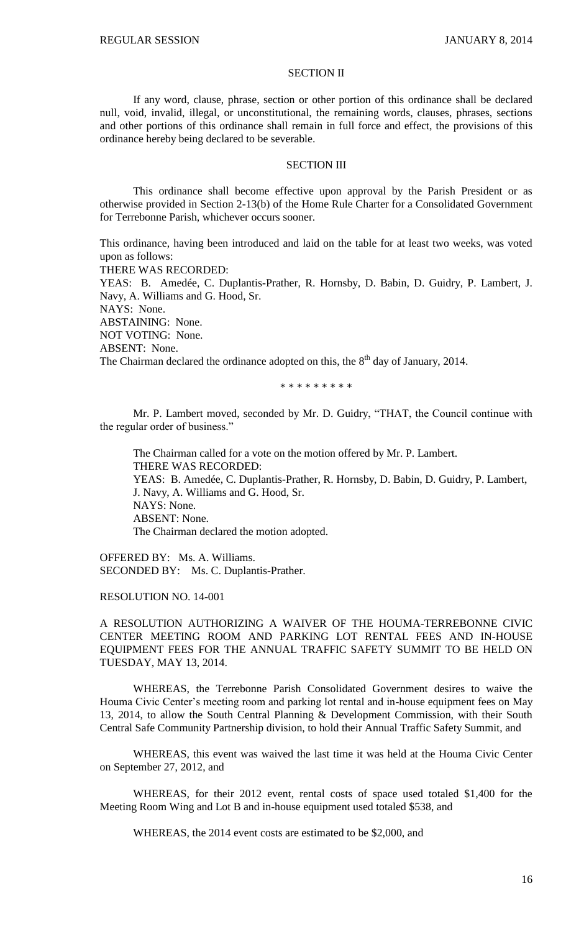### SECTION II

If any word, clause, phrase, section or other portion of this ordinance shall be declared null, void, invalid, illegal, or unconstitutional, the remaining words, clauses, phrases, sections and other portions of this ordinance shall remain in full force and effect, the provisions of this ordinance hereby being declared to be severable.

#### SECTION III

This ordinance shall become effective upon approval by the Parish President or as otherwise provided in Section 2-13(b) of the Home Rule Charter for a Consolidated Government for Terrebonne Parish, whichever occurs sooner.

This ordinance, having been introduced and laid on the table for at least two weeks, was voted upon as follows: THERE WAS RECORDED: YEAS: B. Amedée, C. Duplantis-Prather, R. Hornsby, D. Babin, D. Guidry, P. Lambert, J. Navy, A. Williams and G. Hood, Sr. NAYS: None. ABSTAINING: None. NOT VOTING: None. ABSENT: None.

The Chairman declared the ordinance adopted on this, the  $8<sup>th</sup>$  day of January, 2014.

\* \* \* \* \* \* \* \* \*

Mr. P. Lambert moved, seconded by Mr. D. Guidry, "THAT, the Council continue with the regular order of business."

The Chairman called for a vote on the motion offered by Mr. P. Lambert. THERE WAS RECORDED: YEAS: B. Amedée, C. Duplantis-Prather, R. Hornsby, D. Babin, D. Guidry, P. Lambert, J. Navy, A. Williams and G. Hood, Sr. NAYS: None. ABSENT: None. The Chairman declared the motion adopted.

OFFERED BY: Ms. A. Williams. SECONDED BY: Ms. C. Duplantis-Prather.

### RESOLUTION NO. 14-001

A RESOLUTION AUTHORIZING A WAIVER OF THE HOUMA-TERREBONNE CIVIC CENTER MEETING ROOM AND PARKING LOT RENTAL FEES AND IN-HOUSE EQUIPMENT FEES FOR THE ANNUAL TRAFFIC SAFETY SUMMIT TO BE HELD ON TUESDAY, MAY 13, 2014.

WHEREAS, the Terrebonne Parish Consolidated Government desires to waive the Houma Civic Center's meeting room and parking lot rental and in-house equipment fees on May 13, 2014, to allow the South Central Planning & Development Commission, with their South Central Safe Community Partnership division, to hold their Annual Traffic Safety Summit, and

WHEREAS, this event was waived the last time it was held at the Houma Civic Center on September 27, 2012, and

WHEREAS, for their 2012 event, rental costs of space used totaled \$1,400 for the Meeting Room Wing and Lot B and in-house equipment used totaled \$538, and

WHEREAS, the 2014 event costs are estimated to be \$2,000, and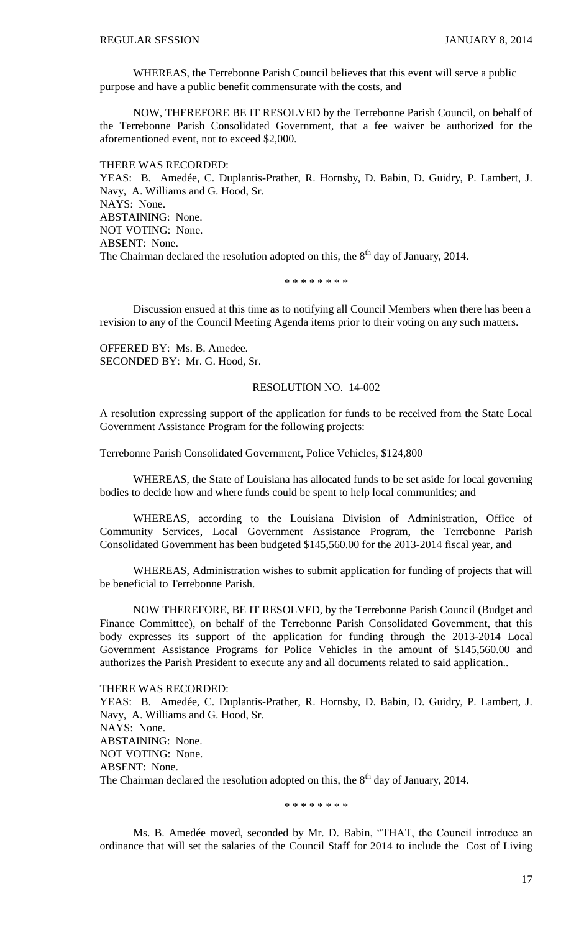WHEREAS, the Terrebonne Parish Council believes that this event will serve a public purpose and have a public benefit commensurate with the costs, and

NOW, THEREFORE BE IT RESOLVED by the Terrebonne Parish Council, on behalf of the Terrebonne Parish Consolidated Government, that a fee waiver be authorized for the aforementioned event, not to exceed \$2,000.

THERE WAS RECORDED: YEAS: B. Amedée, C. Duplantis-Prather, R. Hornsby, D. Babin, D. Guidry, P. Lambert, J. Navy, A. Williams and G. Hood, Sr. NAYS: None. ABSTAINING: None. NOT VOTING: None. ABSENT: None. The Chairman declared the resolution adopted on this, the  $8<sup>th</sup>$  day of January, 2014.

\* \* \* \* \* \* \* \*

Discussion ensued at this time as to notifying all Council Members when there has been a revision to any of the Council Meeting Agenda items prior to their voting on any such matters.

OFFERED BY: Ms. B. Amedee. SECONDED BY: Mr. G. Hood, Sr.

#### RESOLUTION NO. 14-002

A resolution expressing support of the application for funds to be received from the State Local Government Assistance Program for the following projects:

Terrebonne Parish Consolidated Government, Police Vehicles, \$124,800

WHEREAS, the State of Louisiana has allocated funds to be set aside for local governing bodies to decide how and where funds could be spent to help local communities; and

WHEREAS, according to the Louisiana Division of Administration, Office of Community Services, Local Government Assistance Program, the Terrebonne Parish Consolidated Government has been budgeted \$145,560.00 for the 2013-2014 fiscal year, and

WHEREAS, Administration wishes to submit application for funding of projects that will be beneficial to Terrebonne Parish.

NOW THEREFORE, BE IT RESOLVED, by the Terrebonne Parish Council (Budget and Finance Committee), on behalf of the Terrebonne Parish Consolidated Government, that this body expresses its support of the application for funding through the 2013-2014 Local Government Assistance Programs for Police Vehicles in the amount of \$145,560.00 and authorizes the Parish President to execute any and all documents related to said application..

THERE WAS RECORDED:

YEAS: B. Amedée, C. Duplantis-Prather, R. Hornsby, D. Babin, D. Guidry, P. Lambert, J. Navy, A. Williams and G. Hood, Sr. NAYS: None. ABSTAINING: None. NOT VOTING: None. ABSENT: None. The Chairman declared the resolution adopted on this, the 8<sup>th</sup> day of January, 2014.

\* \* \* \* \* \* \* \*

Ms. B. Amedée moved, seconded by Mr. D. Babin, "THAT, the Council introduce an ordinance that will set the salaries of the Council Staff for 2014 to include the Cost of Living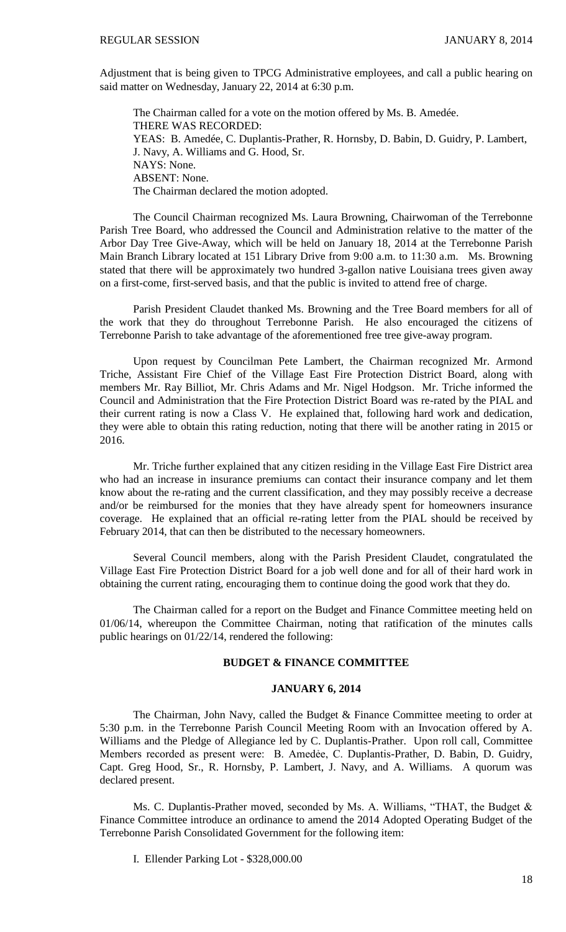Adjustment that is being given to TPCG Administrative employees, and call a public hearing on said matter on Wednesday, January 22, 2014 at 6:30 p.m.

The Chairman called for a vote on the motion offered by Ms. B. Amedée. THERE WAS RECORDED: YEAS: B. Amedée, C. Duplantis-Prather, R. Hornsby, D. Babin, D. Guidry, P. Lambert, J. Navy, A. Williams and G. Hood, Sr. NAYS: None. ABSENT: None. The Chairman declared the motion adopted.

The Council Chairman recognized Ms. Laura Browning, Chairwoman of the Terrebonne Parish Tree Board, who addressed the Council and Administration relative to the matter of the Arbor Day Tree Give-Away, which will be held on January 18, 2014 at the Terrebonne Parish Main Branch Library located at 151 Library Drive from 9:00 a.m. to 11:30 a.m. Ms. Browning stated that there will be approximately two hundred 3-gallon native Louisiana trees given away on a first-come, first-served basis, and that the public is invited to attend free of charge.

Parish President Claudet thanked Ms. Browning and the Tree Board members for all of the work that they do throughout Terrebonne Parish. He also encouraged the citizens of Terrebonne Parish to take advantage of the aforementioned free tree give-away program.

Upon request by Councilman Pete Lambert, the Chairman recognized Mr. Armond Triche, Assistant Fire Chief of the Village East Fire Protection District Board, along with members Mr. Ray Billiot, Mr. Chris Adams and Mr. Nigel Hodgson. Mr. Triche informed the Council and Administration that the Fire Protection District Board was re-rated by the PIAL and their current rating is now a Class V. He explained that, following hard work and dedication, they were able to obtain this rating reduction, noting that there will be another rating in 2015 or 2016.

Mr. Triche further explained that any citizen residing in the Village East Fire District area who had an increase in insurance premiums can contact their insurance company and let them know about the re-rating and the current classification, and they may possibly receive a decrease and/or be reimbursed for the monies that they have already spent for homeowners insurance coverage. He explained that an official re-rating letter from the PIAL should be received by February 2014, that can then be distributed to the necessary homeowners.

Several Council members, along with the Parish President Claudet, congratulated the Village East Fire Protection District Board for a job well done and for all of their hard work in obtaining the current rating, encouraging them to continue doing the good work that they do.

The Chairman called for a report on the Budget and Finance Committee meeting held on 01/06/14, whereupon the Committee Chairman, noting that ratification of the minutes calls public hearings on 01/22/14, rendered the following:

### **BUDGET & FINANCE COMMITTEE**

#### **JANUARY 6, 2014**

The Chairman, John Navy, called the Budget & Finance Committee meeting to order at 5:30 p.m. in the Terrebonne Parish Council Meeting Room with an Invocation offered by A. Williams and the Pledge of Allegiance led by C. Duplantis-Prather. Upon roll call, Committee Members recorded as present were: B. Amedẻe, C. Duplantis-Prather, D. Babin, D. Guidry, Capt. Greg Hood, Sr., R. Hornsby, P. Lambert, J. Navy, and A. Williams. A quorum was declared present.

Ms. C. Duplantis-Prather moved, seconded by Ms. A. Williams, "THAT, the Budget & Finance Committee introduce an ordinance to amend the 2014 Adopted Operating Budget of the Terrebonne Parish Consolidated Government for the following item:

I. Ellender Parking Lot - \$328,000.00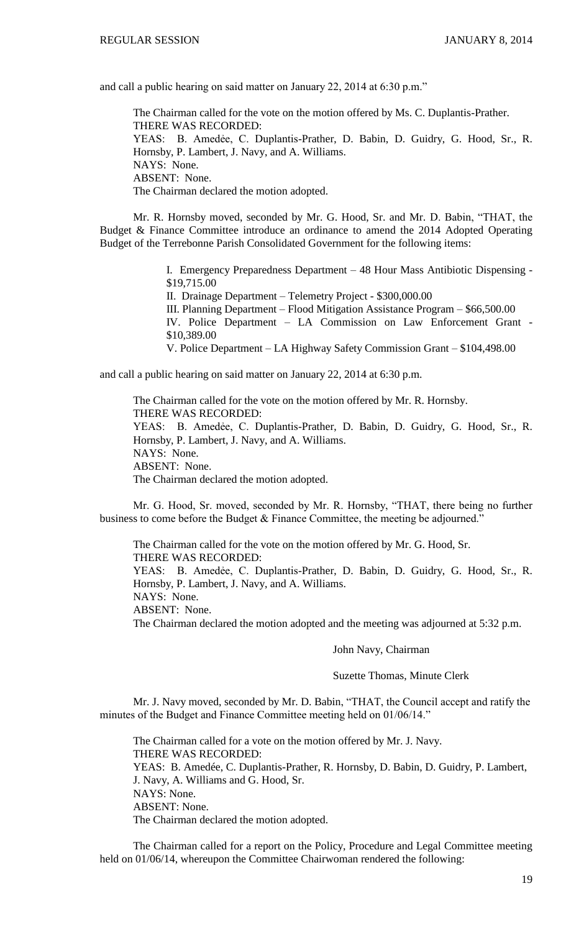and call a public hearing on said matter on January 22, 2014 at 6:30 p.m."

The Chairman called for the vote on the motion offered by Ms. C. Duplantis-Prather. THERE WAS RECORDED: YEAS: B. Amedẻe, C. Duplantis-Prather, D. Babin, D. Guidry, G. Hood, Sr., R. Hornsby, P. Lambert, J. Navy, and A. Williams. NAYS: None. ABSENT: None. The Chairman declared the motion adopted.

Mr. R. Hornsby moved, seconded by Mr. G. Hood, Sr. and Mr. D. Babin, "THAT, the Budget & Finance Committee introduce an ordinance to amend the 2014 Adopted Operating Budget of the Terrebonne Parish Consolidated Government for the following items:

> I. Emergency Preparedness Department – 48 Hour Mass Antibiotic Dispensing - \$19,715.00 II. Drainage Department – Telemetry Project - \$300,000.00 III. Planning Department – Flood Mitigation Assistance Program – \$66,500.00 IV. Police Department – LA Commission on Law Enforcement Grant - \$10,389.00 V. Police Department – LA Highway Safety Commission Grant – \$104,498.00

and call a public hearing on said matter on January 22, 2014 at 6:30 p.m.

The Chairman called for the vote on the motion offered by Mr. R. Hornsby. THERE WAS RECORDED: YEAS: B. Amedẻe, C. Duplantis-Prather, D. Babin, D. Guidry, G. Hood, Sr., R. Hornsby, P. Lambert, J. Navy, and A. Williams. NAYS: None. ABSENT: None. The Chairman declared the motion adopted.

Mr. G. Hood, Sr. moved, seconded by Mr. R. Hornsby, "THAT, there being no further business to come before the Budget & Finance Committee, the meeting be adjourned."

The Chairman called for the vote on the motion offered by Mr. G. Hood, Sr. THERE WAS RECORDED: YEAS: B. Amedėe, C. Duplantis-Prather, D. Babin, D. Guidry, G. Hood, Sr., R. Hornsby, P. Lambert, J. Navy, and A. Williams. NAYS: None. ABSENT: None. The Chairman declared the motion adopted and the meeting was adjourned at 5:32 p.m.

# John Navy, Chairman

## Suzette Thomas, Minute Clerk

Mr. J. Navy moved, seconded by Mr. D. Babin, "THAT, the Council accept and ratify the minutes of the Budget and Finance Committee meeting held on 01/06/14."

The Chairman called for a vote on the motion offered by Mr. J. Navy. THERE WAS RECORDED: YEAS: B. Amedée, C. Duplantis-Prather, R. Hornsby, D. Babin, D. Guidry, P. Lambert, J. Navy, A. Williams and G. Hood, Sr. NAYS: None. ABSENT: None. The Chairman declared the motion adopted.

The Chairman called for a report on the Policy, Procedure and Legal Committee meeting held on 01/06/14, whereupon the Committee Chairwoman rendered the following: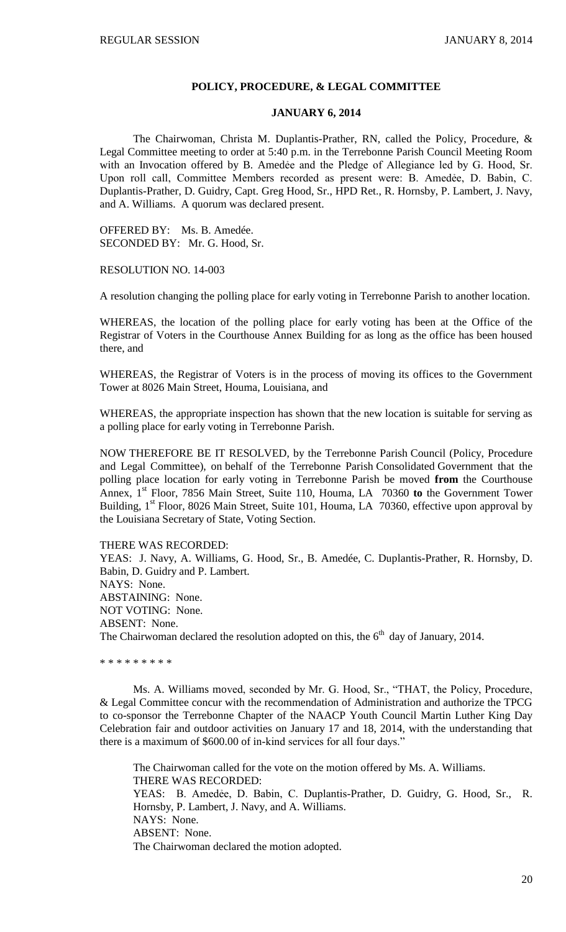#### **POLICY, PROCEDURE, & LEGAL COMMITTEE**

#### **JANUARY 6, 2014**

The Chairwoman, Christa M. Duplantis-Prather, RN, called the Policy, Procedure, & Legal Committee meeting to order at 5:40 p.m. in the Terrebonne Parish Council Meeting Room with an Invocation offered by B. Amedée and the Pledge of Allegiance led by G. Hood, Sr. Upon roll call, Committee Members recorded as present were: B. Amedẻe, D. Babin, C. Duplantis-Prather, D. Guidry, Capt. Greg Hood, Sr., HPD Ret., R. Hornsby, P. Lambert, J. Navy, and A. Williams. A quorum was declared present.

OFFERED BY: Ms. B. Amedée. SECONDED BY: Mr. G. Hood, Sr.

RESOLUTION NO. 14-003

A resolution changing the polling place for early voting in Terrebonne Parish to another location.

WHEREAS, the location of the polling place for early voting has been at the Office of the Registrar of Voters in the Courthouse Annex Building for as long as the office has been housed there, and

WHEREAS, the Registrar of Voters is in the process of moving its offices to the Government Tower at 8026 Main Street, Houma, Louisiana, and

WHEREAS, the appropriate inspection has shown that the new location is suitable for serving as a polling place for early voting in Terrebonne Parish.

NOW THEREFORE BE IT RESOLVED, by the Terrebonne Parish Council (Policy, Procedure and Legal Committee), on behalf of the Terrebonne Parish Consolidated Government that the polling place location for early voting in Terrebonne Parish be moved **from** the Courthouse Annex, 1<sup>st</sup> Floor, 7856 Main Street, Suite 110, Houma, LA 70360 to the Government Tower Building,  $1<sup>st</sup>$  Floor, 8026 Main Street, Suite 101, Houma, LA 70360, effective upon approval by the Louisiana Secretary of State, Voting Section.

THERE WAS RECORDED: YEAS: J. Navy, A. Williams, G. Hood, Sr., B. Amedée, C. Duplantis-Prather, R. Hornsby, D. Babin, D. Guidry and P. Lambert. NAYS: None. ABSTAINING: None. NOT VOTING: None. ABSENT: None. The Chairwoman declared the resolution adopted on this, the  $6<sup>th</sup>$  day of January, 2014.

\* \* \* \* \* \* \* \* \*

Ms. A. Williams moved, seconded by Mr. G. Hood, Sr., "THAT, the Policy, Procedure, & Legal Committee concur with the recommendation of Administration and authorize the TPCG to co-sponsor the Terrebonne Chapter of the NAACP Youth Council Martin Luther King Day Celebration fair and outdoor activities on January 17 and 18, 2014, with the understanding that there is a maximum of \$600.00 of in-kind services for all four days."

The Chairwoman called for the vote on the motion offered by Ms. A. Williams. THERE WAS RECORDED: YEAS: B. Amedẻe, D. Babin, C. Duplantis-Prather, D. Guidry, G. Hood, Sr., R. Hornsby, P. Lambert, J. Navy, and A. Williams. NAYS: None. ABSENT: None. The Chairwoman declared the motion adopted.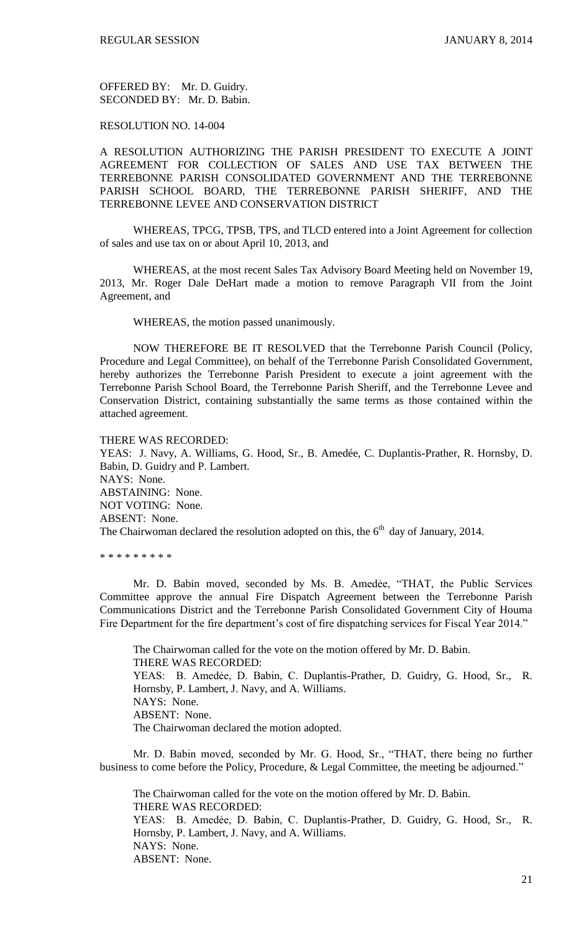OFFERED BY: Mr. D. Guidry. SECONDED BY: Mr. D. Babin.

### RESOLUTION NO. 14-004

A RESOLUTION AUTHORIZING THE PARISH PRESIDENT TO EXECUTE A JOINT AGREEMENT FOR COLLECTION OF SALES AND USE TAX BETWEEN THE TERREBONNE PARISH CONSOLIDATED GOVERNMENT AND THE TERREBONNE PARISH SCHOOL BOARD, THE TERREBONNE PARISH SHERIFF, AND THE TERREBONNE LEVEE AND CONSERVATION DISTRICT

WHEREAS, TPCG, TPSB, TPS, and TLCD entered into a Joint Agreement for collection of sales and use tax on or about April 10, 2013, and

WHEREAS, at the most recent Sales Tax Advisory Board Meeting held on November 19, 2013, Mr. Roger Dale DeHart made a motion to remove Paragraph VII from the Joint Agreement, and

WHEREAS, the motion passed unanimously.

NOW THEREFORE BE IT RESOLVED that the Terrebonne Parish Council (Policy, Procedure and Legal Committee), on behalf of the Terrebonne Parish Consolidated Government, hereby authorizes the Terrebonne Parish President to execute a joint agreement with the Terrebonne Parish School Board, the Terrebonne Parish Sheriff, and the Terrebonne Levee and Conservation District, containing substantially the same terms as those contained within the attached agreement.

#### THERE WAS RECORDED:

YEAS: J. Navy, A. Williams, G. Hood, Sr., B. Amedée, C. Duplantis-Prather, R. Hornsby, D. Babin, D. Guidry and P. Lambert. NAYS: None. ABSTAINING: None. NOT VOTING: None. ABSENT: None. The Chairwoman declared the resolution adopted on this, the  $6<sup>th</sup>$  day of January, 2014.

\* \* \* \* \* \* \* \* \*

Mr. D. Babin moved, seconded by Ms. B. Amedée, "THAT, the Public Services Committee approve the annual Fire Dispatch Agreement between the Terrebonne Parish Communications District and the Terrebonne Parish Consolidated Government City of Houma Fire Department for the fire department's cost of fire dispatching services for Fiscal Year 2014."

The Chairwoman called for the vote on the motion offered by Mr. D. Babin. THERE WAS RECORDED: YEAS: B. Amedẻe, D. Babin, C. Duplantis-Prather, D. Guidry, G. Hood, Sr., R. Hornsby, P. Lambert, J. Navy, and A. Williams. NAYS: None. ABSENT: None. The Chairwoman declared the motion adopted.

Mr. D. Babin moved, seconded by Mr. G. Hood, Sr., "THAT, there being no further business to come before the Policy, Procedure, & Legal Committee, the meeting be adjourned."

The Chairwoman called for the vote on the motion offered by Mr. D. Babin. THERE WAS RECORDED: YEAS: B. Amedẻe, D. Babin, C. Duplantis-Prather, D. Guidry, G. Hood, Sr., R. Hornsby, P. Lambert, J. Navy, and A. Williams. NAYS: None. ABSENT: None.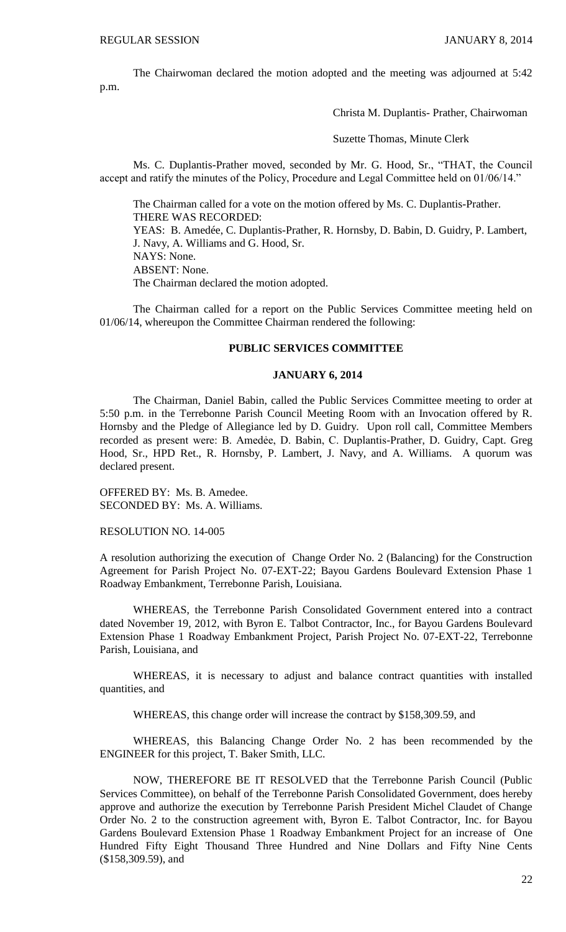The Chairwoman declared the motion adopted and the meeting was adjourned at 5:42 p.m.

Christa M. Duplantis- Prather, Chairwoman

Suzette Thomas, Minute Clerk

Ms. C. Duplantis-Prather moved, seconded by Mr. G. Hood, Sr., "THAT, the Council accept and ratify the minutes of the Policy, Procedure and Legal Committee held on 01/06/14."

The Chairman called for a vote on the motion offered by Ms. C. Duplantis-Prather. THERE WAS RECORDED:

YEAS: B. Amedée, C. Duplantis-Prather, R. Hornsby, D. Babin, D. Guidry, P. Lambert, J. Navy, A. Williams and G. Hood, Sr. NAYS: None.

ABSENT: None.

The Chairman declared the motion adopted.

The Chairman called for a report on the Public Services Committee meeting held on 01/06/14, whereupon the Committee Chairman rendered the following:

#### **PUBLIC SERVICES COMMITTEE**

#### **JANUARY 6, 2014**

The Chairman, Daniel Babin, called the Public Services Committee meeting to order at 5:50 p.m. in the Terrebonne Parish Council Meeting Room with an Invocation offered by R. Hornsby and the Pledge of Allegiance led by D. Guidry. Upon roll call, Committee Members recorded as present were: B. Amedée, D. Babin, C. Duplantis-Prather, D. Guidry, Capt. Greg Hood, Sr., HPD Ret., R. Hornsby, P. Lambert, J. Navy, and A. Williams. A quorum was declared present.

OFFERED BY: Ms. B. Amedee. SECONDED BY: Ms. A. Williams.

RESOLUTION NO. 14-005

A resolution authorizing the execution of Change Order No. 2 (Balancing) for the Construction Agreement for Parish Project No. 07-EXT-22; Bayou Gardens Boulevard Extension Phase 1 Roadway Embankment, Terrebonne Parish, Louisiana.

WHEREAS, the Terrebonne Parish Consolidated Government entered into a contract dated November 19, 2012, with Byron E. Talbot Contractor, Inc., for Bayou Gardens Boulevard Extension Phase 1 Roadway Embankment Project, Parish Project No. 07-EXT-22, Terrebonne Parish, Louisiana, and

WHEREAS, it is necessary to adjust and balance contract quantities with installed quantities, and

WHEREAS, this change order will increase the contract by \$158,309.59, and

WHEREAS, this Balancing Change Order No. 2 has been recommended by the ENGINEER for this project, T. Baker Smith, LLC.

NOW, THEREFORE BE IT RESOLVED that the Terrebonne Parish Council (Public Services Committee), on behalf of the Terrebonne Parish Consolidated Government, does hereby approve and authorize the execution by Terrebonne Parish President Michel Claudet of Change Order No. 2 to the construction agreement with, Byron E. Talbot Contractor, Inc. for Bayou Gardens Boulevard Extension Phase 1 Roadway Embankment Project for an increase of One Hundred Fifty Eight Thousand Three Hundred and Nine Dollars and Fifty Nine Cents (\$158,309.59), and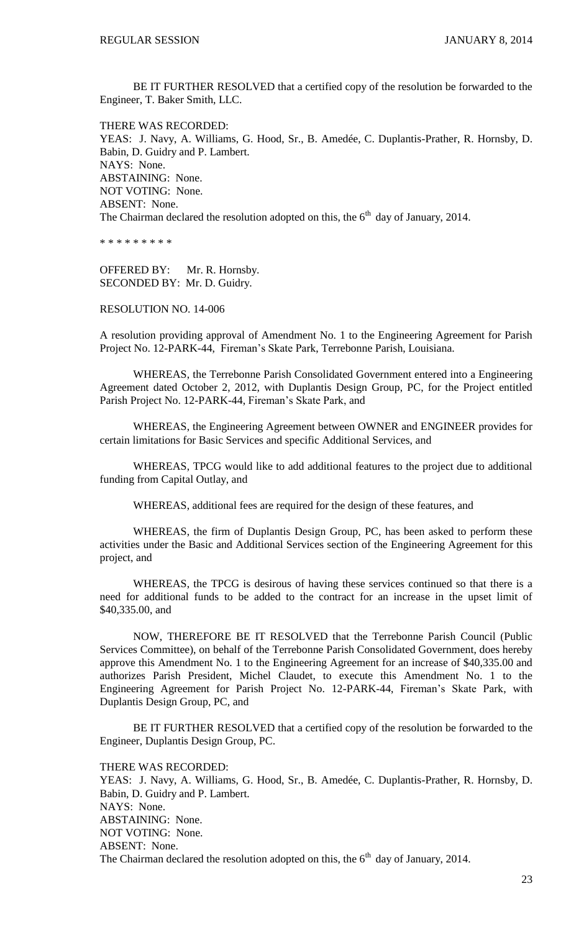BE IT FURTHER RESOLVED that a certified copy of the resolution be forwarded to the Engineer, T. Baker Smith, LLC.

THERE WAS RECORDED: YEAS: J. Navy, A. Williams, G. Hood, Sr., B. Amedée, C. Duplantis-Prather, R. Hornsby, D. Babin, D. Guidry and P. Lambert. NAYS: None. ABSTAINING: None. NOT VOTING: None. ABSENT: None. The Chairman declared the resolution adopted on this, the  $6<sup>th</sup>$  day of January, 2014.

\* \* \* \* \* \* \* \* \*

OFFERED BY: Mr. R. Hornsby. SECONDED BY: Mr. D. Guidry.

### RESOLUTION NO. 14-006

A resolution providing approval of Amendment No. 1 to the Engineering Agreement for Parish Project No. 12-PARK-44, Fireman's Skate Park, Terrebonne Parish, Louisiana.

WHEREAS, the Terrebonne Parish Consolidated Government entered into a Engineering Agreement dated October 2, 2012, with Duplantis Design Group, PC, for the Project entitled Parish Project No. 12-PARK-44, Fireman's Skate Park, and

WHEREAS, the Engineering Agreement between OWNER and ENGINEER provides for certain limitations for Basic Services and specific Additional Services, and

WHEREAS, TPCG would like to add additional features to the project due to additional funding from Capital Outlay, and

WHEREAS, additional fees are required for the design of these features, and

WHEREAS, the firm of Duplantis Design Group, PC, has been asked to perform these activities under the Basic and Additional Services section of the Engineering Agreement for this project, and

WHEREAS, the TPCG is desirous of having these services continued so that there is a need for additional funds to be added to the contract for an increase in the upset limit of \$40,335.00, and

NOW, THEREFORE BE IT RESOLVED that the Terrebonne Parish Council (Public Services Committee), on behalf of the Terrebonne Parish Consolidated Government, does hereby approve this Amendment No. 1 to the Engineering Agreement for an increase of \$40,335.00 and authorizes Parish President, Michel Claudet, to execute this Amendment No. 1 to the Engineering Agreement for Parish Project No. 12-PARK-44, Fireman's Skate Park, with Duplantis Design Group, PC, and

BE IT FURTHER RESOLVED that a certified copy of the resolution be forwarded to the Engineer, Duplantis Design Group, PC.

THERE WAS RECORDED:

YEAS: J. Navy, A. Williams, G. Hood, Sr., B. Amedée, C. Duplantis-Prather, R. Hornsby, D. Babin, D. Guidry and P. Lambert. NAYS: None. ABSTAINING: None. NOT VOTING: None. ABSENT: None. The Chairman declared the resolution adopted on this, the  $6<sup>th</sup>$  day of January, 2014.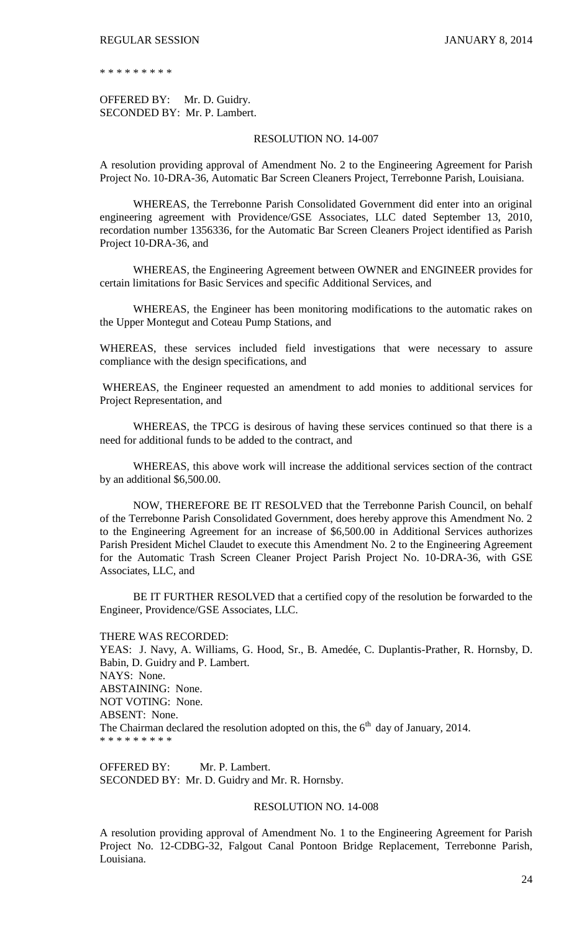\* \* \* \* \* \* \* \* \*

OFFERED BY: Mr. D. Guidry. SECONDED BY: Mr. P. Lambert.

### RESOLUTION NO. 14-007

A resolution providing approval of Amendment No. 2 to the Engineering Agreement for Parish Project No. 10-DRA-36, Automatic Bar Screen Cleaners Project, Terrebonne Parish, Louisiana.

WHEREAS, the Terrebonne Parish Consolidated Government did enter into an original engineering agreement with Providence/GSE Associates, LLC dated September 13, 2010, recordation number 1356336, for the Automatic Bar Screen Cleaners Project identified as Parish Project 10-DRA-36, and

WHEREAS, the Engineering Agreement between OWNER and ENGINEER provides for certain limitations for Basic Services and specific Additional Services, and

WHEREAS, the Engineer has been monitoring modifications to the automatic rakes on the Upper Montegut and Coteau Pump Stations, and

WHEREAS, these services included field investigations that were necessary to assure compliance with the design specifications, and

WHEREAS, the Engineer requested an amendment to add monies to additional services for Project Representation, and

WHEREAS, the TPCG is desirous of having these services continued so that there is a need for additional funds to be added to the contract, and

WHEREAS, this above work will increase the additional services section of the contract by an additional \$6,500.00.

NOW, THEREFORE BE IT RESOLVED that the Terrebonne Parish Council, on behalf of the Terrebonne Parish Consolidated Government, does hereby approve this Amendment No. 2 to the Engineering Agreement for an increase of \$6,500.00 in Additional Services authorizes Parish President Michel Claudet to execute this Amendment No. 2 to the Engineering Agreement for the Automatic Trash Screen Cleaner Project Parish Project No. 10-DRA-36, with GSE Associates, LLC, and

BE IT FURTHER RESOLVED that a certified copy of the resolution be forwarded to the Engineer, Providence/GSE Associates, LLC.

THERE WAS RECORDED:

YEAS: J. Navy, A. Williams, G. Hood, Sr., B. Amedée, C. Duplantis-Prather, R. Hornsby, D. Babin, D. Guidry and P. Lambert. NAYS: None. ABSTAINING: None. NOT VOTING: None. ABSENT: None. The Chairman declared the resolution adopted on this, the  $6<sup>th</sup>$  day of January, 2014. \* \* \* \* \* \* \* \* \*

OFFERED BY: Mr. P. Lambert. SECONDED BY: Mr. D. Guidry and Mr. R. Hornsby.

### RESOLUTION NO. 14-008

A resolution providing approval of Amendment No. 1 to the Engineering Agreement for Parish Project No. 12-CDBG-32, Falgout Canal Pontoon Bridge Replacement, Terrebonne Parish, Louisiana.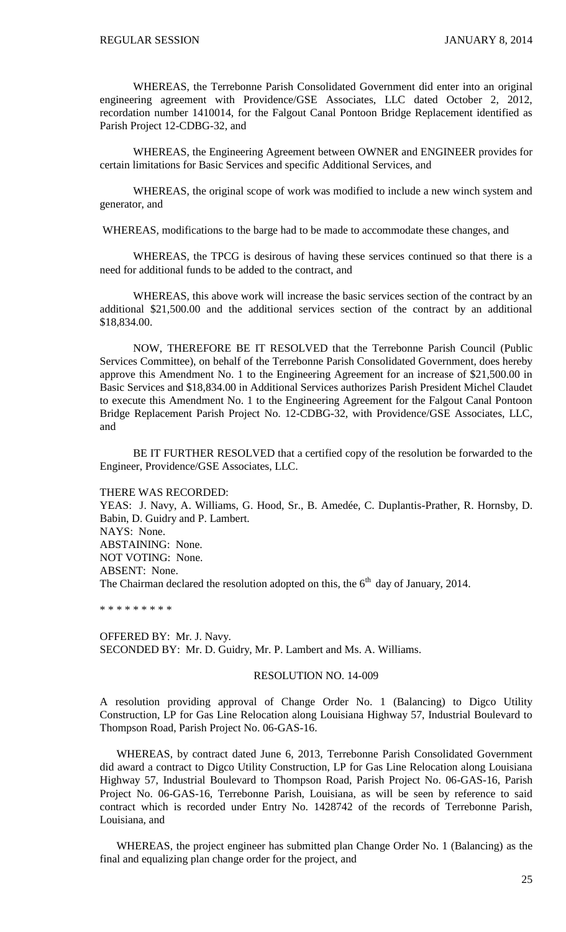WHEREAS, the Terrebonne Parish Consolidated Government did enter into an original engineering agreement with Providence/GSE Associates, LLC dated October 2, 2012, recordation number 1410014, for the Falgout Canal Pontoon Bridge Replacement identified as Parish Project 12-CDBG-32, and

WHEREAS, the Engineering Agreement between OWNER and ENGINEER provides for certain limitations for Basic Services and specific Additional Services, and

WHEREAS, the original scope of work was modified to include a new winch system and generator, and

WHEREAS, modifications to the barge had to be made to accommodate these changes, and

WHEREAS, the TPCG is desirous of having these services continued so that there is a need for additional funds to be added to the contract, and

WHEREAS, this above work will increase the basic services section of the contract by an additional \$21,500.00 and the additional services section of the contract by an additional \$18,834.00.

NOW, THEREFORE BE IT RESOLVED that the Terrebonne Parish Council (Public Services Committee), on behalf of the Terrebonne Parish Consolidated Government, does hereby approve this Amendment No. 1 to the Engineering Agreement for an increase of \$21,500.00 in Basic Services and \$18,834.00 in Additional Services authorizes Parish President Michel Claudet to execute this Amendment No. 1 to the Engineering Agreement for the Falgout Canal Pontoon Bridge Replacement Parish Project No. 12-CDBG-32, with Providence/GSE Associates, LLC, and

BE IT FURTHER RESOLVED that a certified copy of the resolution be forwarded to the Engineer, Providence/GSE Associates, LLC.

THERE WAS RECORDED:

YEAS: J. Navy, A. Williams, G. Hood, Sr., B. Amedée, C. Duplantis-Prather, R. Hornsby, D. Babin, D. Guidry and P. Lambert. NAYS: None. ABSTAINING: None. NOT VOTING: None. ABSENT: None. The Chairman declared the resolution adopted on this, the  $6<sup>th</sup>$  day of January, 2014.

\* \* \* \* \* \* \* \* \*

OFFERED BY: Mr. J. Navy. SECONDED BY: Mr. D. Guidry, Mr. P. Lambert and Ms. A. Williams.

#### RESOLUTION NO. 14-009

A resolution providing approval of Change Order No. 1 (Balancing) to Digco Utility Construction, LP for Gas Line Relocation along Louisiana Highway 57, Industrial Boulevard to Thompson Road, Parish Project No. 06-GAS-16.

WHEREAS, by contract dated June 6, 2013, Terrebonne Parish Consolidated Government did award a contract to Digco Utility Construction, LP for Gas Line Relocation along Louisiana Highway 57, Industrial Boulevard to Thompson Road, Parish Project No. 06-GAS-16, Parish Project No. 06-GAS-16, Terrebonne Parish, Louisiana, as will be seen by reference to said contract which is recorded under Entry No. 1428742 of the records of Terrebonne Parish, Louisiana, and

WHEREAS, the project engineer has submitted plan Change Order No. 1 (Balancing) as the final and equalizing plan change order for the project, and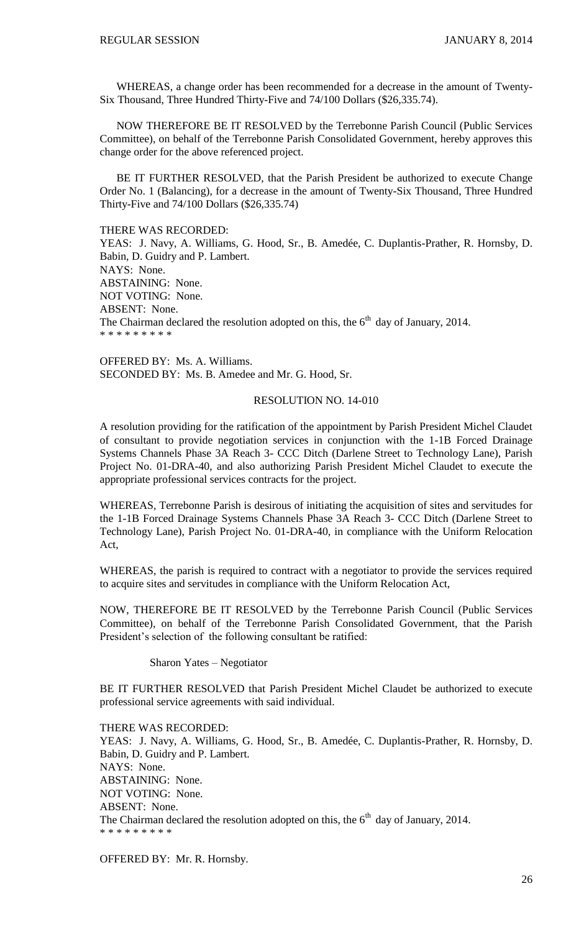WHEREAS, a change order has been recommended for a decrease in the amount of Twenty-Six Thousand, Three Hundred Thirty-Five and 74/100 Dollars (\$26,335.74).

NOW THEREFORE BE IT RESOLVED by the Terrebonne Parish Council (Public Services Committee), on behalf of the Terrebonne Parish Consolidated Government, hereby approves this change order for the above referenced project.

BE IT FURTHER RESOLVED, that the Parish President be authorized to execute Change Order No. 1 (Balancing), for a decrease in the amount of Twenty-Six Thousand, Three Hundred Thirty-Five and 74/100 Dollars (\$26,335.74)

THERE WAS RECORDED:

YEAS: J. Navy, A. Williams, G. Hood, Sr., B. Amedée, C. Duplantis-Prather, R. Hornsby, D. Babin, D. Guidry and P. Lambert. NAYS: None. ABSTAINING: None. NOT VOTING: None. ABSENT: None. The Chairman declared the resolution adopted on this, the  $6<sup>th</sup>$  day of January, 2014. \* \* \* \* \* \* \* \* \*

OFFERED BY: Ms. A. Williams. SECONDED BY: Ms. B. Amedee and Mr. G. Hood, Sr.

#### RESOLUTION NO. 14-010

A resolution providing for the ratification of the appointment by Parish President Michel Claudet of consultant to provide negotiation services in conjunction with the 1-1B Forced Drainage Systems Channels Phase 3A Reach 3- CCC Ditch (Darlene Street to Technology Lane), Parish Project No. 01-DRA-40, and also authorizing Parish President Michel Claudet to execute the appropriate professional services contracts for the project.

WHEREAS, Terrebonne Parish is desirous of initiating the acquisition of sites and servitudes for the 1-1B Forced Drainage Systems Channels Phase 3A Reach 3- CCC Ditch (Darlene Street to Technology Lane), Parish Project No. 01-DRA-40, in compliance with the Uniform Relocation Act,

WHEREAS, the parish is required to contract with a negotiator to provide the services required to acquire sites and servitudes in compliance with the Uniform Relocation Act,

NOW, THEREFORE BE IT RESOLVED by the Terrebonne Parish Council (Public Services Committee), on behalf of the Terrebonne Parish Consolidated Government, that the Parish President's selection of the following consultant be ratified:

Sharon Yates – Negotiator

BE IT FURTHER RESOLVED that Parish President Michel Claudet be authorized to execute professional service agreements with said individual.

THERE WAS RECORDED: YEAS: J. Navy, A. Williams, G. Hood, Sr., B. Amedée, C. Duplantis-Prather, R. Hornsby, D. Babin, D. Guidry and P. Lambert. NAYS: None. ABSTAINING: None. NOT VOTING: None. ABSENT: None. The Chairman declared the resolution adopted on this, the  $6<sup>th</sup>$  day of January, 2014. \* \* \* \* \* \* \* \* \*

OFFERED BY: Mr. R. Hornsby.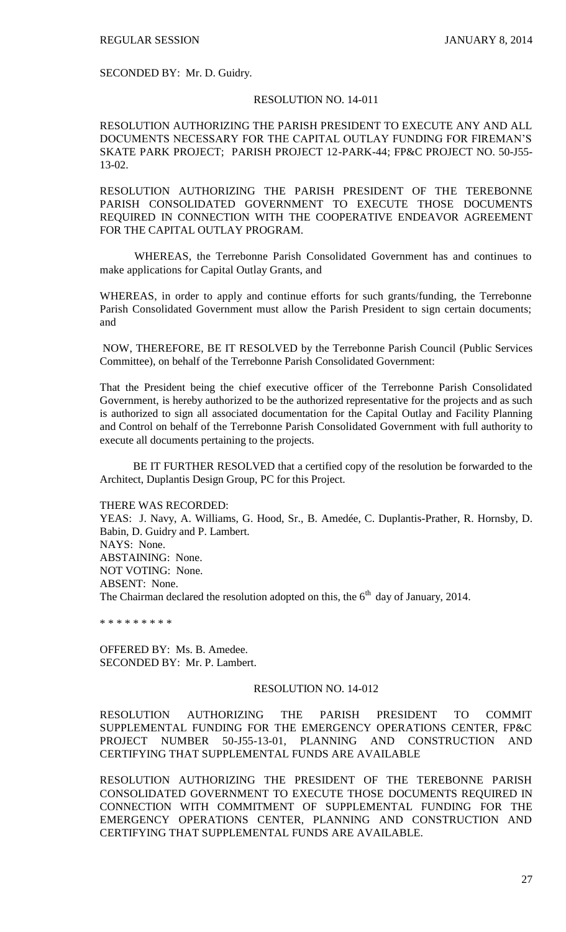SECONDED BY: Mr. D. Guidry.

#### RESOLUTION NO. 14-011

RESOLUTION AUTHORIZING THE PARISH PRESIDENT TO EXECUTE ANY AND ALL DOCUMENTS NECESSARY FOR THE CAPITAL OUTLAY FUNDING FOR FIREMAN'S SKATE PARK PROJECT; PARISH PROJECT 12-PARK-44; FP&C PROJECT NO. 50-J55- 13-02.

RESOLUTION AUTHORIZING THE PARISH PRESIDENT OF THE TEREBONNE PARISH CONSOLIDATED GOVERNMENT TO EXECUTE THOSE DOCUMENTS REQUIRED IN CONNECTION WITH THE COOPERATIVE ENDEAVOR AGREEMENT FOR THE CAPITAL OUTLAY PROGRAM.

 WHEREAS, the Terrebonne Parish Consolidated Government has and continues to make applications for Capital Outlay Grants, and

WHEREAS, in order to apply and continue efforts for such grants/funding, the Terrebonne Parish Consolidated Government must allow the Parish President to sign certain documents; and

NOW, THEREFORE, BE IT RESOLVED by the Terrebonne Parish Council (Public Services Committee), on behalf of the Terrebonne Parish Consolidated Government:

That the President being the chief executive officer of the Terrebonne Parish Consolidated Government, is hereby authorized to be the authorized representative for the projects and as such is authorized to sign all associated documentation for the Capital Outlay and Facility Planning and Control on behalf of the Terrebonne Parish Consolidated Government with full authority to execute all documents pertaining to the projects.

BE IT FURTHER RESOLVED that a certified copy of the resolution be forwarded to the Architect, Duplantis Design Group, PC for this Project.

THERE WAS RECORDED:

YEAS: J. Navy, A. Williams, G. Hood, Sr., B. Amedée, C. Duplantis-Prather, R. Hornsby, D. Babin, D. Guidry and P. Lambert. NAYS: None. ABSTAINING: None. NOT VOTING: None. ABSENT: None. The Chairman declared the resolution adopted on this, the  $6<sup>th</sup>$  day of January, 2014.

\* \* \* \* \* \* \* \* \*

OFFERED BY: Ms. B. Amedee. SECONDED BY: Mr. P. Lambert.

## RESOLUTION NO. 14-012

RESOLUTION AUTHORIZING THE PARISH PRESIDENT TO COMMIT SUPPLEMENTAL FUNDING FOR THE EMERGENCY OPERATIONS CENTER, FP&C PROJECT NUMBER 50-J55-13-01, PLANNING AND CONSTRUCTION AND CERTIFYING THAT SUPPLEMENTAL FUNDS ARE AVAILABLE

RESOLUTION AUTHORIZING THE PRESIDENT OF THE TEREBONNE PARISH CONSOLIDATED GOVERNMENT TO EXECUTE THOSE DOCUMENTS REQUIRED IN CONNECTION WITH COMMITMENT OF SUPPLEMENTAL FUNDING FOR THE EMERGENCY OPERATIONS CENTER, PLANNING AND CONSTRUCTION AND CERTIFYING THAT SUPPLEMENTAL FUNDS ARE AVAILABLE.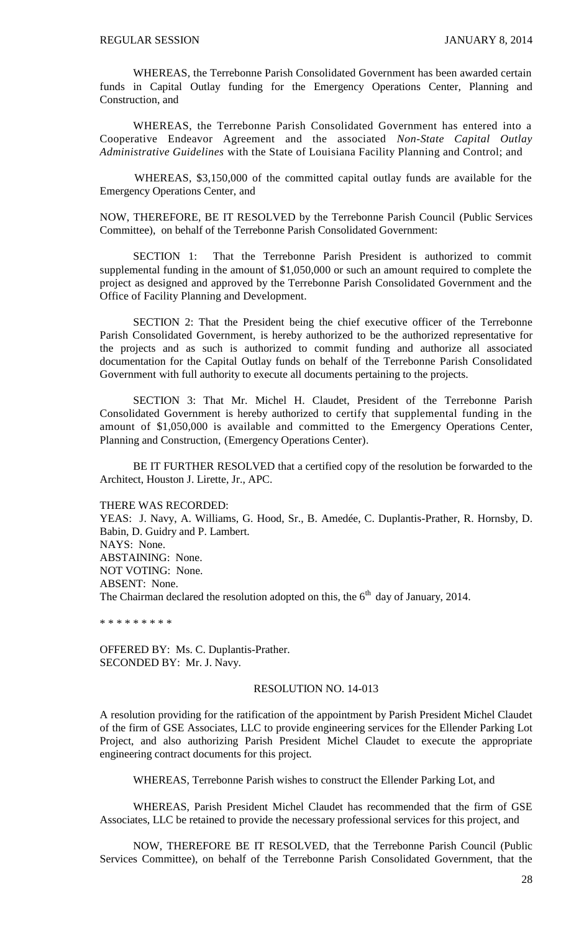WHEREAS, the Terrebonne Parish Consolidated Government has been awarded certain funds in Capital Outlay funding for the Emergency Operations Center, Planning and Construction, and

WHEREAS, the Terrebonne Parish Consolidated Government has entered into a Cooperative Endeavor Agreement and the associated *Non-State Capital Outlay Administrative Guidelines* with the State of Louisiana Facility Planning and Control; and

 WHEREAS, \$3,150,000 of the committed capital outlay funds are available for the Emergency Operations Center, and

NOW, THEREFORE, BE IT RESOLVED by the Terrebonne Parish Council (Public Services Committee), on behalf of the Terrebonne Parish Consolidated Government:

SECTION 1: That the Terrebonne Parish President is authorized to commit supplemental funding in the amount of \$1,050,000 or such an amount required to complete the project as designed and approved by the Terrebonne Parish Consolidated Government and the Office of Facility Planning and Development.

SECTION 2: That the President being the chief executive officer of the Terrebonne Parish Consolidated Government, is hereby authorized to be the authorized representative for the projects and as such is authorized to commit funding and authorize all associated documentation for the Capital Outlay funds on behalf of the Terrebonne Parish Consolidated Government with full authority to execute all documents pertaining to the projects.

SECTION 3: That Mr. Michel H. Claudet, President of the Terrebonne Parish Consolidated Government is hereby authorized to certify that supplemental funding in the amount of \$1,050,000 is available and committed to the Emergency Operations Center, Planning and Construction, (Emergency Operations Center).

BE IT FURTHER RESOLVED that a certified copy of the resolution be forwarded to the Architect, Houston J. Lirette, Jr., APC.

THERE WAS RECORDED:

YEAS: J. Navy, A. Williams, G. Hood, Sr., B. Amedée, C. Duplantis-Prather, R. Hornsby, D. Babin, D. Guidry and P. Lambert. NAYS: None. ABSTAINING: None. NOT VOTING: None. ABSENT: None. The Chairman declared the resolution adopted on this, the  $6<sup>th</sup>$  day of January, 2014.

\* \* \* \* \* \* \* \* \*

OFFERED BY: Ms. C. Duplantis-Prather. SECONDED BY: Mr. J. Navy.

#### RESOLUTION NO. 14-013

A resolution providing for the ratification of the appointment by Parish President Michel Claudet of the firm of GSE Associates, LLC to provide engineering services for the Ellender Parking Lot Project, and also authorizing Parish President Michel Claudet to execute the appropriate engineering contract documents for this project.

WHEREAS, Terrebonne Parish wishes to construct the Ellender Parking Lot, and

WHEREAS, Parish President Michel Claudet has recommended that the firm of GSE Associates, LLC be retained to provide the necessary professional services for this project, and

NOW, THEREFORE BE IT RESOLVED, that the Terrebonne Parish Council (Public Services Committee), on behalf of the Terrebonne Parish Consolidated Government, that the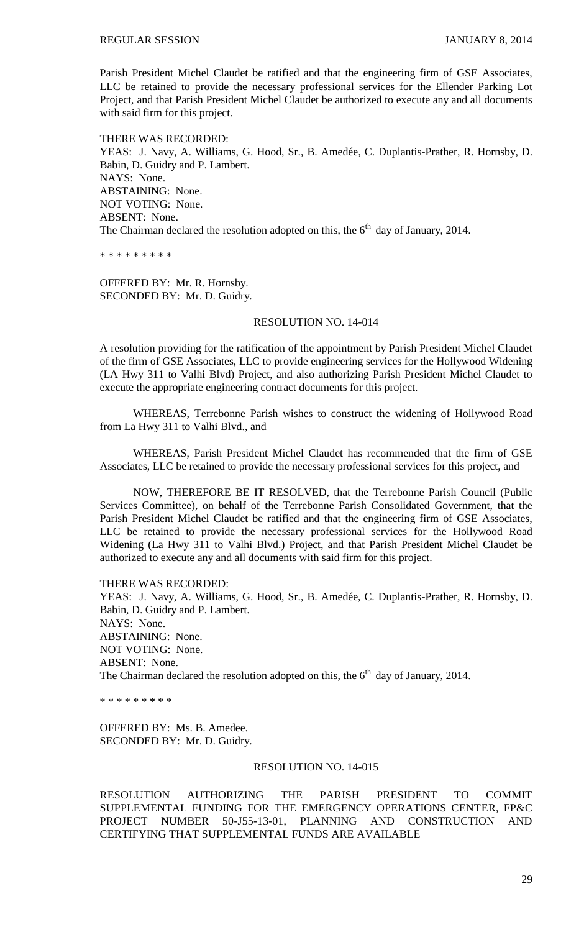Parish President Michel Claudet be ratified and that the engineering firm of GSE Associates, LLC be retained to provide the necessary professional services for the Ellender Parking Lot Project, and that Parish President Michel Claudet be authorized to execute any and all documents with said firm for this project.

THERE WAS RECORDED: YEAS: J. Navy, A. Williams, G. Hood, Sr., B. Amedée, C. Duplantis-Prather, R. Hornsby, D. Babin, D. Guidry and P. Lambert. NAYS: None. ABSTAINING: None. NOT VOTING: None. ABSENT: None. The Chairman declared the resolution adopted on this, the  $6<sup>th</sup>$  day of January, 2014.

\* \* \* \* \* \* \* \* \*

OFFERED BY: Mr. R. Hornsby. SECONDED BY: Mr. D. Guidry.

## RESOLUTION NO. 14-014

A resolution providing for the ratification of the appointment by Parish President Michel Claudet of the firm of GSE Associates, LLC to provide engineering services for the Hollywood Widening (LA Hwy 311 to Valhi Blvd) Project, and also authorizing Parish President Michel Claudet to execute the appropriate engineering contract documents for this project.

WHEREAS, Terrebonne Parish wishes to construct the widening of Hollywood Road from La Hwy 311 to Valhi Blvd., and

WHEREAS, Parish President Michel Claudet has recommended that the firm of GSE Associates, LLC be retained to provide the necessary professional services for this project, and

NOW, THEREFORE BE IT RESOLVED, that the Terrebonne Parish Council (Public Services Committee), on behalf of the Terrebonne Parish Consolidated Government, that the Parish President Michel Claudet be ratified and that the engineering firm of GSE Associates, LLC be retained to provide the necessary professional services for the Hollywood Road Widening (La Hwy 311 to Valhi Blvd.) Project, and that Parish President Michel Claudet be authorized to execute any and all documents with said firm for this project.

THERE WAS RECORDED: YEAS: J. Navy, A. Williams, G. Hood, Sr., B. Amedée, C. Duplantis-Prather, R. Hornsby, D. Babin, D. Guidry and P. Lambert. NAYS: None. ABSTAINING: None. NOT VOTING: None. ABSENT: None. The Chairman declared the resolution adopted on this, the  $6<sup>th</sup>$  day of January, 2014.

\* \* \* \* \* \* \* \* \*

OFFERED BY: Ms. B. Amedee. SECONDED BY: Mr. D. Guidry.

### RESOLUTION NO. 14-015

RESOLUTION AUTHORIZING THE PARISH PRESIDENT TO COMMIT SUPPLEMENTAL FUNDING FOR THE EMERGENCY OPERATIONS CENTER, FP&C PROJECT NUMBER 50-J55-13-01, PLANNING AND CONSTRUCTION AND CERTIFYING THAT SUPPLEMENTAL FUNDS ARE AVAILABLE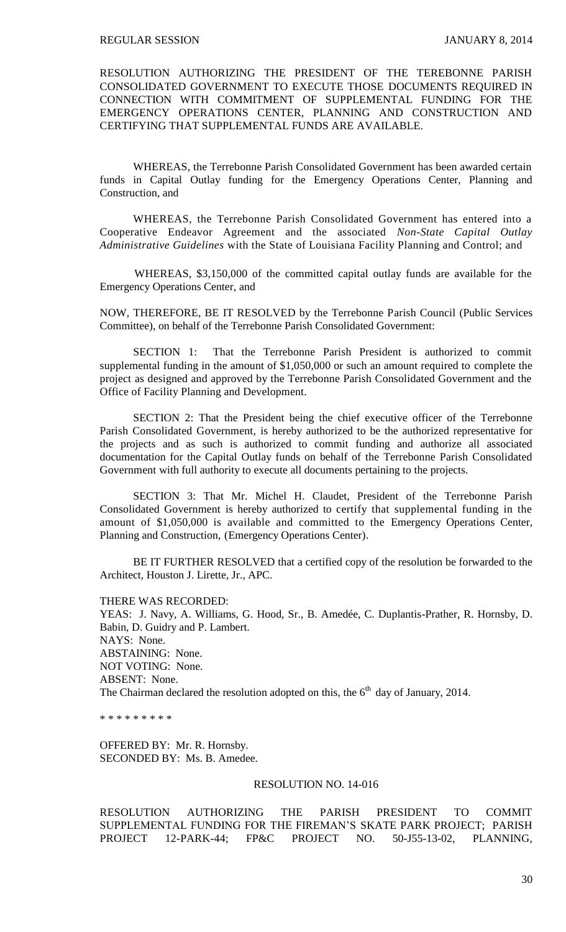RESOLUTION AUTHORIZING THE PRESIDENT OF THE TEREBONNE PARISH CONSOLIDATED GOVERNMENT TO EXECUTE THOSE DOCUMENTS REQUIRED IN CONNECTION WITH COMMITMENT OF SUPPLEMENTAL FUNDING FOR THE EMERGENCY OPERATIONS CENTER, PLANNING AND CONSTRUCTION AND CERTIFYING THAT SUPPLEMENTAL FUNDS ARE AVAILABLE.

WHEREAS, the Terrebonne Parish Consolidated Government has been awarded certain funds in Capital Outlay funding for the Emergency Operations Center, Planning and Construction, and

WHEREAS, the Terrebonne Parish Consolidated Government has entered into a Cooperative Endeavor Agreement and the associated *Non-State Capital Outlay Administrative Guidelines* with the State of Louisiana Facility Planning and Control; and

 WHEREAS, \$3,150,000 of the committed capital outlay funds are available for the Emergency Operations Center, and

NOW, THEREFORE, BE IT RESOLVED by the Terrebonne Parish Council (Public Services Committee), on behalf of the Terrebonne Parish Consolidated Government:

SECTION 1: That the Terrebonne Parish President is authorized to commit supplemental funding in the amount of \$1,050,000 or such an amount required to complete the project as designed and approved by the Terrebonne Parish Consolidated Government and the Office of Facility Planning and Development.

SECTION 2: That the President being the chief executive officer of the Terrebonne Parish Consolidated Government, is hereby authorized to be the authorized representative for the projects and as such is authorized to commit funding and authorize all associated documentation for the Capital Outlay funds on behalf of the Terrebonne Parish Consolidated Government with full authority to execute all documents pertaining to the projects.

SECTION 3: That Mr. Michel H. Claudet, President of the Terrebonne Parish Consolidated Government is hereby authorized to certify that supplemental funding in the amount of \$1,050,000 is available and committed to the Emergency Operations Center, Planning and Construction, (Emergency Operations Center).

BE IT FURTHER RESOLVED that a certified copy of the resolution be forwarded to the Architect, Houston J. Lirette, Jr., APC.

THERE WAS RECORDED:

YEAS: J. Navy, A. Williams, G. Hood, Sr., B. Amedée, C. Duplantis-Prather, R. Hornsby, D. Babin, D. Guidry and P. Lambert. NAYS: None. ABSTAINING: None. NOT VOTING: None. ABSENT: None. The Chairman declared the resolution adopted on this, the  $6<sup>th</sup>$  day of January, 2014.

\* \* \* \* \* \* \* \* \*

OFFERED BY: Mr. R. Hornsby. SECONDED BY: Ms. B. Amedee.

### RESOLUTION NO. 14-016

RESOLUTION AUTHORIZING THE PARISH PRESIDENT TO COMMIT SUPPLEMENTAL FUNDING FOR THE FIREMAN'S SKATE PARK PROJECT; PARISH PROJECT 12-PARK-44; FP&C PROJECT NO. 50-J55-13-02, PLANNING,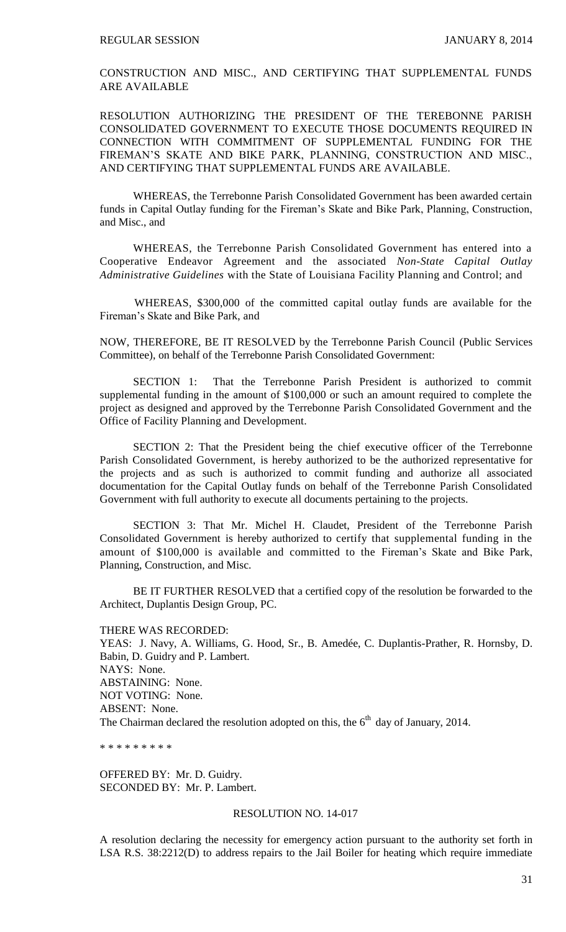CONSTRUCTION AND MISC., AND CERTIFYING THAT SUPPLEMENTAL FUNDS ARE AVAILABLE

RESOLUTION AUTHORIZING THE PRESIDENT OF THE TEREBONNE PARISH CONSOLIDATED GOVERNMENT TO EXECUTE THOSE DOCUMENTS REQUIRED IN CONNECTION WITH COMMITMENT OF SUPPLEMENTAL FUNDING FOR THE FIREMAN'S SKATE AND BIKE PARK, PLANNING, CONSTRUCTION AND MISC., AND CERTIFYING THAT SUPPLEMENTAL FUNDS ARE AVAILABLE.

WHEREAS, the Terrebonne Parish Consolidated Government has been awarded certain funds in Capital Outlay funding for the Fireman's Skate and Bike Park, Planning, Construction, and Misc., and

WHEREAS, the Terrebonne Parish Consolidated Government has entered into a Cooperative Endeavor Agreement and the associated *Non-State Capital Outlay Administrative Guidelines* with the State of Louisiana Facility Planning and Control; and

 WHEREAS, \$300,000 of the committed capital outlay funds are available for the Fireman's Skate and Bike Park, and

NOW, THEREFORE, BE IT RESOLVED by the Terrebonne Parish Council (Public Services Committee), on behalf of the Terrebonne Parish Consolidated Government:

SECTION 1: That the Terrebonne Parish President is authorized to commit supplemental funding in the amount of \$100,000 or such an amount required to complete the project as designed and approved by the Terrebonne Parish Consolidated Government and the Office of Facility Planning and Development.

SECTION 2: That the President being the chief executive officer of the Terrebonne Parish Consolidated Government, is hereby authorized to be the authorized representative for the projects and as such is authorized to commit funding and authorize all associated documentation for the Capital Outlay funds on behalf of the Terrebonne Parish Consolidated Government with full authority to execute all documents pertaining to the projects.

SECTION 3: That Mr. Michel H. Claudet, President of the Terrebonne Parish Consolidated Government is hereby authorized to certify that supplemental funding in the amount of \$100,000 is available and committed to the Fireman's Skate and Bike Park, Planning, Construction, and Misc.

BE IT FURTHER RESOLVED that a certified copy of the resolution be forwarded to the Architect, Duplantis Design Group, PC.

THERE WAS RECORDED: YEAS: J. Navy, A. Williams, G. Hood, Sr., B. Amedée, C. Duplantis-Prather, R. Hornsby, D. Babin, D. Guidry and P. Lambert. NAYS: None. ABSTAINING: None. NOT VOTING: None. ABSENT: None. The Chairman declared the resolution adopted on this, the  $6<sup>th</sup>$  day of January, 2014.

\* \* \* \* \* \* \* \* \*

OFFERED BY: Mr. D. Guidry. SECONDED BY: Mr. P. Lambert.

#### RESOLUTION NO. 14-017

A resolution declaring the necessity for emergency action pursuant to the authority set forth in LSA R.S. 38:2212(D) to address repairs to the Jail Boiler for heating which require immediate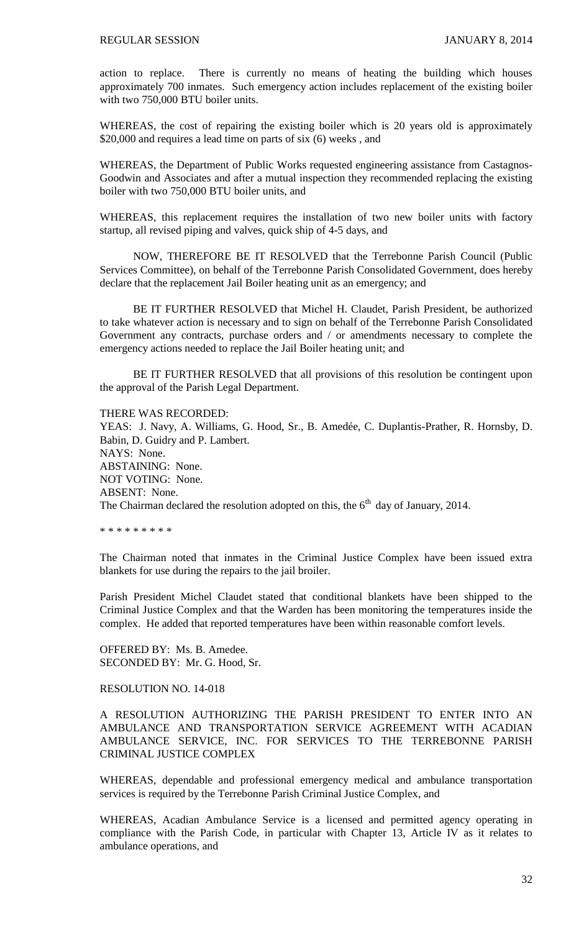action to replace. There is currently no means of heating the building which houses approximately 700 inmates. Such emergency action includes replacement of the existing boiler with two 750,000 BTU boiler units.

WHEREAS, the cost of repairing the existing boiler which is 20 years old is approximately \$20,000 and requires a lead time on parts of six (6) weeks , and

WHEREAS, the Department of Public Works requested engineering assistance from Castagnos-Goodwin and Associates and after a mutual inspection they recommended replacing the existing boiler with two 750,000 BTU boiler units, and

WHEREAS, this replacement requires the installation of two new boiler units with factory startup, all revised piping and valves, quick ship of 4-5 days, and

NOW, THEREFORE BE IT RESOLVED that the Terrebonne Parish Council (Public Services Committee), on behalf of the Terrebonne Parish Consolidated Government, does hereby declare that the replacement Jail Boiler heating unit as an emergency; and

BE IT FURTHER RESOLVED that Michel H. Claudet, Parish President, be authorized to take whatever action is necessary and to sign on behalf of the Terrebonne Parish Consolidated Government any contracts, purchase orders and / or amendments necessary to complete the emergency actions needed to replace the Jail Boiler heating unit; and

BE IT FURTHER RESOLVED that all provisions of this resolution be contingent upon the approval of the Parish Legal Department.

THERE WAS RECORDED:

YEAS: J. Navy, A. Williams, G. Hood, Sr., B. Amedée, C. Duplantis-Prather, R. Hornsby, D. Babin, D. Guidry and P. Lambert. NAYS: None. ABSTAINING: None. NOT VOTING: None. ABSENT: None. The Chairman declared the resolution adopted on this, the  $6<sup>th</sup>$  day of January, 2014.

\* \* \* \* \* \* \* \* \*

The Chairman noted that inmates in the Criminal Justice Complex have been issued extra blankets for use during the repairs to the jail broiler.

Parish President Michel Claudet stated that conditional blankets have been shipped to the Criminal Justice Complex and that the Warden has been monitoring the temperatures inside the complex. He added that reported temperatures have been within reasonable comfort levels.

OFFERED BY: Ms. B. Amedee. SECONDED BY: Mr. G. Hood, Sr.

### RESOLUTION NO. 14-018

A RESOLUTION AUTHORIZING THE PARISH PRESIDENT TO ENTER INTO AN AMBULANCE AND TRANSPORTATION SERVICE AGREEMENT WITH ACADIAN AMBULANCE SERVICE, INC. FOR SERVICES TO THE TERREBONNE PARISH CRIMINAL JUSTICE COMPLEX

WHEREAS, dependable and professional emergency medical and ambulance transportation services is required by the Terrebonne Parish Criminal Justice Complex, and

WHEREAS, Acadian Ambulance Service is a licensed and permitted agency operating in compliance with the Parish Code, in particular with Chapter 13, Article IV as it relates to ambulance operations, and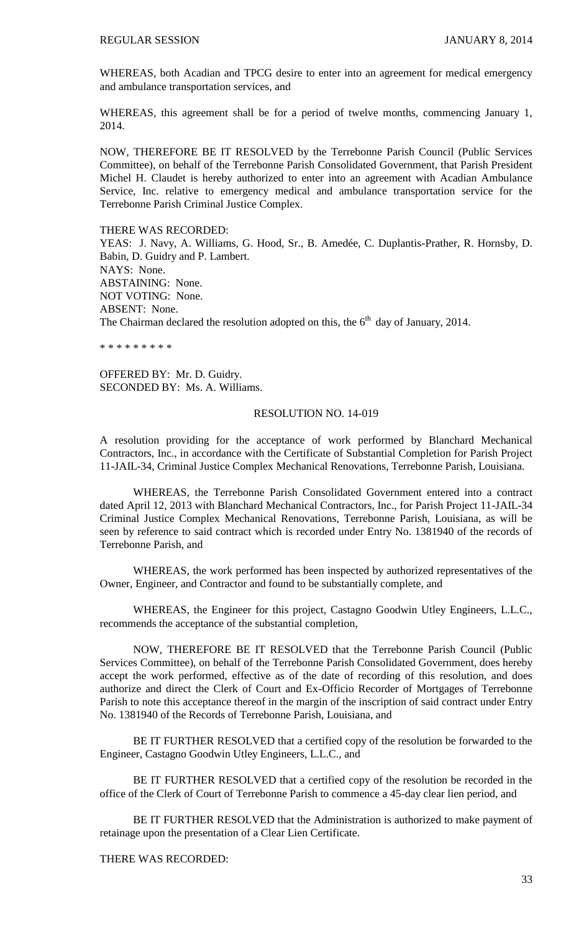WHEREAS, both Acadian and TPCG desire to enter into an agreement for medical emergency and ambulance transportation services, and

WHEREAS, this agreement shall be for a period of twelve months, commencing January 1, 2014.

NOW, THEREFORE BE IT RESOLVED by the Terrebonne Parish Council (Public Services Committee), on behalf of the Terrebonne Parish Consolidated Government, that Parish President Michel H. Claudet is hereby authorized to enter into an agreement with Acadian Ambulance Service, Inc. relative to emergency medical and ambulance transportation service for the Terrebonne Parish Criminal Justice Complex.

THERE WAS RECORDED:

YEAS: J. Navy, A. Williams, G. Hood, Sr., B. Amedée, C. Duplantis-Prather, R. Hornsby, D. Babin, D. Guidry and P. Lambert. NAYS: None. ABSTAINING: None. NOT VOTING: None. ABSENT: None. The Chairman declared the resolution adopted on this, the  $6<sup>th</sup>$  day of January, 2014.

\* \* \* \* \* \* \* \* \*

OFFERED BY: Mr. D. Guidry. SECONDED BY: Ms. A. Williams.

#### RESOLUTION NO. 14-019

A resolution providing for the acceptance of work performed by Blanchard Mechanical Contractors, Inc., in accordance with the Certificate of Substantial Completion for Parish Project 11-JAIL-34, Criminal Justice Complex Mechanical Renovations, Terrebonne Parish, Louisiana.

WHEREAS, the Terrebonne Parish Consolidated Government entered into a contract dated April 12, 2013 with Blanchard Mechanical Contractors, Inc., for Parish Project 11-JAIL-34 Criminal Justice Complex Mechanical Renovations, Terrebonne Parish, Louisiana, as will be seen by reference to said contract which is recorded under Entry No. 1381940 of the records of Terrebonne Parish, and

WHEREAS, the work performed has been inspected by authorized representatives of the Owner, Engineer, and Contractor and found to be substantially complete, and

WHEREAS, the Engineer for this project, Castagno Goodwin Utley Engineers, L.L.C., recommends the acceptance of the substantial completion,

NOW, THEREFORE BE IT RESOLVED that the Terrebonne Parish Council (Public Services Committee), on behalf of the Terrebonne Parish Consolidated Government, does hereby accept the work performed, effective as of the date of recording of this resolution, and does authorize and direct the Clerk of Court and Ex-Officio Recorder of Mortgages of Terrebonne Parish to note this acceptance thereof in the margin of the inscription of said contract under Entry No. 1381940 of the Records of Terrebonne Parish, Louisiana, and

BE IT FURTHER RESOLVED that a certified copy of the resolution be forwarded to the Engineer, Castagno Goodwin Utley Engineers, L.L.C., and

BE IT FURTHER RESOLVED that a certified copy of the resolution be recorded in the office of the Clerk of Court of Terrebonne Parish to commence a 45-day clear lien period, and

BE IT FURTHER RESOLVED that the Administration is authorized to make payment of retainage upon the presentation of a Clear Lien Certificate.

THERE WAS RECORDED: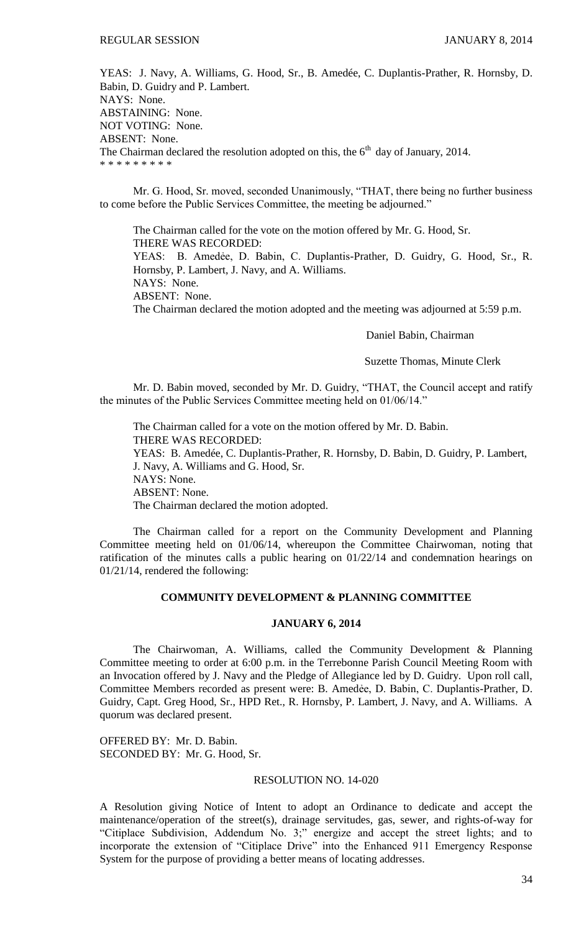YEAS: J. Navy, A. Williams, G. Hood, Sr., B. Amedée, C. Duplantis-Prather, R. Hornsby, D. Babin, D. Guidry and P. Lambert. NAYS: None. ABSTAINING: None. NOT VOTING: None. ABSENT: None. The Chairman declared the resolution adopted on this, the  $6<sup>th</sup>$  day of January, 2014. \* \* \* \* \* \* \* \* \*

Mr. G. Hood, Sr. moved, seconded Unanimously, "THAT, there being no further business to come before the Public Services Committee, the meeting be adjourned."

The Chairman called for the vote on the motion offered by Mr. G. Hood, Sr. THERE WAS RECORDED: YEAS: B. Amedẻe, D. Babin, C. Duplantis-Prather, D. Guidry, G. Hood, Sr., R. Hornsby, P. Lambert, J. Navy, and A. Williams. NAYS: None. ABSENT: None. The Chairman declared the motion adopted and the meeting was adjourned at 5:59 p.m.

Daniel Babin, Chairman

Suzette Thomas, Minute Clerk

Mr. D. Babin moved, seconded by Mr. D. Guidry, "THAT, the Council accept and ratify the minutes of the Public Services Committee meeting held on 01/06/14."

The Chairman called for a vote on the motion offered by Mr. D. Babin. THERE WAS RECORDED: YEAS: B. Amedée, C. Duplantis-Prather, R. Hornsby, D. Babin, D. Guidry, P. Lambert, J. Navy, A. Williams and G. Hood, Sr. NAYS: None. ABSENT: None. The Chairman declared the motion adopted.

The Chairman called for a report on the Community Development and Planning Committee meeting held on 01/06/14, whereupon the Committee Chairwoman, noting that ratification of the minutes calls a public hearing on 01/22/14 and condemnation hearings on 01/21/14, rendered the following:

## **COMMUNITY DEVELOPMENT & PLANNING COMMITTEE**

### **JANUARY 6, 2014**

The Chairwoman, A. Williams, called the Community Development & Planning Committee meeting to order at 6:00 p.m. in the Terrebonne Parish Council Meeting Room with an Invocation offered by J. Navy and the Pledge of Allegiance led by D. Guidry. Upon roll call, Committee Members recorded as present were: B. Amedẻe, D. Babin, C. Duplantis-Prather, D. Guidry, Capt. Greg Hood, Sr., HPD Ret., R. Hornsby, P. Lambert, J. Navy, and A. Williams. A quorum was declared present.

OFFERED BY: Mr. D. Babin. SECONDED BY: Mr. G. Hood, Sr.

## RESOLUTION NO. 14-020

A Resolution giving Notice of Intent to adopt an Ordinance to dedicate and accept the maintenance/operation of the street(s), drainage servitudes, gas, sewer, and rights-of-way for "Citiplace Subdivision, Addendum No. 3;" energize and accept the street lights; and to incorporate the extension of "Citiplace Drive" into the Enhanced 911 Emergency Response System for the purpose of providing a better means of locating addresses.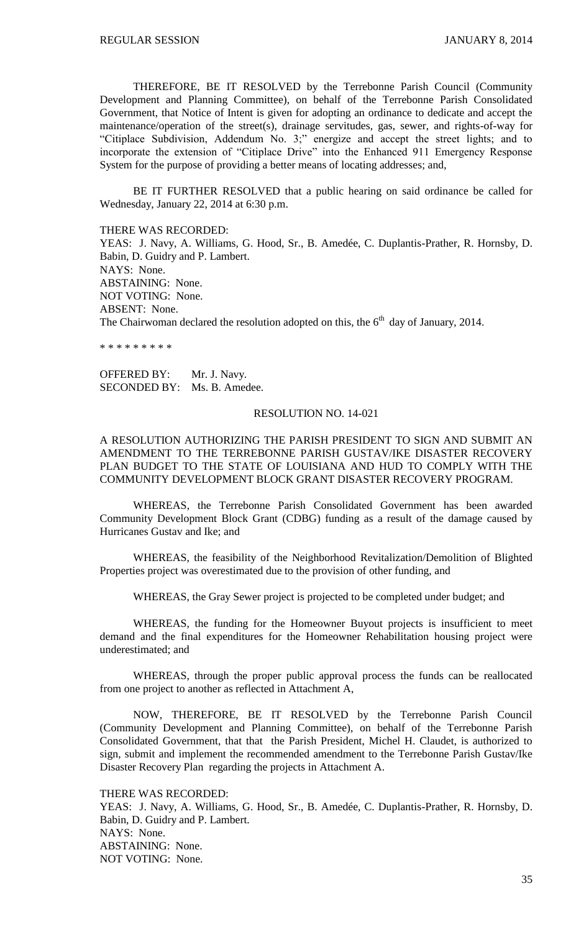THEREFORE, BE IT RESOLVED by the Terrebonne Parish Council (Community Development and Planning Committee), on behalf of the Terrebonne Parish Consolidated Government, that Notice of Intent is given for adopting an ordinance to dedicate and accept the maintenance/operation of the street(s), drainage servitudes, gas, sewer, and rights-of-way for "Citiplace Subdivision, Addendum No. 3;" energize and accept the street lights; and to incorporate the extension of "Citiplace Drive" into the Enhanced 911 Emergency Response System for the purpose of providing a better means of locating addresses; and,

BE IT FURTHER RESOLVED that a public hearing on said ordinance be called for Wednesday, January 22, 2014 at 6:30 p.m.

THERE WAS RECORDED:

YEAS: J. Navy, A. Williams, G. Hood, Sr., B. Amedée, C. Duplantis-Prather, R. Hornsby, D. Babin, D. Guidry and P. Lambert. NAYS: None. ABSTAINING: None. NOT VOTING: None. ABSENT: None. The Chairwoman declared the resolution adopted on this, the  $6<sup>th</sup>$  day of January, 2014.

\* \* \* \* \* \* \* \* \*

OFFERED BY: Mr. J. Navy. SECONDED BY: Ms. B. Amedee.

#### RESOLUTION NO. 14-021

A RESOLUTION AUTHORIZING THE PARISH PRESIDENT TO SIGN AND SUBMIT AN AMENDMENT TO THE TERREBONNE PARISH GUSTAV/IKE DISASTER RECOVERY PLAN BUDGET TO THE STATE OF LOUISIANA AND HUD TO COMPLY WITH THE COMMUNITY DEVELOPMENT BLOCK GRANT DISASTER RECOVERY PROGRAM.

WHEREAS, the Terrebonne Parish Consolidated Government has been awarded Community Development Block Grant (CDBG) funding as a result of the damage caused by Hurricanes Gustav and Ike; and

WHEREAS, the feasibility of the Neighborhood Revitalization/Demolition of Blighted Properties project was overestimated due to the provision of other funding, and

WHEREAS, the Gray Sewer project is projected to be completed under budget; and

WHEREAS, the funding for the Homeowner Buyout projects is insufficient to meet demand and the final expenditures for the Homeowner Rehabilitation housing project were underestimated; and

WHEREAS, through the proper public approval process the funds can be reallocated from one project to another as reflected in Attachment A,

NOW, THEREFORE, BE IT RESOLVED by the Terrebonne Parish Council (Community Development and Planning Committee), on behalf of the Terrebonne Parish Consolidated Government, that that the Parish President, Michel H. Claudet, is authorized to sign, submit and implement the recommended amendment to the Terrebonne Parish Gustav/Ike Disaster Recovery Plan regarding the projects in Attachment A.

THERE WAS RECORDED:

YEAS: J. Navy, A. Williams, G. Hood, Sr., B. Amedée, C. Duplantis-Prather, R. Hornsby, D. Babin, D. Guidry and P. Lambert. NAYS: None. ABSTAINING: None. NOT VOTING: None.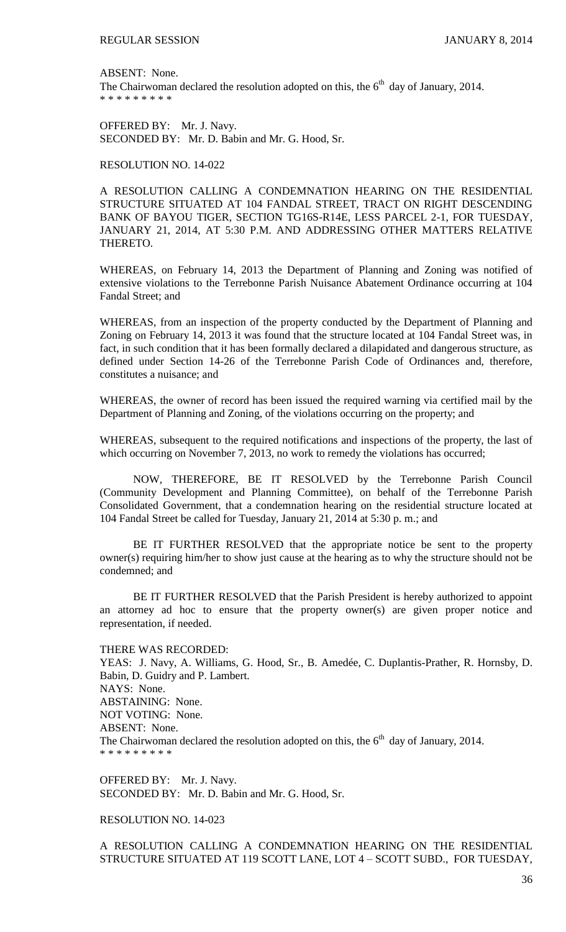ABSENT: None. The Chairwoman declared the resolution adopted on this, the  $6<sup>th</sup>$  day of January, 2014. \* \* \* \* \* \* \* \* \*

OFFERED BY: Mr. J. Navy. SECONDED BY: Mr. D. Babin and Mr. G. Hood, Sr.

#### RESOLUTION NO. 14-022

A RESOLUTION CALLING A CONDEMNATION HEARING ON THE RESIDENTIAL STRUCTURE SITUATED AT 104 FANDAL STREET, TRACT ON RIGHT DESCENDING BANK OF BAYOU TIGER, SECTION TG16S-R14E, LESS PARCEL 2-1, FOR TUESDAY, JANUARY 21, 2014, AT 5:30 P.M. AND ADDRESSING OTHER MATTERS RELATIVE THERETO.

WHEREAS, on February 14, 2013 the Department of Planning and Zoning was notified of extensive violations to the Terrebonne Parish Nuisance Abatement Ordinance occurring at 104 Fandal Street; and

WHEREAS, from an inspection of the property conducted by the Department of Planning and Zoning on February 14, 2013 it was found that the structure located at 104 Fandal Street was, in fact, in such condition that it has been formally declared a dilapidated and dangerous structure, as defined under Section 14-26 of the Terrebonne Parish Code of Ordinances and, therefore, constitutes a nuisance; and

WHEREAS, the owner of record has been issued the required warning via certified mail by the Department of Planning and Zoning, of the violations occurring on the property; and

WHEREAS, subsequent to the required notifications and inspections of the property, the last of which occurring on November 7, 2013, no work to remedy the violations has occurred;

NOW, THEREFORE, BE IT RESOLVED by the Terrebonne Parish Council (Community Development and Planning Committee), on behalf of the Terrebonne Parish Consolidated Government, that a condemnation hearing on the residential structure located at 104 Fandal Street be called for Tuesday, January 21, 2014 at 5:30 p. m.; and

BE IT FURTHER RESOLVED that the appropriate notice be sent to the property owner(s) requiring him/her to show just cause at the hearing as to why the structure should not be condemned; and

BE IT FURTHER RESOLVED that the Parish President is hereby authorized to appoint an attorney ad hoc to ensure that the property owner(s) are given proper notice and representation, if needed.

#### THERE WAS RECORDED:

YEAS: J. Navy, A. Williams, G. Hood, Sr., B. Amedée, C. Duplantis-Prather, R. Hornsby, D. Babin, D. Guidry and P. Lambert. NAYS: None. ABSTAINING: None. NOT VOTING: None. ABSENT: None. The Chairwoman declared the resolution adopted on this, the  $6<sup>th</sup>$  day of January, 2014. \* \* \* \* \* \* \* \* \*

OFFERED BY: Mr. J. Navy. SECONDED BY: Mr. D. Babin and Mr. G. Hood, Sr.

#### RESOLUTION NO. 14-023

A RESOLUTION CALLING A CONDEMNATION HEARING ON THE RESIDENTIAL STRUCTURE SITUATED AT 119 SCOTT LANE, LOT 4 – SCOTT SUBD., FOR TUESDAY,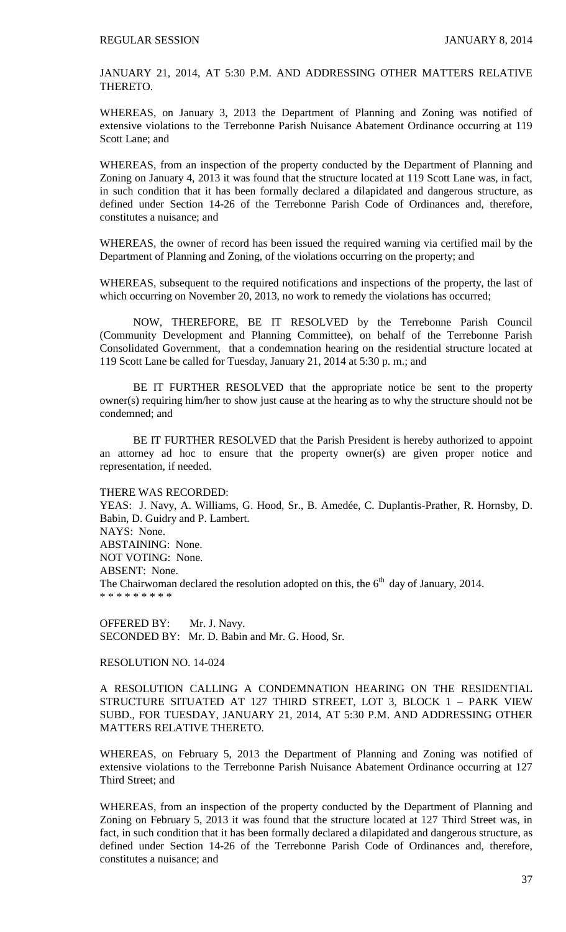JANUARY 21, 2014, AT 5:30 P.M. AND ADDRESSING OTHER MATTERS RELATIVE THERETO.

WHEREAS, on January 3, 2013 the Department of Planning and Zoning was notified of extensive violations to the Terrebonne Parish Nuisance Abatement Ordinance occurring at 119 Scott Lane; and

WHEREAS, from an inspection of the property conducted by the Department of Planning and Zoning on January 4, 2013 it was found that the structure located at 119 Scott Lane was, in fact, in such condition that it has been formally declared a dilapidated and dangerous structure, as defined under Section 14-26 of the Terrebonne Parish Code of Ordinances and, therefore, constitutes a nuisance; and

WHEREAS, the owner of record has been issued the required warning via certified mail by the Department of Planning and Zoning, of the violations occurring on the property; and

WHEREAS, subsequent to the required notifications and inspections of the property, the last of which occurring on November 20, 2013, no work to remedy the violations has occurred;

NOW, THEREFORE, BE IT RESOLVED by the Terrebonne Parish Council (Community Development and Planning Committee), on behalf of the Terrebonne Parish Consolidated Government, that a condemnation hearing on the residential structure located at 119 Scott Lane be called for Tuesday, January 21, 2014 at 5:30 p. m.; and

BE IT FURTHER RESOLVED that the appropriate notice be sent to the property owner(s) requiring him/her to show just cause at the hearing as to why the structure should not be condemned; and

BE IT FURTHER RESOLVED that the Parish President is hereby authorized to appoint an attorney ad hoc to ensure that the property owner(s) are given proper notice and representation, if needed.

#### THERE WAS RECORDED:

YEAS: J. Navy, A. Williams, G. Hood, Sr., B. Amedée, C. Duplantis-Prather, R. Hornsby, D. Babin, D. Guidry and P. Lambert. NAYS: None. ABSTAINING: None. NOT VOTING: None. ABSENT: None. The Chairwoman declared the resolution adopted on this, the  $6<sup>th</sup>$  day of January, 2014. \* \* \* \* \* \* \* \* \*

OFFERED BY: Mr. J. Navy. SECONDED BY: Mr. D. Babin and Mr. G. Hood, Sr.

### RESOLUTION NO. 14-024

A RESOLUTION CALLING A CONDEMNATION HEARING ON THE RESIDENTIAL STRUCTURE SITUATED AT 127 THIRD STREET, LOT 3, BLOCK 1 – PARK VIEW SUBD., FOR TUESDAY, JANUARY 21, 2014, AT 5:30 P.M. AND ADDRESSING OTHER MATTERS RELATIVE THERETO.

WHEREAS, on February 5, 2013 the Department of Planning and Zoning was notified of extensive violations to the Terrebonne Parish Nuisance Abatement Ordinance occurring at 127 Third Street; and

WHEREAS, from an inspection of the property conducted by the Department of Planning and Zoning on February 5, 2013 it was found that the structure located at 127 Third Street was, in fact, in such condition that it has been formally declared a dilapidated and dangerous structure, as defined under Section 14-26 of the Terrebonne Parish Code of Ordinances and, therefore, constitutes a nuisance; and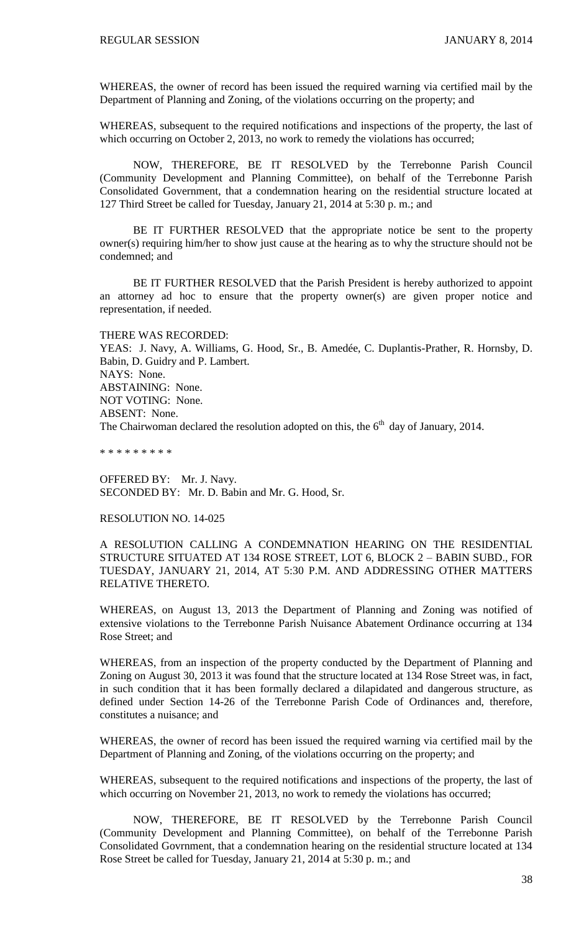WHEREAS, the owner of record has been issued the required warning via certified mail by the Department of Planning and Zoning, of the violations occurring on the property; and

WHEREAS, subsequent to the required notifications and inspections of the property, the last of which occurring on October 2, 2013, no work to remedy the violations has occurred;

NOW, THEREFORE, BE IT RESOLVED by the Terrebonne Parish Council (Community Development and Planning Committee), on behalf of the Terrebonne Parish Consolidated Government, that a condemnation hearing on the residential structure located at 127 Third Street be called for Tuesday, January 21, 2014 at 5:30 p. m.; and

BE IT FURTHER RESOLVED that the appropriate notice be sent to the property owner(s) requiring him/her to show just cause at the hearing as to why the structure should not be condemned; and

BE IT FURTHER RESOLVED that the Parish President is hereby authorized to appoint an attorney ad hoc to ensure that the property owner(s) are given proper notice and representation, if needed.

THERE WAS RECORDED:

YEAS: J. Navy, A. Williams, G. Hood, Sr., B. Amedée, C. Duplantis-Prather, R. Hornsby, D. Babin, D. Guidry and P. Lambert. NAYS: None. ABSTAINING: None. NOT VOTING: None. ABSENT: None. The Chairwoman declared the resolution adopted on this, the  $6<sup>th</sup>$  day of January, 2014.

\* \* \* \* \* \* \* \* \*

OFFERED BY: Mr. J. Navy. SECONDED BY: Mr. D. Babin and Mr. G. Hood, Sr.

#### RESOLUTION NO. 14-025

A RESOLUTION CALLING A CONDEMNATION HEARING ON THE RESIDENTIAL STRUCTURE SITUATED AT 134 ROSE STREET, LOT 6, BLOCK 2 – BABIN SUBD., FOR TUESDAY, JANUARY 21, 2014, AT 5:30 P.M. AND ADDRESSING OTHER MATTERS RELATIVE THERETO.

WHEREAS, on August 13, 2013 the Department of Planning and Zoning was notified of extensive violations to the Terrebonne Parish Nuisance Abatement Ordinance occurring at 134 Rose Street; and

WHEREAS, from an inspection of the property conducted by the Department of Planning and Zoning on August 30, 2013 it was found that the structure located at 134 Rose Street was, in fact, in such condition that it has been formally declared a dilapidated and dangerous structure, as defined under Section 14-26 of the Terrebonne Parish Code of Ordinances and, therefore, constitutes a nuisance; and

WHEREAS, the owner of record has been issued the required warning via certified mail by the Department of Planning and Zoning, of the violations occurring on the property; and

WHEREAS, subsequent to the required notifications and inspections of the property, the last of which occurring on November 21, 2013, no work to remedy the violations has occurred;

NOW, THEREFORE, BE IT RESOLVED by the Terrebonne Parish Council (Community Development and Planning Committee), on behalf of the Terrebonne Parish Consolidated Govrnment, that a condemnation hearing on the residential structure located at 134 Rose Street be called for Tuesday, January 21, 2014 at 5:30 p. m.; and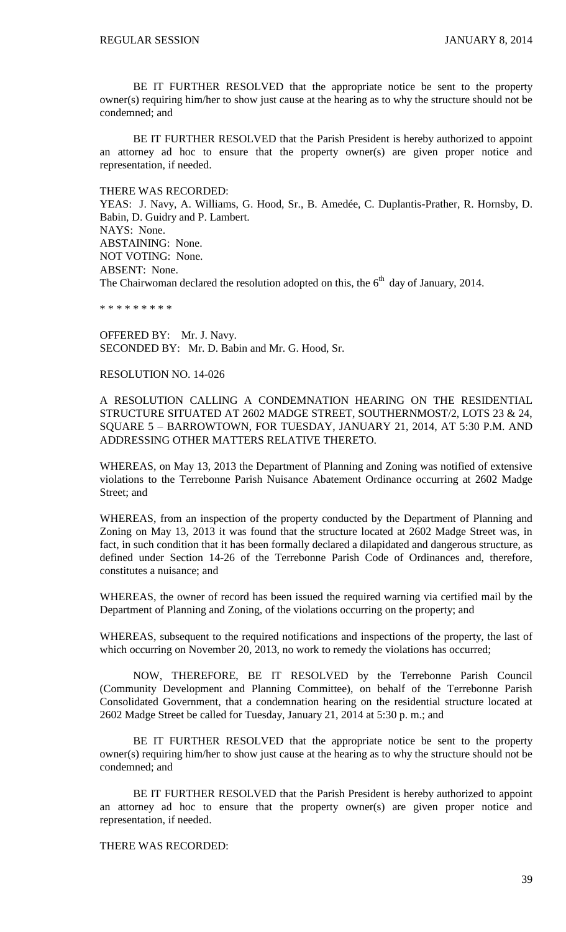BE IT FURTHER RESOLVED that the appropriate notice be sent to the property owner(s) requiring him/her to show just cause at the hearing as to why the structure should not be condemned; and

BE IT FURTHER RESOLVED that the Parish President is hereby authorized to appoint an attorney ad hoc to ensure that the property owner(s) are given proper notice and representation, if needed.

THERE WAS RECORDED:

YEAS: J. Navy, A. Williams, G. Hood, Sr., B. Amedée, C. Duplantis-Prather, R. Hornsby, D. Babin, D. Guidry and P. Lambert. NAYS: None. ABSTAINING: None. NOT VOTING: None. ABSENT: None. The Chairwoman declared the resolution adopted on this, the  $6<sup>th</sup>$  day of January, 2014.

\* \* \* \* \* \* \* \* \*

OFFERED BY: Mr. J. Navy. SECONDED BY: Mr. D. Babin and Mr. G. Hood, Sr.

#### RESOLUTION NO. 14-026

A RESOLUTION CALLING A CONDEMNATION HEARING ON THE RESIDENTIAL STRUCTURE SITUATED AT 2602 MADGE STREET, SOUTHERNMOST/2, LOTS 23 & 24, SQUARE 5 – BARROWTOWN, FOR TUESDAY, JANUARY 21, 2014, AT 5:30 P.M. AND ADDRESSING OTHER MATTERS RELATIVE THERETO.

WHEREAS, on May 13, 2013 the Department of Planning and Zoning was notified of extensive violations to the Terrebonne Parish Nuisance Abatement Ordinance occurring at 2602 Madge Street: and

WHEREAS, from an inspection of the property conducted by the Department of Planning and Zoning on May 13, 2013 it was found that the structure located at 2602 Madge Street was, in fact, in such condition that it has been formally declared a dilapidated and dangerous structure, as defined under Section 14-26 of the Terrebonne Parish Code of Ordinances and, therefore, constitutes a nuisance; and

WHEREAS, the owner of record has been issued the required warning via certified mail by the Department of Planning and Zoning, of the violations occurring on the property; and

WHEREAS, subsequent to the required notifications and inspections of the property, the last of which occurring on November 20, 2013, no work to remedy the violations has occurred;

NOW, THEREFORE, BE IT RESOLVED by the Terrebonne Parish Council (Community Development and Planning Committee), on behalf of the Terrebonne Parish Consolidated Government, that a condemnation hearing on the residential structure located at 2602 Madge Street be called for Tuesday, January 21, 2014 at 5:30 p. m.; and

BE IT FURTHER RESOLVED that the appropriate notice be sent to the property owner(s) requiring him/her to show just cause at the hearing as to why the structure should not be condemned; and

BE IT FURTHER RESOLVED that the Parish President is hereby authorized to appoint an attorney ad hoc to ensure that the property owner(s) are given proper notice and representation, if needed.

THERE WAS RECORDED: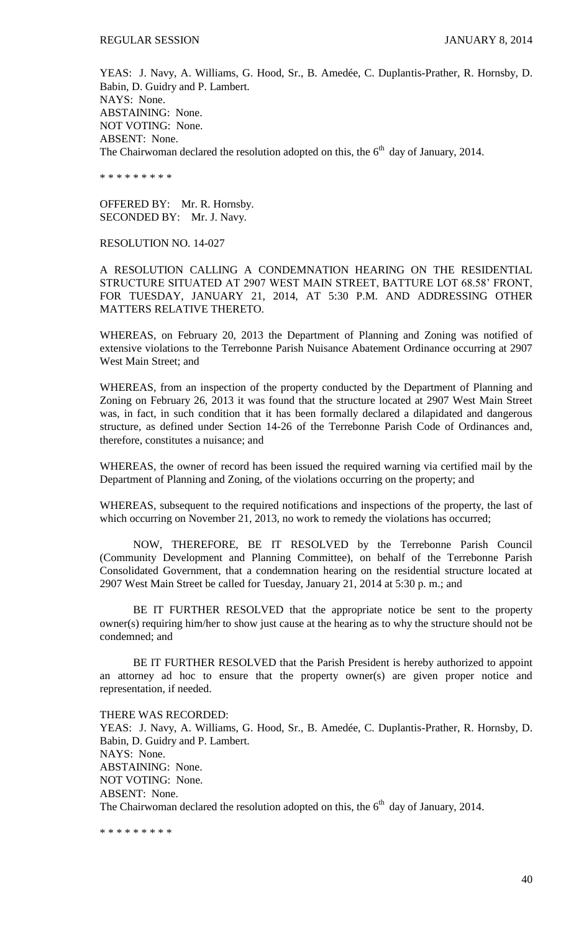YEAS: J. Navy, A. Williams, G. Hood, Sr., B. Amedée, C. Duplantis-Prather, R. Hornsby, D. Babin, D. Guidry and P. Lambert. NAYS: None. ABSTAINING: None. NOT VOTING: None. ABSENT: None. The Chairwoman declared the resolution adopted on this, the  $6<sup>th</sup>$  day of January, 2014.

\* \* \* \* \* \* \* \* \*

OFFERED BY: Mr. R. Hornsby. SECONDED BY: Mr. J. Navy.

### RESOLUTION NO. 14-027

A RESOLUTION CALLING A CONDEMNATION HEARING ON THE RESIDENTIAL STRUCTURE SITUATED AT 2907 WEST MAIN STREET, BATTURE LOT 68.58' FRONT, FOR TUESDAY, JANUARY 21, 2014, AT 5:30 P.M. AND ADDRESSING OTHER MATTERS RELATIVE THERETO.

WHEREAS, on February 20, 2013 the Department of Planning and Zoning was notified of extensive violations to the Terrebonne Parish Nuisance Abatement Ordinance occurring at 2907 West Main Street; and

WHEREAS, from an inspection of the property conducted by the Department of Planning and Zoning on February 26, 2013 it was found that the structure located at 2907 West Main Street was, in fact, in such condition that it has been formally declared a dilapidated and dangerous structure, as defined under Section 14-26 of the Terrebonne Parish Code of Ordinances and, therefore, constitutes a nuisance; and

WHEREAS, the owner of record has been issued the required warning via certified mail by the Department of Planning and Zoning, of the violations occurring on the property; and

WHEREAS, subsequent to the required notifications and inspections of the property, the last of which occurring on November 21, 2013, no work to remedy the violations has occurred;

NOW, THEREFORE, BE IT RESOLVED by the Terrebonne Parish Council (Community Development and Planning Committee), on behalf of the Terrebonne Parish Consolidated Government, that a condemnation hearing on the residential structure located at 2907 West Main Street be called for Tuesday, January 21, 2014 at 5:30 p. m.; and

BE IT FURTHER RESOLVED that the appropriate notice be sent to the property owner(s) requiring him/her to show just cause at the hearing as to why the structure should not be condemned; and

BE IT FURTHER RESOLVED that the Parish President is hereby authorized to appoint an attorney ad hoc to ensure that the property owner(s) are given proper notice and representation, if needed.

THERE WAS RECORDED: YEAS: J. Navy, A. Williams, G. Hood, Sr., B. Amedée, C. Duplantis-Prather, R. Hornsby, D. Babin, D. Guidry and P. Lambert. NAYS: None. ABSTAINING: None. NOT VOTING: None. ABSENT: None. The Chairwoman declared the resolution adopted on this, the  $6<sup>th</sup>$  day of January, 2014.

\* \* \* \* \* \* \* \* \*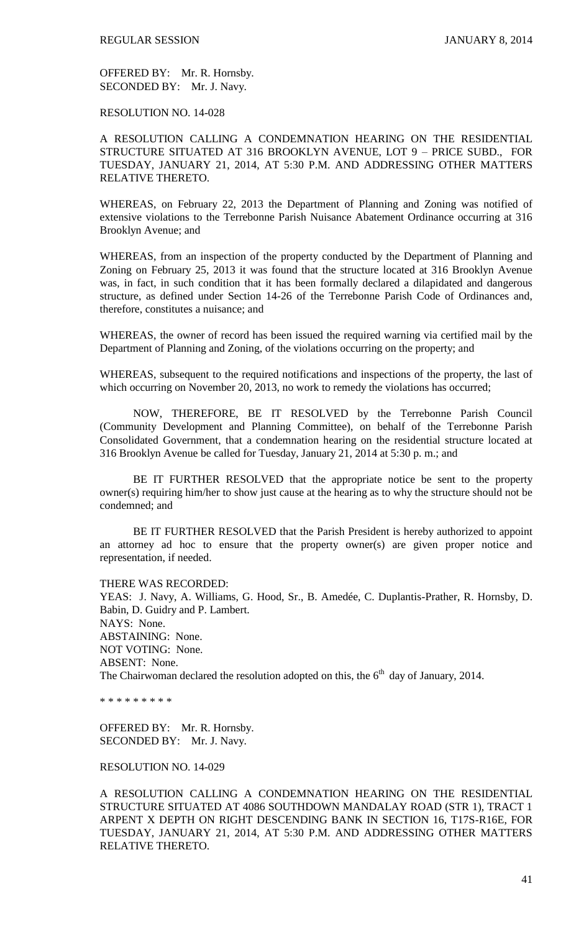OFFERED BY: Mr. R. Hornsby. SECONDED BY: Mr. J. Navy.

RESOLUTION NO. 14-028

A RESOLUTION CALLING A CONDEMNATION HEARING ON THE RESIDENTIAL STRUCTURE SITUATED AT 316 BROOKLYN AVENUE, LOT 9 – PRICE SUBD., FOR TUESDAY, JANUARY 21, 2014, AT 5:30 P.M. AND ADDRESSING OTHER MATTERS RELATIVE THERETO.

WHEREAS, on February 22, 2013 the Department of Planning and Zoning was notified of extensive violations to the Terrebonne Parish Nuisance Abatement Ordinance occurring at 316 Brooklyn Avenue; and

WHEREAS, from an inspection of the property conducted by the Department of Planning and Zoning on February 25, 2013 it was found that the structure located at 316 Brooklyn Avenue was, in fact, in such condition that it has been formally declared a dilapidated and dangerous structure, as defined under Section 14-26 of the Terrebonne Parish Code of Ordinances and, therefore, constitutes a nuisance; and

WHEREAS, the owner of record has been issued the required warning via certified mail by the Department of Planning and Zoning, of the violations occurring on the property; and

WHEREAS, subsequent to the required notifications and inspections of the property, the last of which occurring on November 20, 2013, no work to remedy the violations has occurred;

NOW, THEREFORE, BE IT RESOLVED by the Terrebonne Parish Council (Community Development and Planning Committee), on behalf of the Terrebonne Parish Consolidated Government, that a condemnation hearing on the residential structure located at 316 Brooklyn Avenue be called for Tuesday, January 21, 2014 at 5:30 p. m.; and

BE IT FURTHER RESOLVED that the appropriate notice be sent to the property owner(s) requiring him/her to show just cause at the hearing as to why the structure should not be condemned; and

BE IT FURTHER RESOLVED that the Parish President is hereby authorized to appoint an attorney ad hoc to ensure that the property owner(s) are given proper notice and representation, if needed.

THERE WAS RECORDED: YEAS: J. Navy, A. Williams, G. Hood, Sr., B. Amedée, C. Duplantis-Prather, R. Hornsby, D. Babin, D. Guidry and P. Lambert. NAYS: None. ABSTAINING: None. NOT VOTING: None. ABSENT: None. The Chairwoman declared the resolution adopted on this, the  $6<sup>th</sup>$  day of January, 2014.

\* \* \* \* \* \* \* \* \*

OFFERED BY: Mr. R. Hornsby. SECONDED BY: Mr. J. Navy.

#### RESOLUTION NO. 14-029

A RESOLUTION CALLING A CONDEMNATION HEARING ON THE RESIDENTIAL STRUCTURE SITUATED AT 4086 SOUTHDOWN MANDALAY ROAD (STR 1), TRACT 1 ARPENT X DEPTH ON RIGHT DESCENDING BANK IN SECTION 16, T17S-R16E, FOR TUESDAY, JANUARY 21, 2014, AT 5:30 P.M. AND ADDRESSING OTHER MATTERS RELATIVE THERETO.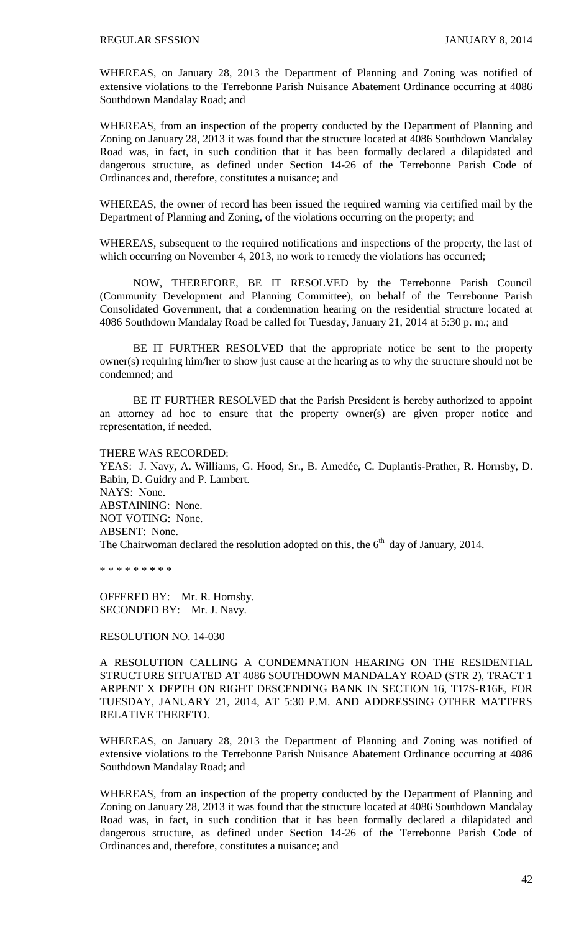WHEREAS, on January 28, 2013 the Department of Planning and Zoning was notified of extensive violations to the Terrebonne Parish Nuisance Abatement Ordinance occurring at 4086 Southdown Mandalay Road; and

WHEREAS, from an inspection of the property conducted by the Department of Planning and Zoning on January 28, 2013 it was found that the structure located at 4086 Southdown Mandalay Road was, in fact, in such condition that it has been formally declared a dilapidated and dangerous structure, as defined under Section 14-26 of the Terrebonne Parish Code of Ordinances and, therefore, constitutes a nuisance; and

WHEREAS, the owner of record has been issued the required warning via certified mail by the Department of Planning and Zoning, of the violations occurring on the property; and

WHEREAS, subsequent to the required notifications and inspections of the property, the last of which occurring on November 4, 2013, no work to remedy the violations has occurred;

NOW, THEREFORE, BE IT RESOLVED by the Terrebonne Parish Council (Community Development and Planning Committee), on behalf of the Terrebonne Parish Consolidated Government, that a condemnation hearing on the residential structure located at 4086 Southdown Mandalay Road be called for Tuesday, January 21, 2014 at 5:30 p. m.; and

BE IT FURTHER RESOLVED that the appropriate notice be sent to the property owner(s) requiring him/her to show just cause at the hearing as to why the structure should not be condemned; and

BE IT FURTHER RESOLVED that the Parish President is hereby authorized to appoint an attorney ad hoc to ensure that the property owner(s) are given proper notice and representation, if needed.

THERE WAS RECORDED:

YEAS: J. Navy, A. Williams, G. Hood, Sr., B. Amedée, C. Duplantis-Prather, R. Hornsby, D. Babin, D. Guidry and P. Lambert. NAYS: None. ABSTAINING: None. NOT VOTING: None. ABSENT: None. The Chairwoman declared the resolution adopted on this, the  $6<sup>th</sup>$  day of January, 2014.

\* \* \* \* \* \* \* \* \*

OFFERED BY: Mr. R. Hornsby. SECONDED BY: Mr. J. Navy.

RESOLUTION NO. 14-030

A RESOLUTION CALLING A CONDEMNATION HEARING ON THE RESIDENTIAL STRUCTURE SITUATED AT 4086 SOUTHDOWN MANDALAY ROAD (STR 2), TRACT 1 ARPENT X DEPTH ON RIGHT DESCENDING BANK IN SECTION 16, T17S-R16E, FOR TUESDAY, JANUARY 21, 2014, AT 5:30 P.M. AND ADDRESSING OTHER MATTERS RELATIVE THERETO.

WHEREAS, on January 28, 2013 the Department of Planning and Zoning was notified of extensive violations to the Terrebonne Parish Nuisance Abatement Ordinance occurring at 4086 Southdown Mandalay Road; and

WHEREAS, from an inspection of the property conducted by the Department of Planning and Zoning on January 28, 2013 it was found that the structure located at 4086 Southdown Mandalay Road was, in fact, in such condition that it has been formally declared a dilapidated and dangerous structure, as defined under Section 14-26 of the Terrebonne Parish Code of Ordinances and, therefore, constitutes a nuisance; and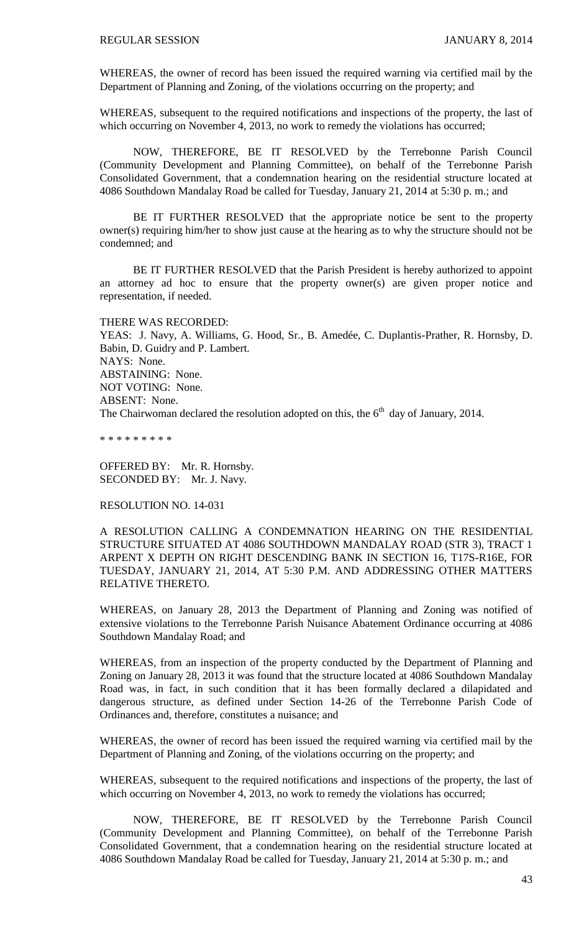WHEREAS, the owner of record has been issued the required warning via certified mail by the Department of Planning and Zoning, of the violations occurring on the property; and

WHEREAS, subsequent to the required notifications and inspections of the property, the last of which occurring on November 4, 2013, no work to remedy the violations has occurred;

NOW, THEREFORE, BE IT RESOLVED by the Terrebonne Parish Council (Community Development and Planning Committee), on behalf of the Terrebonne Parish Consolidated Government, that a condemnation hearing on the residential structure located at 4086 Southdown Mandalay Road be called for Tuesday, January 21, 2014 at 5:30 p. m.; and

BE IT FURTHER RESOLVED that the appropriate notice be sent to the property owner(s) requiring him/her to show just cause at the hearing as to why the structure should not be condemned; and

BE IT FURTHER RESOLVED that the Parish President is hereby authorized to appoint an attorney ad hoc to ensure that the property owner(s) are given proper notice and representation, if needed.

THERE WAS RECORDED: YEAS: J. Navy, A. Williams, G. Hood, Sr., B. Amedée, C. Duplantis-Prather, R. Hornsby, D. Babin, D. Guidry and P. Lambert. NAYS: None. ABSTAINING: None. NOT VOTING: None. ABSENT: None. The Chairwoman declared the resolution adopted on this, the  $6<sup>th</sup>$  day of January, 2014.

\* \* \* \* \* \* \* \* \*

OFFERED BY: Mr. R. Hornsby. SECONDED BY: Mr. J. Navy.

RESOLUTION NO. 14-031

A RESOLUTION CALLING A CONDEMNATION HEARING ON THE RESIDENTIAL STRUCTURE SITUATED AT 4086 SOUTHDOWN MANDALAY ROAD (STR 3), TRACT 1 ARPENT X DEPTH ON RIGHT DESCENDING BANK IN SECTION 16, T17S-R16E, FOR TUESDAY, JANUARY 21, 2014, AT 5:30 P.M. AND ADDRESSING OTHER MATTERS RELATIVE THERETO.

WHEREAS, on January 28, 2013 the Department of Planning and Zoning was notified of extensive violations to the Terrebonne Parish Nuisance Abatement Ordinance occurring at 4086 Southdown Mandalay Road; and

WHEREAS, from an inspection of the property conducted by the Department of Planning and Zoning on January 28, 2013 it was found that the structure located at 4086 Southdown Mandalay Road was, in fact, in such condition that it has been formally declared a dilapidated and dangerous structure, as defined under Section 14-26 of the Terrebonne Parish Code of Ordinances and, therefore, constitutes a nuisance; and

WHEREAS, the owner of record has been issued the required warning via certified mail by the Department of Planning and Zoning, of the violations occurring on the property; and

WHEREAS, subsequent to the required notifications and inspections of the property, the last of which occurring on November 4, 2013, no work to remedy the violations has occurred;

NOW, THEREFORE, BE IT RESOLVED by the Terrebonne Parish Council (Community Development and Planning Committee), on behalf of the Terrebonne Parish Consolidated Government, that a condemnation hearing on the residential structure located at 4086 Southdown Mandalay Road be called for Tuesday, January 21, 2014 at 5:30 p. m.; and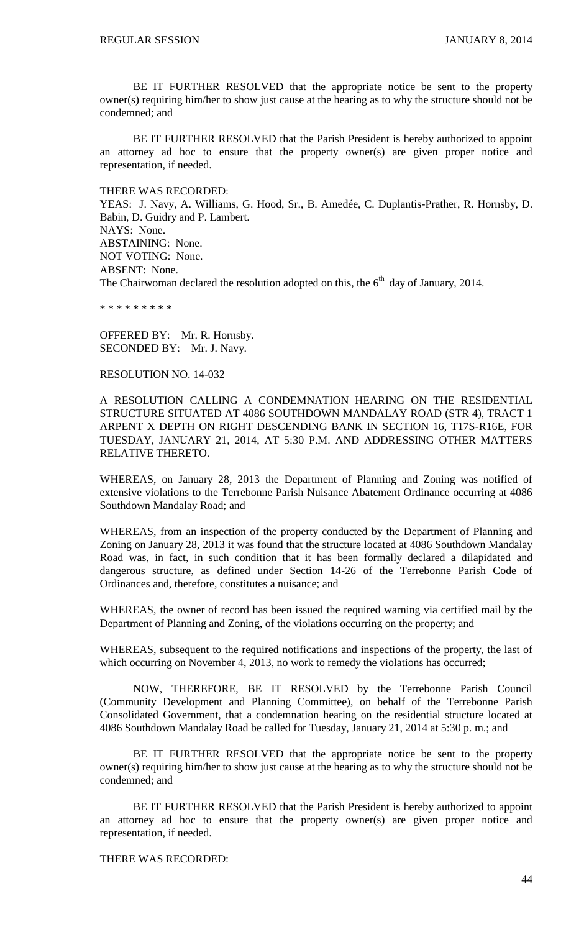BE IT FURTHER RESOLVED that the appropriate notice be sent to the property owner(s) requiring him/her to show just cause at the hearing as to why the structure should not be condemned; and

BE IT FURTHER RESOLVED that the Parish President is hereby authorized to appoint an attorney ad hoc to ensure that the property owner(s) are given proper notice and representation, if needed.

THERE WAS RECORDED:

YEAS: J. Navy, A. Williams, G. Hood, Sr., B. Amedée, C. Duplantis-Prather, R. Hornsby, D. Babin, D. Guidry and P. Lambert. NAYS: None. ABSTAINING: None. NOT VOTING: None. ABSENT: None. The Chairwoman declared the resolution adopted on this, the  $6<sup>th</sup>$  day of January, 2014.

\* \* \* \* \* \* \* \* \*

OFFERED BY: Mr. R. Hornsby. SECONDED BY: Mr. J. Navy.

#### RESOLUTION NO. 14-032

A RESOLUTION CALLING A CONDEMNATION HEARING ON THE RESIDENTIAL STRUCTURE SITUATED AT 4086 SOUTHDOWN MANDALAY ROAD (STR 4), TRACT 1 ARPENT X DEPTH ON RIGHT DESCENDING BANK IN SECTION 16, T17S-R16E, FOR TUESDAY, JANUARY 21, 2014, AT 5:30 P.M. AND ADDRESSING OTHER MATTERS RELATIVE THERETO.

WHEREAS, on January 28, 2013 the Department of Planning and Zoning was notified of extensive violations to the Terrebonne Parish Nuisance Abatement Ordinance occurring at 4086 Southdown Mandalay Road; and

WHEREAS, from an inspection of the property conducted by the Department of Planning and Zoning on January 28, 2013 it was found that the structure located at 4086 Southdown Mandalay Road was, in fact, in such condition that it has been formally declared a dilapidated and dangerous structure, as defined under Section 14-26 of the Terrebonne Parish Code of Ordinances and, therefore, constitutes a nuisance; and

WHEREAS, the owner of record has been issued the required warning via certified mail by the Department of Planning and Zoning, of the violations occurring on the property; and

WHEREAS, subsequent to the required notifications and inspections of the property, the last of which occurring on November 4, 2013, no work to remedy the violations has occurred;

NOW, THEREFORE, BE IT RESOLVED by the Terrebonne Parish Council (Community Development and Planning Committee), on behalf of the Terrebonne Parish Consolidated Government, that a condemnation hearing on the residential structure located at 4086 Southdown Mandalay Road be called for Tuesday, January 21, 2014 at 5:30 p. m.; and

BE IT FURTHER RESOLVED that the appropriate notice be sent to the property owner(s) requiring him/her to show just cause at the hearing as to why the structure should not be condemned; and

BE IT FURTHER RESOLVED that the Parish President is hereby authorized to appoint an attorney ad hoc to ensure that the property owner(s) are given proper notice and representation, if needed.

THERE WAS RECORDED: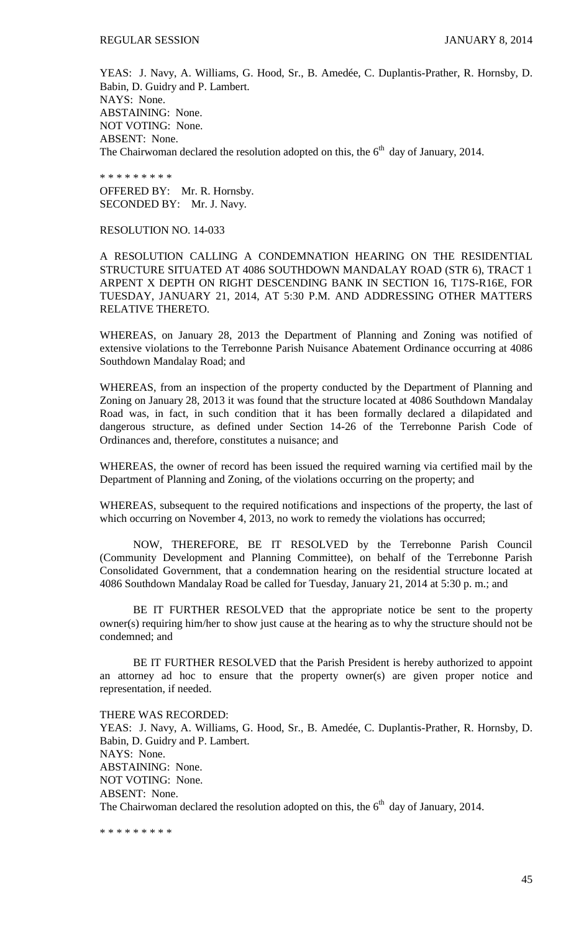YEAS: J. Navy, A. Williams, G. Hood, Sr., B. Amedée, C. Duplantis-Prather, R. Hornsby, D. Babin, D. Guidry and P. Lambert. NAYS: None. ABSTAINING: None. NOT VOTING: None. ABSENT: None. The Chairwoman declared the resolution adopted on this, the  $6<sup>th</sup>$  day of January, 2014.

\* \* \* \* \* \* \* \* \*

OFFERED BY: Mr. R. Hornsby. SECONDED BY: Mr. J. Navy.

RESOLUTION NO. 14-033

A RESOLUTION CALLING A CONDEMNATION HEARING ON THE RESIDENTIAL STRUCTURE SITUATED AT 4086 SOUTHDOWN MANDALAY ROAD (STR 6), TRACT 1 ARPENT X DEPTH ON RIGHT DESCENDING BANK IN SECTION 16, T17S-R16E, FOR TUESDAY, JANUARY 21, 2014, AT 5:30 P.M. AND ADDRESSING OTHER MATTERS RELATIVE THERETO.

WHEREAS, on January 28, 2013 the Department of Planning and Zoning was notified of extensive violations to the Terrebonne Parish Nuisance Abatement Ordinance occurring at 4086 Southdown Mandalay Road; and

WHEREAS, from an inspection of the property conducted by the Department of Planning and Zoning on January 28, 2013 it was found that the structure located at 4086 Southdown Mandalay Road was, in fact, in such condition that it has been formally declared a dilapidated and dangerous structure, as defined under Section 14-26 of the Terrebonne Parish Code of Ordinances and, therefore, constitutes a nuisance; and

WHEREAS, the owner of record has been issued the required warning via certified mail by the Department of Planning and Zoning, of the violations occurring on the property; and

WHEREAS, subsequent to the required notifications and inspections of the property, the last of which occurring on November 4, 2013, no work to remedy the violations has occurred;

NOW, THEREFORE, BE IT RESOLVED by the Terrebonne Parish Council (Community Development and Planning Committee), on behalf of the Terrebonne Parish Consolidated Government, that a condemnation hearing on the residential structure located at 4086 Southdown Mandalay Road be called for Tuesday, January 21, 2014 at 5:30 p. m.; and

BE IT FURTHER RESOLVED that the appropriate notice be sent to the property owner(s) requiring him/her to show just cause at the hearing as to why the structure should not be condemned; and

BE IT FURTHER RESOLVED that the Parish President is hereby authorized to appoint an attorney ad hoc to ensure that the property owner(s) are given proper notice and representation, if needed.

THERE WAS RECORDED: YEAS: J. Navy, A. Williams, G. Hood, Sr., B. Amedée, C. Duplantis-Prather, R. Hornsby, D. Babin, D. Guidry and P. Lambert. NAYS: None. ABSTAINING: None. NOT VOTING: None. ABSENT: None. The Chairwoman declared the resolution adopted on this, the  $6<sup>th</sup>$  day of January, 2014.

\* \* \* \* \* \* \* \* \*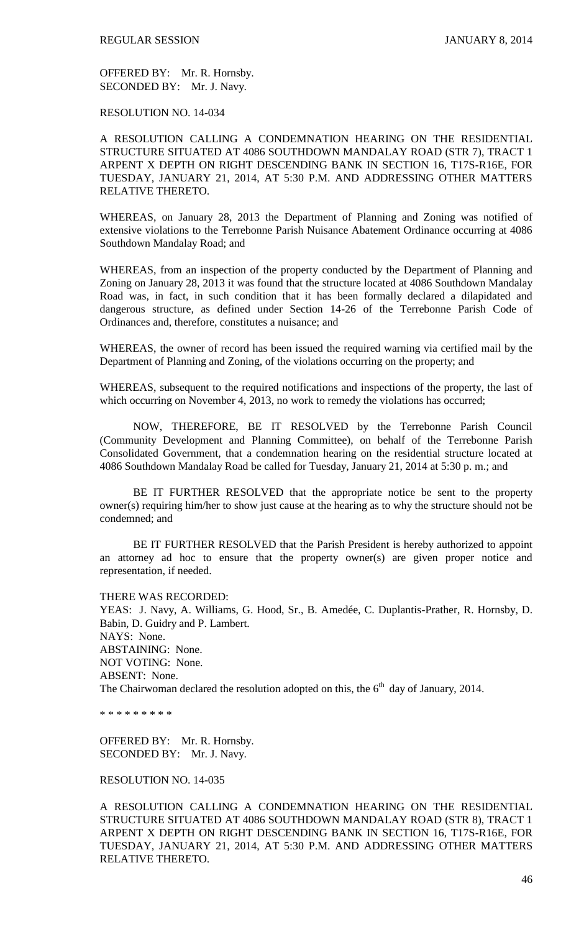OFFERED BY: Mr. R. Hornsby. SECONDED BY: Mr. J. Navy.

RESOLUTION NO. 14-034

A RESOLUTION CALLING A CONDEMNATION HEARING ON THE RESIDENTIAL STRUCTURE SITUATED AT 4086 SOUTHDOWN MANDALAY ROAD (STR 7), TRACT 1 ARPENT X DEPTH ON RIGHT DESCENDING BANK IN SECTION 16, T17S-R16E, FOR TUESDAY, JANUARY 21, 2014, AT 5:30 P.M. AND ADDRESSING OTHER MATTERS RELATIVE THERETO.

WHEREAS, on January 28, 2013 the Department of Planning and Zoning was notified of extensive violations to the Terrebonne Parish Nuisance Abatement Ordinance occurring at 4086 Southdown Mandalay Road; and

WHEREAS, from an inspection of the property conducted by the Department of Planning and Zoning on January 28, 2013 it was found that the structure located at 4086 Southdown Mandalay Road was, in fact, in such condition that it has been formally declared a dilapidated and dangerous structure, as defined under Section 14-26 of the Terrebonne Parish Code of Ordinances and, therefore, constitutes a nuisance; and

WHEREAS, the owner of record has been issued the required warning via certified mail by the Department of Planning and Zoning, of the violations occurring on the property; and

WHEREAS, subsequent to the required notifications and inspections of the property, the last of which occurring on November 4, 2013, no work to remedy the violations has occurred;

NOW, THEREFORE, BE IT RESOLVED by the Terrebonne Parish Council (Community Development and Planning Committee), on behalf of the Terrebonne Parish Consolidated Government, that a condemnation hearing on the residential structure located at 4086 Southdown Mandalay Road be called for Tuesday, January 21, 2014 at 5:30 p. m.; and

BE IT FURTHER RESOLVED that the appropriate notice be sent to the property owner(s) requiring him/her to show just cause at the hearing as to why the structure should not be condemned; and

BE IT FURTHER RESOLVED that the Parish President is hereby authorized to appoint an attorney ad hoc to ensure that the property owner(s) are given proper notice and representation, if needed.

THERE WAS RECORDED:

YEAS: J. Navy, A. Williams, G. Hood, Sr., B. Amedée, C. Duplantis-Prather, R. Hornsby, D. Babin, D. Guidry and P. Lambert. NAYS: None. ABSTAINING: None. NOT VOTING: None. ABSENT: None. The Chairwoman declared the resolution adopted on this, the  $6<sup>th</sup>$  day of January, 2014.

\* \* \* \* \* \* \* \* \*

OFFERED BY: Mr. R. Hornsby. SECONDED BY: Mr. J. Navy.

## RESOLUTION NO. 14-035

A RESOLUTION CALLING A CONDEMNATION HEARING ON THE RESIDENTIAL STRUCTURE SITUATED AT 4086 SOUTHDOWN MANDALAY ROAD (STR 8), TRACT 1 ARPENT X DEPTH ON RIGHT DESCENDING BANK IN SECTION 16, T17S-R16E, FOR TUESDAY, JANUARY 21, 2014, AT 5:30 P.M. AND ADDRESSING OTHER MATTERS RELATIVE THERETO.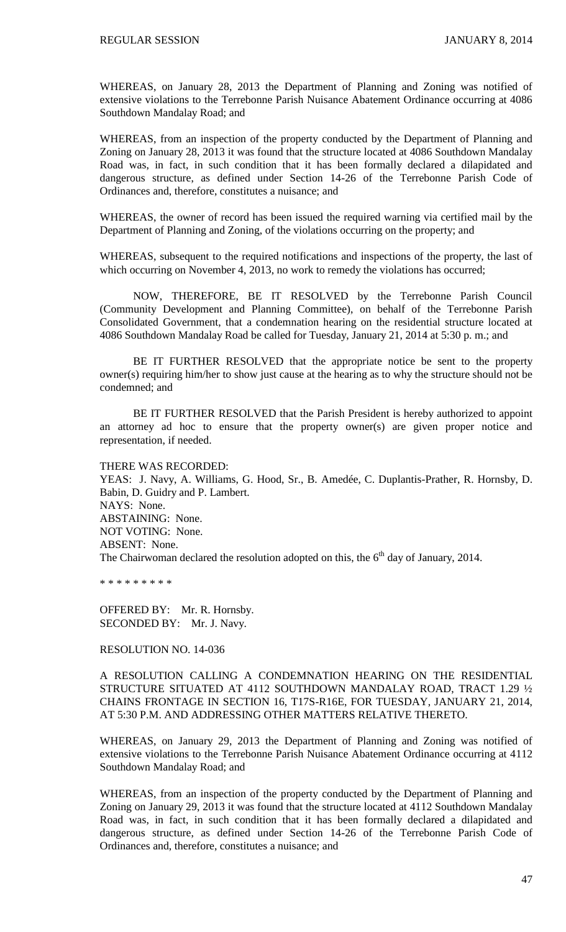WHEREAS, on January 28, 2013 the Department of Planning and Zoning was notified of extensive violations to the Terrebonne Parish Nuisance Abatement Ordinance occurring at 4086 Southdown Mandalay Road; and

WHEREAS, from an inspection of the property conducted by the Department of Planning and Zoning on January 28, 2013 it was found that the structure located at 4086 Southdown Mandalay Road was, in fact, in such condition that it has been formally declared a dilapidated and dangerous structure, as defined under Section 14-26 of the Terrebonne Parish Code of Ordinances and, therefore, constitutes a nuisance; and

WHEREAS, the owner of record has been issued the required warning via certified mail by the Department of Planning and Zoning, of the violations occurring on the property; and

WHEREAS, subsequent to the required notifications and inspections of the property, the last of which occurring on November 4, 2013, no work to remedy the violations has occurred;

NOW, THEREFORE, BE IT RESOLVED by the Terrebonne Parish Council (Community Development and Planning Committee), on behalf of the Terrebonne Parish Consolidated Government, that a condemnation hearing on the residential structure located at 4086 Southdown Mandalay Road be called for Tuesday, January 21, 2014 at 5:30 p. m.; and

BE IT FURTHER RESOLVED that the appropriate notice be sent to the property owner(s) requiring him/her to show just cause at the hearing as to why the structure should not be condemned; and

BE IT FURTHER RESOLVED that the Parish President is hereby authorized to appoint an attorney ad hoc to ensure that the property owner(s) are given proper notice and representation, if needed.

THERE WAS RECORDED: YEAS: J. Navy, A. Williams, G. Hood, Sr., B. Amedée, C. Duplantis-Prather, R. Hornsby, D. Babin, D. Guidry and P. Lambert. NAYS: None. ABSTAINING: None. NOT VOTING: None. ABSENT: None. The Chairwoman declared the resolution adopted on this, the  $6<sup>th</sup>$  day of January, 2014.

\* \* \* \* \* \* \* \* \*

OFFERED BY: Mr. R. Hornsby. SECONDED BY: Mr. J. Navy.

RESOLUTION NO. 14-036

A RESOLUTION CALLING A CONDEMNATION HEARING ON THE RESIDENTIAL STRUCTURE SITUATED AT 4112 SOUTHDOWN MANDALAY ROAD, TRACT 1.29 ½ CHAINS FRONTAGE IN SECTION 16, T17S-R16E, FOR TUESDAY, JANUARY 21, 2014, AT 5:30 P.M. AND ADDRESSING OTHER MATTERS RELATIVE THERETO.

WHEREAS, on January 29, 2013 the Department of Planning and Zoning was notified of extensive violations to the Terrebonne Parish Nuisance Abatement Ordinance occurring at 4112 Southdown Mandalay Road; and

WHEREAS, from an inspection of the property conducted by the Department of Planning and Zoning on January 29, 2013 it was found that the structure located at 4112 Southdown Mandalay Road was, in fact, in such condition that it has been formally declared a dilapidated and dangerous structure, as defined under Section 14-26 of the Terrebonne Parish Code of Ordinances and, therefore, constitutes a nuisance; and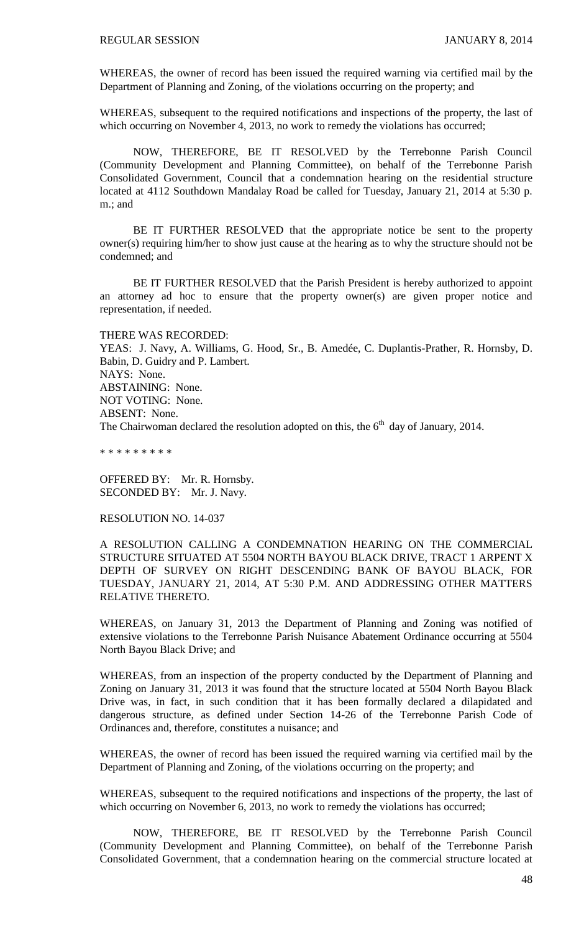WHEREAS, the owner of record has been issued the required warning via certified mail by the Department of Planning and Zoning, of the violations occurring on the property; and

WHEREAS, subsequent to the required notifications and inspections of the property, the last of which occurring on November 4, 2013, no work to remedy the violations has occurred;

NOW, THEREFORE, BE IT RESOLVED by the Terrebonne Parish Council (Community Development and Planning Committee), on behalf of the Terrebonne Parish Consolidated Government, Council that a condemnation hearing on the residential structure located at 4112 Southdown Mandalay Road be called for Tuesday, January 21, 2014 at 5:30 p. m.; and

BE IT FURTHER RESOLVED that the appropriate notice be sent to the property owner(s) requiring him/her to show just cause at the hearing as to why the structure should not be condemned; and

BE IT FURTHER RESOLVED that the Parish President is hereby authorized to appoint an attorney ad hoc to ensure that the property owner(s) are given proper notice and representation, if needed.

#### THERE WAS RECORDED:

YEAS: J. Navy, A. Williams, G. Hood, Sr., B. Amedée, C. Duplantis-Prather, R. Hornsby, D. Babin, D. Guidry and P. Lambert. NAYS: None. ABSTAINING: None. NOT VOTING: None. ABSENT: None. The Chairwoman declared the resolution adopted on this, the  $6<sup>th</sup>$  day of January, 2014.

\* \* \* \* \* \* \* \* \*

OFFERED BY: Mr. R. Hornsby. SECONDED BY: Mr. J. Navy.

#### RESOLUTION NO. 14-037

A RESOLUTION CALLING A CONDEMNATION HEARING ON THE COMMERCIAL STRUCTURE SITUATED AT 5504 NORTH BAYOU BLACK DRIVE, TRACT 1 ARPENT X DEPTH OF SURVEY ON RIGHT DESCENDING BANK OF BAYOU BLACK, FOR TUESDAY, JANUARY 21, 2014, AT 5:30 P.M. AND ADDRESSING OTHER MATTERS RELATIVE THERETO.

WHEREAS, on January 31, 2013 the Department of Planning and Zoning was notified of extensive violations to the Terrebonne Parish Nuisance Abatement Ordinance occurring at 5504 North Bayou Black Drive; and

WHEREAS, from an inspection of the property conducted by the Department of Planning and Zoning on January 31, 2013 it was found that the structure located at 5504 North Bayou Black Drive was, in fact, in such condition that it has been formally declared a dilapidated and dangerous structure, as defined under Section 14-26 of the Terrebonne Parish Code of Ordinances and, therefore, constitutes a nuisance; and

WHEREAS, the owner of record has been issued the required warning via certified mail by the Department of Planning and Zoning, of the violations occurring on the property; and

WHEREAS, subsequent to the required notifications and inspections of the property, the last of which occurring on November 6, 2013, no work to remedy the violations has occurred;

NOW, THEREFORE, BE IT RESOLVED by the Terrebonne Parish Council (Community Development and Planning Committee), on behalf of the Terrebonne Parish Consolidated Government, that a condemnation hearing on the commercial structure located at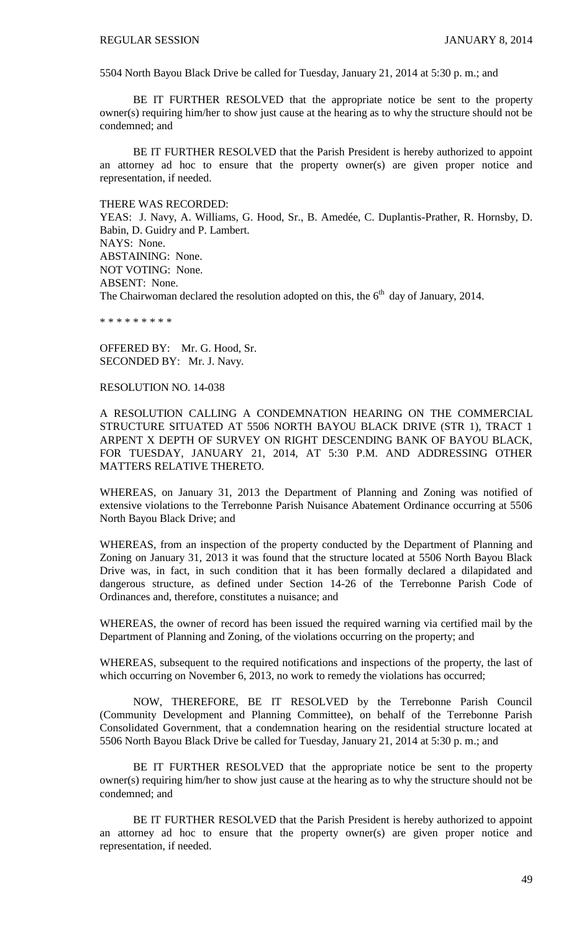5504 North Bayou Black Drive be called for Tuesday, January 21, 2014 at 5:30 p. m.; and

BE IT FURTHER RESOLVED that the appropriate notice be sent to the property owner(s) requiring him/her to show just cause at the hearing as to why the structure should not be condemned; and

BE IT FURTHER RESOLVED that the Parish President is hereby authorized to appoint an attorney ad hoc to ensure that the property owner(s) are given proper notice and representation, if needed.

THERE WAS RECORDED:

YEAS: J. Navy, A. Williams, G. Hood, Sr., B. Amedée, C. Duplantis-Prather, R. Hornsby, D. Babin, D. Guidry and P. Lambert. NAYS: None. ABSTAINING: None. NOT VOTING: None. ABSENT: None. The Chairwoman declared the resolution adopted on this, the  $6<sup>th</sup>$  day of January, 2014.

\* \* \* \* \* \* \* \* \*

OFFERED BY: Mr. G. Hood, Sr. SECONDED BY: Mr. J. Navy.

RESOLUTION NO. 14-038

A RESOLUTION CALLING A CONDEMNATION HEARING ON THE COMMERCIAL STRUCTURE SITUATED AT 5506 NORTH BAYOU BLACK DRIVE (STR 1), TRACT 1 ARPENT X DEPTH OF SURVEY ON RIGHT DESCENDING BANK OF BAYOU BLACK, FOR TUESDAY, JANUARY 21, 2014, AT 5:30 P.M. AND ADDRESSING OTHER MATTERS RELATIVE THERETO.

WHEREAS, on January 31, 2013 the Department of Planning and Zoning was notified of extensive violations to the Terrebonne Parish Nuisance Abatement Ordinance occurring at 5506 North Bayou Black Drive; and

WHEREAS, from an inspection of the property conducted by the Department of Planning and Zoning on January 31, 2013 it was found that the structure located at 5506 North Bayou Black Drive was, in fact, in such condition that it has been formally declared a dilapidated and dangerous structure, as defined under Section 14-26 of the Terrebonne Parish Code of Ordinances and, therefore, constitutes a nuisance; and

WHEREAS, the owner of record has been issued the required warning via certified mail by the Department of Planning and Zoning, of the violations occurring on the property; and

WHEREAS, subsequent to the required notifications and inspections of the property, the last of which occurring on November 6, 2013, no work to remedy the violations has occurred;

NOW, THEREFORE, BE IT RESOLVED by the Terrebonne Parish Council (Community Development and Planning Committee), on behalf of the Terrebonne Parish Consolidated Government, that a condemnation hearing on the residential structure located at 5506 North Bayou Black Drive be called for Tuesday, January 21, 2014 at 5:30 p. m.; and

BE IT FURTHER RESOLVED that the appropriate notice be sent to the property owner(s) requiring him/her to show just cause at the hearing as to why the structure should not be condemned; and

BE IT FURTHER RESOLVED that the Parish President is hereby authorized to appoint an attorney ad hoc to ensure that the property owner(s) are given proper notice and representation, if needed.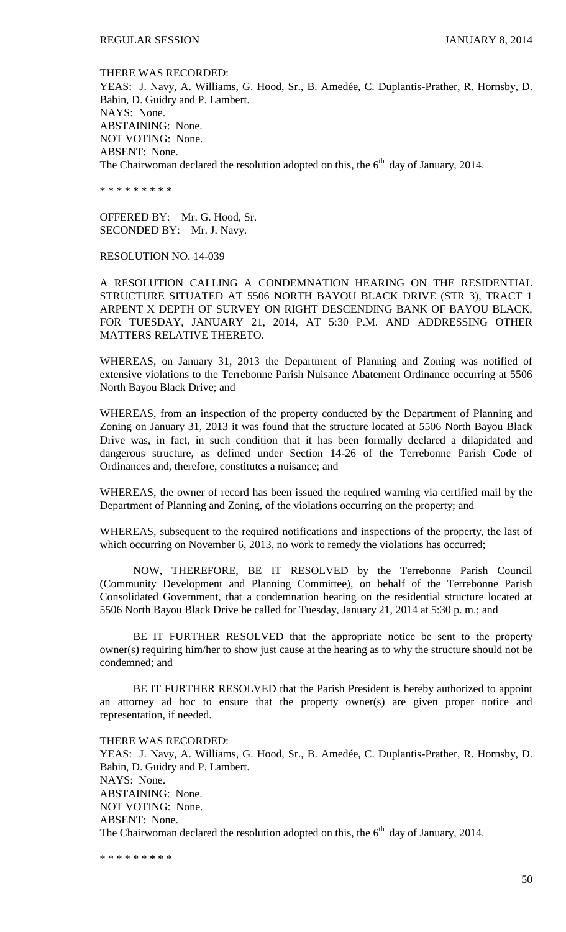THERE WAS RECORDED: YEAS: J. Navy, A. Williams, G. Hood, Sr., B. Amedée, C. Duplantis-Prather, R. Hornsby, D. Babin, D. Guidry and P. Lambert. NAYS: None. ABSTAINING: None. NOT VOTING: None. ABSENT: None. The Chairwoman declared the resolution adopted on this, the  $6<sup>th</sup>$  day of January, 2014.

\* \* \* \* \* \* \* \* \*

OFFERED BY: Mr. G. Hood, Sr. SECONDED BY: Mr. J. Navy.

### RESOLUTION NO. 14-039

A RESOLUTION CALLING A CONDEMNATION HEARING ON THE RESIDENTIAL STRUCTURE SITUATED AT 5506 NORTH BAYOU BLACK DRIVE (STR 3), TRACT 1 ARPENT X DEPTH OF SURVEY ON RIGHT DESCENDING BANK OF BAYOU BLACK, FOR TUESDAY, JANUARY 21, 2014, AT 5:30 P.M. AND ADDRESSING OTHER MATTERS RELATIVE THERETO.

WHEREAS, on January 31, 2013 the Department of Planning and Zoning was notified of extensive violations to the Terrebonne Parish Nuisance Abatement Ordinance occurring at 5506 North Bayou Black Drive; and

WHEREAS, from an inspection of the property conducted by the Department of Planning and Zoning on January 31, 2013 it was found that the structure located at 5506 North Bayou Black Drive was, in fact, in such condition that it has been formally declared a dilapidated and dangerous structure, as defined under Section 14-26 of the Terrebonne Parish Code of Ordinances and, therefore, constitutes a nuisance; and

WHEREAS, the owner of record has been issued the required warning via certified mail by the Department of Planning and Zoning, of the violations occurring on the property; and

WHEREAS, subsequent to the required notifications and inspections of the property, the last of which occurring on November 6, 2013, no work to remedy the violations has occurred;

NOW, THEREFORE, BE IT RESOLVED by the Terrebonne Parish Council (Community Development and Planning Committee), on behalf of the Terrebonne Parish Consolidated Government, that a condemnation hearing on the residential structure located at 5506 North Bayou Black Drive be called for Tuesday, January 21, 2014 at 5:30 p. m.; and

BE IT FURTHER RESOLVED that the appropriate notice be sent to the property owner(s) requiring him/her to show just cause at the hearing as to why the structure should not be condemned; and

BE IT FURTHER RESOLVED that the Parish President is hereby authorized to appoint an attorney ad hoc to ensure that the property owner(s) are given proper notice and representation, if needed.

THERE WAS RECORDED: YEAS: J. Navy, A. Williams, G. Hood, Sr., B. Amedée, C. Duplantis-Prather, R. Hornsby, D. Babin, D. Guidry and P. Lambert. NAYS: None. ABSTAINING: None. NOT VOTING: None. ABSENT: None. The Chairwoman declared the resolution adopted on this, the  $6<sup>th</sup>$  day of January, 2014.

\* \* \* \* \* \* \* \* \*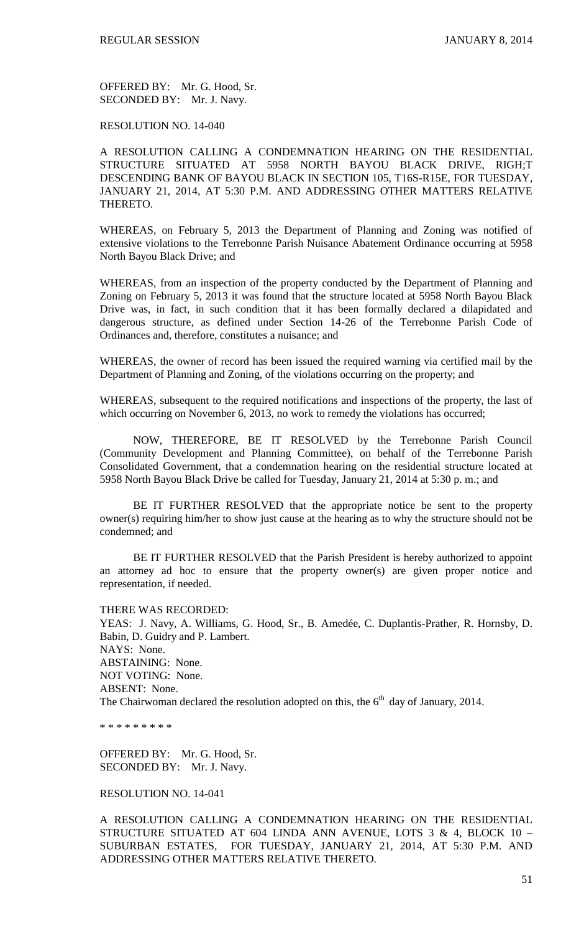OFFERED BY: Mr. G. Hood, Sr. SECONDED BY: Mr. J. Navy.

#### RESOLUTION NO. 14-040

A RESOLUTION CALLING A CONDEMNATION HEARING ON THE RESIDENTIAL STRUCTURE SITUATED AT 5958 NORTH BAYOU BLACK DRIVE, RIGH;T DESCENDING BANK OF BAYOU BLACK IN SECTION 105, T16S-R15E, FOR TUESDAY, JANUARY 21, 2014, AT 5:30 P.M. AND ADDRESSING OTHER MATTERS RELATIVE THERETO.

WHEREAS, on February 5, 2013 the Department of Planning and Zoning was notified of extensive violations to the Terrebonne Parish Nuisance Abatement Ordinance occurring at 5958 North Bayou Black Drive; and

WHEREAS, from an inspection of the property conducted by the Department of Planning and Zoning on February 5, 2013 it was found that the structure located at 5958 North Bayou Black Drive was, in fact, in such condition that it has been formally declared a dilapidated and dangerous structure, as defined under Section 14-26 of the Terrebonne Parish Code of Ordinances and, therefore, constitutes a nuisance; and

WHEREAS, the owner of record has been issued the required warning via certified mail by the Department of Planning and Zoning, of the violations occurring on the property; and

WHEREAS, subsequent to the required notifications and inspections of the property, the last of which occurring on November 6, 2013, no work to remedy the violations has occurred;

NOW, THEREFORE, BE IT RESOLVED by the Terrebonne Parish Council (Community Development and Planning Committee), on behalf of the Terrebonne Parish Consolidated Government, that a condemnation hearing on the residential structure located at 5958 North Bayou Black Drive be called for Tuesday, January 21, 2014 at 5:30 p. m.; and

BE IT FURTHER RESOLVED that the appropriate notice be sent to the property owner(s) requiring him/her to show just cause at the hearing as to why the structure should not be condemned; and

BE IT FURTHER RESOLVED that the Parish President is hereby authorized to appoint an attorney ad hoc to ensure that the property owner(s) are given proper notice and representation, if needed.

#### THERE WAS RECORDED:

YEAS: J. Navy, A. Williams, G. Hood, Sr., B. Amedée, C. Duplantis-Prather, R. Hornsby, D. Babin, D. Guidry and P. Lambert. NAYS: None. ABSTAINING: None. NOT VOTING: None. ABSENT: None. The Chairwoman declared the resolution adopted on this, the  $6<sup>th</sup>$  day of January, 2014.

\* \* \* \* \* \* \* \* \*

OFFERED BY: Mr. G. Hood, Sr. SECONDED BY: Mr. J. Navy.

### RESOLUTION NO. 14-041

A RESOLUTION CALLING A CONDEMNATION HEARING ON THE RESIDENTIAL STRUCTURE SITUATED AT 604 LINDA ANN AVENUE, LOTS 3 & 4, BLOCK 10 – SUBURBAN ESTATES, FOR TUESDAY, JANUARY 21, 2014, AT 5:30 P.M. AND ADDRESSING OTHER MATTERS RELATIVE THERETO.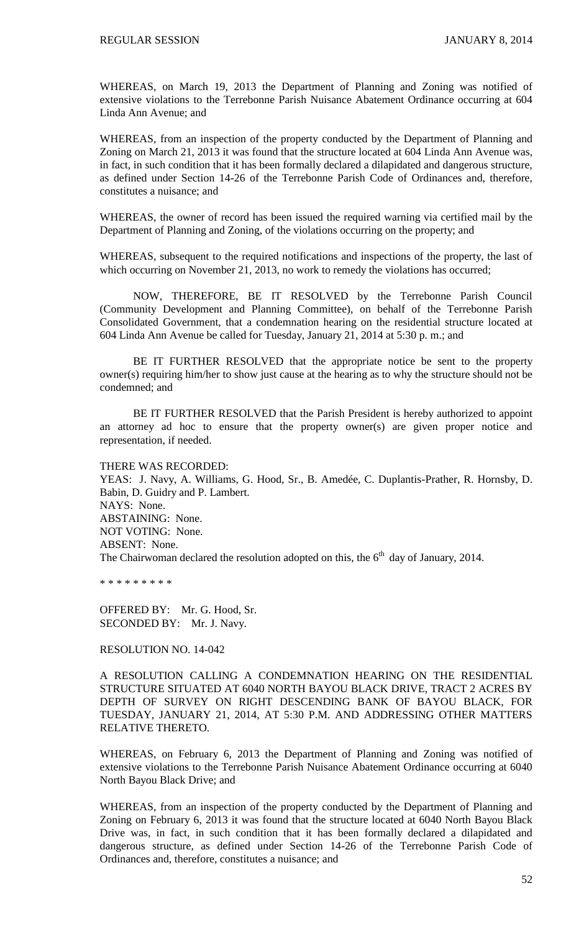WHEREAS, on March 19, 2013 the Department of Planning and Zoning was notified of extensive violations to the Terrebonne Parish Nuisance Abatement Ordinance occurring at 604 Linda Ann Avenue; and

WHEREAS, from an inspection of the property conducted by the Department of Planning and Zoning on March 21, 2013 it was found that the structure located at 604 Linda Ann Avenue was, in fact, in such condition that it has been formally declared a dilapidated and dangerous structure, as defined under Section 14-26 of the Terrebonne Parish Code of Ordinances and, therefore, constitutes a nuisance; and

WHEREAS, the owner of record has been issued the required warning via certified mail by the Department of Planning and Zoning, of the violations occurring on the property; and

WHEREAS, subsequent to the required notifications and inspections of the property, the last of which occurring on November 21, 2013, no work to remedy the violations has occurred;

NOW, THEREFORE, BE IT RESOLVED by the Terrebonne Parish Council (Community Development and Planning Committee), on behalf of the Terrebonne Parish Consolidated Government, that a condemnation hearing on the residential structure located at 604 Linda Ann Avenue be called for Tuesday, January 21, 2014 at 5:30 p. m.; and

BE IT FURTHER RESOLVED that the appropriate notice be sent to the property owner(s) requiring him/her to show just cause at the hearing as to why the structure should not be condemned; and

BE IT FURTHER RESOLVED that the Parish President is hereby authorized to appoint an attorney ad hoc to ensure that the property owner(s) are given proper notice and representation, if needed.

THERE WAS RECORDED: YEAS: J. Navy, A. Williams, G. Hood, Sr., B. Amedée, C. Duplantis-Prather, R. Hornsby, D. Babin, D. Guidry and P. Lambert. NAYS: None. ABSTAINING: None. NOT VOTING: None. ABSENT: None. The Chairwoman declared the resolution adopted on this, the  $6<sup>th</sup>$  day of January, 2014.

\* \* \* \* \* \* \* \* \*

OFFERED BY: Mr. G. Hood, Sr. SECONDED BY: Mr. J. Navy.

RESOLUTION NO. 14-042

A RESOLUTION CALLING A CONDEMNATION HEARING ON THE RESIDENTIAL STRUCTURE SITUATED AT 6040 NORTH BAYOU BLACK DRIVE, TRACT 2 ACRES BY DEPTH OF SURVEY ON RIGHT DESCENDING BANK OF BAYOU BLACK, FOR TUESDAY, JANUARY 21, 2014, AT 5:30 P.M. AND ADDRESSING OTHER MATTERS RELATIVE THERETO.

WHEREAS, on February 6, 2013 the Department of Planning and Zoning was notified of extensive violations to the Terrebonne Parish Nuisance Abatement Ordinance occurring at 6040 North Bayou Black Drive; and

WHEREAS, from an inspection of the property conducted by the Department of Planning and Zoning on February 6, 2013 it was found that the structure located at 6040 North Bayou Black Drive was, in fact, in such condition that it has been formally declared a dilapidated and dangerous structure, as defined under Section 14-26 of the Terrebonne Parish Code of Ordinances and, therefore, constitutes a nuisance; and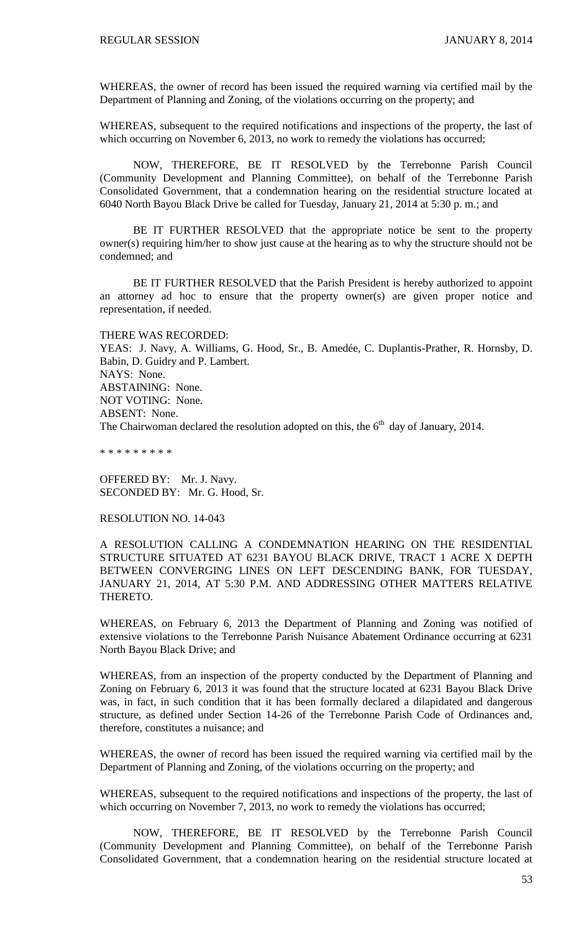WHEREAS, the owner of record has been issued the required warning via certified mail by the Department of Planning and Zoning, of the violations occurring on the property; and

WHEREAS, subsequent to the required notifications and inspections of the property, the last of which occurring on November 6, 2013, no work to remedy the violations has occurred;

NOW, THEREFORE, BE IT RESOLVED by the Terrebonne Parish Council (Community Development and Planning Committee), on behalf of the Terrebonne Parish Consolidated Government, that a condemnation hearing on the residential structure located at 6040 North Bayou Black Drive be called for Tuesday, January 21, 2014 at 5:30 p. m.; and

BE IT FURTHER RESOLVED that the appropriate notice be sent to the property owner(s) requiring him/her to show just cause at the hearing as to why the structure should not be condemned; and

BE IT FURTHER RESOLVED that the Parish President is hereby authorized to appoint an attorney ad hoc to ensure that the property owner(s) are given proper notice and representation, if needed.

THERE WAS RECORDED:

YEAS: J. Navy, A. Williams, G. Hood, Sr., B. Amedée, C. Duplantis-Prather, R. Hornsby, D. Babin, D. Guidry and P. Lambert. NAYS: None. ABSTAINING: None. NOT VOTING: None. ABSENT: None. The Chairwoman declared the resolution adopted on this, the  $6<sup>th</sup>$  day of January, 2014.

\* \* \* \* \* \* \* \* \*

OFFERED BY: Mr. J. Navy. SECONDED BY: Mr. G. Hood, Sr.

#### RESOLUTION NO. 14-043

A RESOLUTION CALLING A CONDEMNATION HEARING ON THE RESIDENTIAL STRUCTURE SITUATED AT 6231 BAYOU BLACK DRIVE, TRACT 1 ACRE X DEPTH BETWEEN CONVERGING LINES ON LEFT DESCENDING BANK, FOR TUESDAY, JANUARY 21, 2014, AT 5:30 P.M. AND ADDRESSING OTHER MATTERS RELATIVE THERETO.

WHEREAS, on February 6, 2013 the Department of Planning and Zoning was notified of extensive violations to the Terrebonne Parish Nuisance Abatement Ordinance occurring at 6231 North Bayou Black Drive; and

WHEREAS, from an inspection of the property conducted by the Department of Planning and Zoning on February 6, 2013 it was found that the structure located at 6231 Bayou Black Drive was, in fact, in such condition that it has been formally declared a dilapidated and dangerous structure, as defined under Section 14-26 of the Terrebonne Parish Code of Ordinances and, therefore, constitutes a nuisance; and

WHEREAS, the owner of record has been issued the required warning via certified mail by the Department of Planning and Zoning, of the violations occurring on the property; and

WHEREAS, subsequent to the required notifications and inspections of the property, the last of which occurring on November 7, 2013, no work to remedy the violations has occurred;

NOW, THEREFORE, BE IT RESOLVED by the Terrebonne Parish Council (Community Development and Planning Committee), on behalf of the Terrebonne Parish Consolidated Government, that a condemnation hearing on the residential structure located at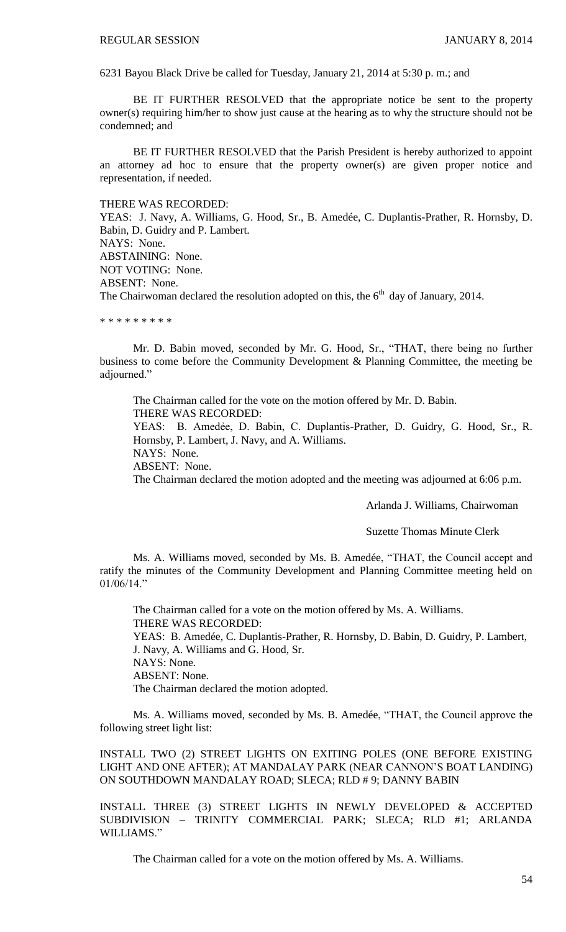6231 Bayou Black Drive be called for Tuesday, January 21, 2014 at 5:30 p. m.; and

BE IT FURTHER RESOLVED that the appropriate notice be sent to the property owner(s) requiring him/her to show just cause at the hearing as to why the structure should not be condemned; and

BE IT FURTHER RESOLVED that the Parish President is hereby authorized to appoint an attorney ad hoc to ensure that the property owner(s) are given proper notice and representation, if needed.

THERE WAS RECORDED:

YEAS: J. Navy, A. Williams, G. Hood, Sr., B. Amedée, C. Duplantis-Prather, R. Hornsby, D. Babin, D. Guidry and P. Lambert.

NAYS: None.

ABSTAINING: None.

NOT VOTING: None.

ABSENT: None.

The Chairwoman declared the resolution adopted on this, the  $6<sup>th</sup>$  day of January, 2014.

\* \* \* \* \* \* \* \*

Mr. D. Babin moved, seconded by Mr. G. Hood, Sr., "THAT, there being no further business to come before the Community Development & Planning Committee, the meeting be adjourned."

The Chairman called for the vote on the motion offered by Mr. D. Babin. THERE WAS RECORDED: YEAS: B. Amedẻe, D. Babin, C. Duplantis-Prather, D. Guidry, G. Hood, Sr., R. Hornsby, P. Lambert, J. Navy, and A. Williams. NAYS: None. ABSENT: None. The Chairman declared the motion adopted and the meeting was adjourned at 6:06 p.m.

Arlanda J. Williams, Chairwoman

Suzette Thomas Minute Clerk

Ms. A. Williams moved, seconded by Ms. B. Amedée, "THAT, the Council accept and ratify the minutes of the Community Development and Planning Committee meeting held on 01/06/14."

The Chairman called for a vote on the motion offered by Ms. A. Williams. THERE WAS RECORDED: YEAS: B. Amedée, C. Duplantis-Prather, R. Hornsby, D. Babin, D. Guidry, P. Lambert, J. Navy, A. Williams and G. Hood, Sr. NAYS: None. ABSENT: None. The Chairman declared the motion adopted.

Ms. A. Williams moved, seconded by Ms. B. Amedée, "THAT, the Council approve the following street light list:

INSTALL TWO (2) STREET LIGHTS ON EXITING POLES (ONE BEFORE EXISTING LIGHT AND ONE AFTER); AT MANDALAY PARK (NEAR CANNON'S BOAT LANDING) ON SOUTHDOWN MANDALAY ROAD; SLECA; RLD # 9; DANNY BABIN

INSTALL THREE (3) STREET LIGHTS IN NEWLY DEVELOPED & ACCEPTED SUBDIVISION – TRINITY COMMERCIAL PARK; SLECA; RLD #1; ARLANDA WILLIAMS."

The Chairman called for a vote on the motion offered by Ms. A. Williams.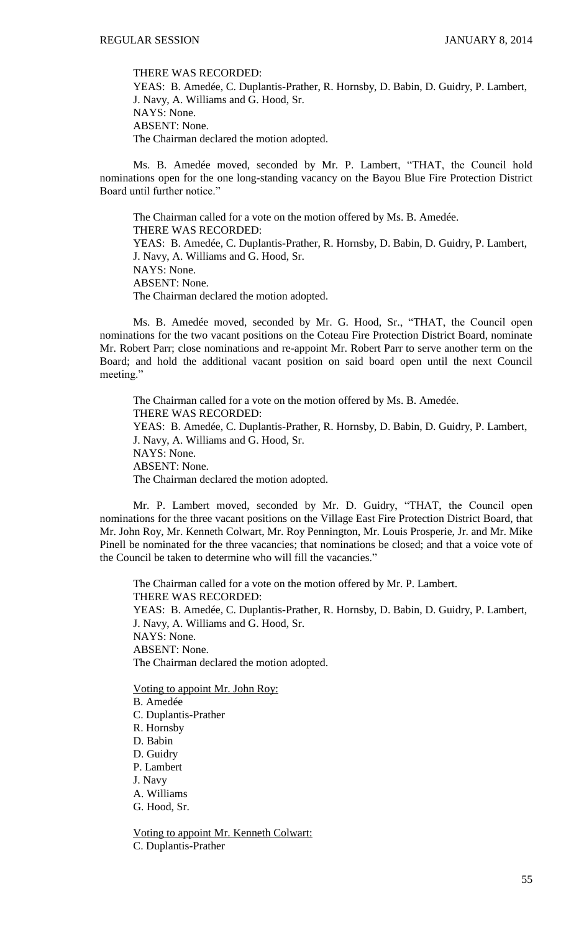THERE WAS RECORDED:

YEAS: B. Amedée, C. Duplantis-Prather, R. Hornsby, D. Babin, D. Guidry, P. Lambert, J. Navy, A. Williams and G. Hood, Sr. NAYS: None. ABSENT: None. The Chairman declared the motion adopted.

Ms. B. Amedée moved, seconded by Mr. P. Lambert, "THAT, the Council hold nominations open for the one long-standing vacancy on the Bayou Blue Fire Protection District Board until further notice."

The Chairman called for a vote on the motion offered by Ms. B. Amedée. THERE WAS RECORDED: YEAS: B. Amedée, C. Duplantis-Prather, R. Hornsby, D. Babin, D. Guidry, P. Lambert, J. Navy, A. Williams and G. Hood, Sr. NAYS: None. ABSENT: None. The Chairman declared the motion adopted.

Ms. B. Amedée moved, seconded by Mr. G. Hood, Sr., "THAT, the Council open nominations for the two vacant positions on the Coteau Fire Protection District Board, nominate Mr. Robert Parr; close nominations and re-appoint Mr. Robert Parr to serve another term on the Board; and hold the additional vacant position on said board open until the next Council meeting."

The Chairman called for a vote on the motion offered by Ms. B. Amedée. THERE WAS RECORDED: YEAS: B. Amedée, C. Duplantis-Prather, R. Hornsby, D. Babin, D. Guidry, P. Lambert, J. Navy, A. Williams and G. Hood, Sr. NAYS: None. ABSENT: None. The Chairman declared the motion adopted.

Mr. P. Lambert moved, seconded by Mr. D. Guidry, "THAT, the Council open nominations for the three vacant positions on the Village East Fire Protection District Board, that Mr. John Roy, Mr. Kenneth Colwart, Mr. Roy Pennington, Mr. Louis Prosperie, Jr. and Mr. Mike Pinell be nominated for the three vacancies; that nominations be closed; and that a voice vote of the Council be taken to determine who will fill the vacancies."

The Chairman called for a vote on the motion offered by Mr. P. Lambert. THERE WAS RECORDED: YEAS: B. Amedée, C. Duplantis-Prather, R. Hornsby, D. Babin, D. Guidry, P. Lambert, J. Navy, A. Williams and G. Hood, Sr. NAYS: None. ABSENT: None. The Chairman declared the motion adopted. Voting to appoint Mr. John Roy:

B. Amedée C. Duplantis-Prather R. Hornsby D. Babin D. Guidry P. Lambert J. Navy A. Williams

G. Hood, Sr.

Voting to appoint Mr. Kenneth Colwart: C. Duplantis-Prather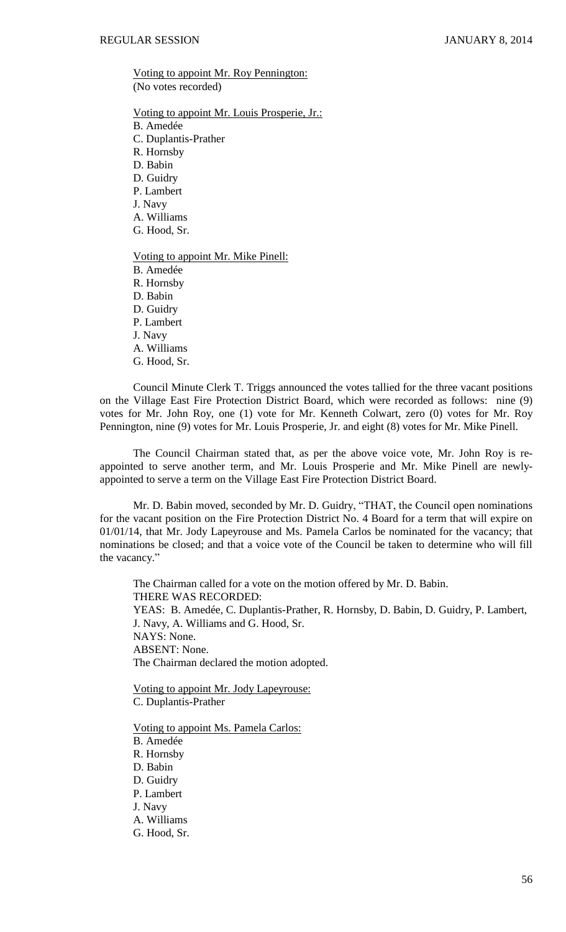Voting to appoint Mr. Roy Pennington: (No votes recorded)

Voting to appoint Mr. Louis Prosperie, Jr.: B. Amedée C. Duplantis-Prather R. Hornsby D. Babin D. Guidry P. Lambert J. Navy A. Williams G. Hood, Sr. Voting to appoint Mr. Mike Pinell: B. Amedée R. Hornsby D. Babin D. Guidry P. Lambert J. Navy A. Williams G. Hood, Sr.

Council Minute Clerk T. Triggs announced the votes tallied for the three vacant positions on the Village East Fire Protection District Board, which were recorded as follows: nine (9) votes for Mr. John Roy, one (1) vote for Mr. Kenneth Colwart, zero (0) votes for Mr. Roy Pennington, nine (9) votes for Mr. Louis Prosperie, Jr. and eight (8) votes for Mr. Mike Pinell.

The Council Chairman stated that, as per the above voice vote, Mr. John Roy is reappointed to serve another term, and Mr. Louis Prosperie and Mr. Mike Pinell are newlyappointed to serve a term on the Village East Fire Protection District Board.

Mr. D. Babin moved, seconded by Mr. D. Guidry, "THAT, the Council open nominations for the vacant position on the Fire Protection District No. 4 Board for a term that will expire on 01/01/14, that Mr. Jody Lapeyrouse and Ms. Pamela Carlos be nominated for the vacancy; that nominations be closed; and that a voice vote of the Council be taken to determine who will fill the vacancy."

The Chairman called for a vote on the motion offered by Mr. D. Babin. THERE WAS RECORDED: YEAS: B. Amedée, C. Duplantis-Prather, R. Hornsby, D. Babin, D. Guidry, P. Lambert, J. Navy, A. Williams and G. Hood, Sr. NAYS: None. ABSENT: None. The Chairman declared the motion adopted.

Voting to appoint Mr. Jody Lapeyrouse: C. Duplantis-Prather

Voting to appoint Ms. Pamela Carlos:

B. Amedée R. Hornsby D. Babin D. Guidry P. Lambert J. Navy A. Williams

G. Hood, Sr.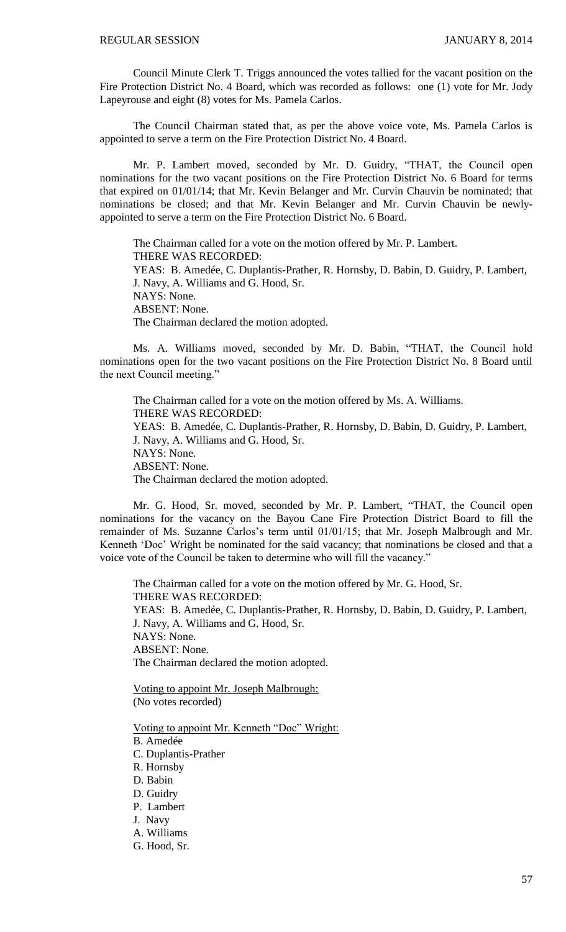Council Minute Clerk T. Triggs announced the votes tallied for the vacant position on the Fire Protection District No. 4 Board, which was recorded as follows: one (1) vote for Mr. Jody Lapeyrouse and eight (8) votes for Ms. Pamela Carlos.

The Council Chairman stated that, as per the above voice vote, Ms. Pamela Carlos is appointed to serve a term on the Fire Protection District No. 4 Board.

Mr. P. Lambert moved, seconded by Mr. D. Guidry, "THAT, the Council open nominations for the two vacant positions on the Fire Protection District No. 6 Board for terms that expired on 01/01/14; that Mr. Kevin Belanger and Mr. Curvin Chauvin be nominated; that nominations be closed; and that Mr. Kevin Belanger and Mr. Curvin Chauvin be newlyappointed to serve a term on the Fire Protection District No. 6 Board.

The Chairman called for a vote on the motion offered by Mr. P. Lambert. THERE WAS RECORDED: YEAS: B. Amedée, C. Duplantis-Prather, R. Hornsby, D. Babin, D. Guidry, P. Lambert, J. Navy, A. Williams and G. Hood, Sr. NAYS: None. ABSENT: None. The Chairman declared the motion adopted.

Ms. A. Williams moved, seconded by Mr. D. Babin, "THAT, the Council hold nominations open for the two vacant positions on the Fire Protection District No. 8 Board until the next Council meeting."

The Chairman called for a vote on the motion offered by Ms. A. Williams. THERE WAS RECORDED: YEAS: B. Amedée, C. Duplantis-Prather, R. Hornsby, D. Babin, D. Guidry, P. Lambert, J. Navy, A. Williams and G. Hood, Sr. NAYS: None. ABSENT: None. The Chairman declared the motion adopted.

Mr. G. Hood, Sr. moved, seconded by Mr. P. Lambert, "THAT, the Council open nominations for the vacancy on the Bayou Cane Fire Protection District Board to fill the remainder of Ms. Suzanne Carlos's term until 01/01/15; that Mr. Joseph Malbrough and Mr. Kenneth 'Doc' Wright be nominated for the said vacancy; that nominations be closed and that a voice vote of the Council be taken to determine who will fill the vacancy."

The Chairman called for a vote on the motion offered by Mr. G. Hood, Sr. THERE WAS RECORDED: YEAS: B. Amedée, C. Duplantis-Prather, R. Hornsby, D. Babin, D. Guidry, P. Lambert, J. Navy, A. Williams and G. Hood, Sr. NAYS: None. ABSENT: None. The Chairman declared the motion adopted.

Voting to appoint Mr. Joseph Malbrough: (No votes recorded)

Voting to appoint Mr. Kenneth "Doc" Wright:

- B. Amedée
- C. Duplantis-Prather
- R. Hornsby
- D. Babin
- D. Guidry
- P. Lambert
- J. Navy
- A. Williams
- G. Hood, Sr.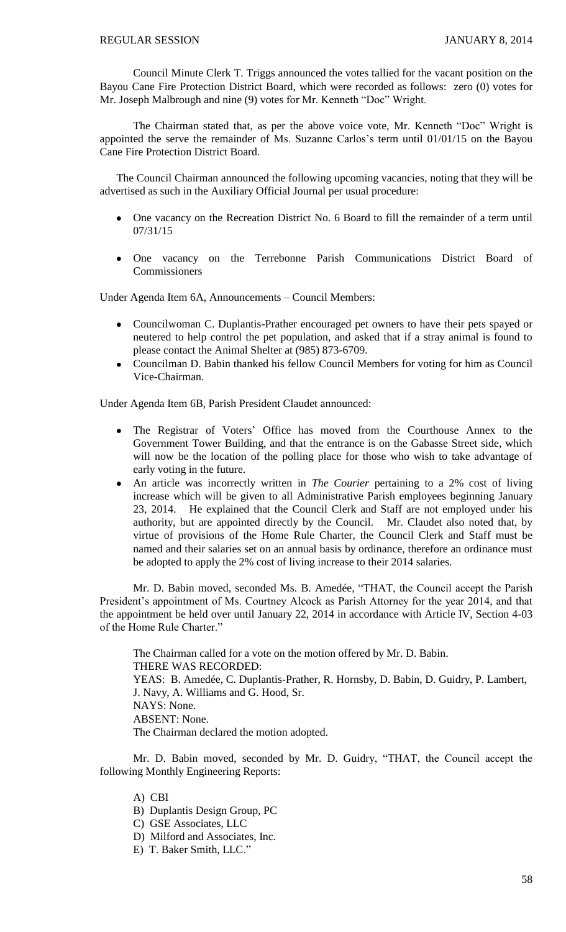Council Minute Clerk T. Triggs announced the votes tallied for the vacant position on the Bayou Cane Fire Protection District Board, which were recorded as follows: zero (0) votes for Mr. Joseph Malbrough and nine (9) votes for Mr. Kenneth "Doc" Wright.

The Chairman stated that, as per the above voice vote, Mr. Kenneth "Doc" Wright is appointed the serve the remainder of Ms. Suzanne Carlos's term until 01/01/15 on the Bayou Cane Fire Protection District Board.

The Council Chairman announced the following upcoming vacancies, noting that they will be advertised as such in the Auxiliary Official Journal per usual procedure:

- $\bullet$ One vacancy on the Recreation District No. 6 Board to fill the remainder of a term until 07/31/15
- One vacancy on the Terrebonne Parish Communications District Board of  $\bullet$ **Commissioners**

Under Agenda Item 6A, Announcements – Council Members:

- Councilwoman C. Duplantis-Prather encouraged pet owners to have their pets spayed or  $\bullet$ neutered to help control the pet population, and asked that if a stray animal is found to please contact the Animal Shelter at (985) 873-6709.
- Councilman D. Babin thanked his fellow Council Members for voting for him as Council Vice-Chairman.

Under Agenda Item 6B, Parish President Claudet announced:

- The Registrar of Voters' Office has moved from the Courthouse Annex to the Government Tower Building, and that the entrance is on the Gabasse Street side, which will now be the location of the polling place for those who wish to take advantage of early voting in the future.
- An article was incorrectly written in *The Courier* pertaining to a 2% cost of living increase which will be given to all Administrative Parish employees beginning January 23, 2014. He explained that the Council Clerk and Staff are not employed under his authority, but are appointed directly by the Council. Mr. Claudet also noted that, by virtue of provisions of the Home Rule Charter, the Council Clerk and Staff must be named and their salaries set on an annual basis by ordinance, therefore an ordinance must be adopted to apply the 2% cost of living increase to their 2014 salaries.

Mr. D. Babin moved, seconded Ms. B. Amedée, "THAT, the Council accept the Parish President's appointment of Ms. Courtney Alcock as Parish Attorney for the year 2014, and that the appointment be held over until January 22, 2014 in accordance with Article IV, Section 4-03 of the Home Rule Charter."

The Chairman called for a vote on the motion offered by Mr. D. Babin. THERE WAS RECORDED: YEAS: B. Amedée, C. Duplantis-Prather, R. Hornsby, D. Babin, D. Guidry, P. Lambert, J. Navy, A. Williams and G. Hood, Sr. NAYS: None. ABSENT: None. The Chairman declared the motion adopted.

Mr. D. Babin moved, seconded by Mr. D. Guidry, "THAT, the Council accept the following Monthly Engineering Reports:

- A) CBI
- B) Duplantis Design Group, PC
- C) GSE Associates, LLC
- D) Milford and Associates, Inc.
- E) T. Baker Smith, LLC."